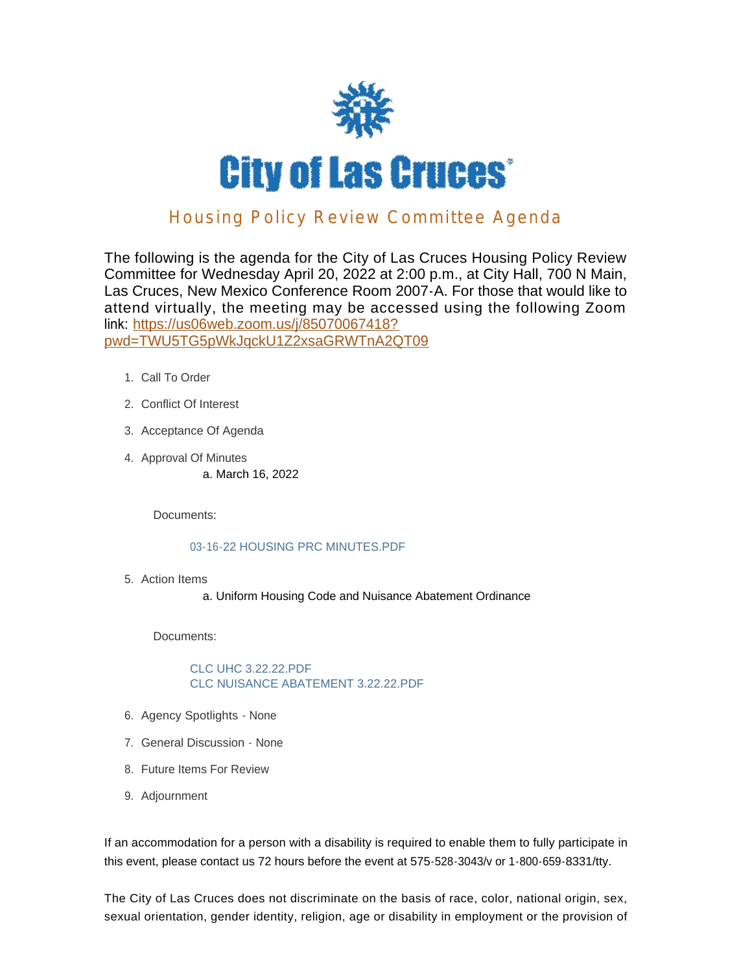

## Housing Policy Review Committee Agenda

The following is the agenda for the City of Las Cruces Housing Policy Review Committee for Wednesday April 20, 2022 at 2:00 p.m., at City Hall, 700 N Main, Las Cruces, New Mexico Conference Room 2007-A. For those that would like to attend virtually, the meeting may be accessed using the following Zoom link: https://us06web.zoom.us/j/85070067418? pwd[=TWU5TG5pWkJqckU1Z2xsaGRWTnA2QT09](https://us06web.zoom.us/j/85070067418?pwd=TWU5TG5pWkJqckU1Z2xsaGRWTnA2QT09)

- 1. Call To Order
- 2. Conflict Of Interest
- 3. Acceptance Of Agenda
- 4. Approval Of Minutes a. March 16, 2022

Documents:

#### 03-16-22 HOUSING PRC MINUTES.PDF

Action Items 5.

a. Uniform Housing Code and Nuisance Abatement Ordinance

Documents:

CLC UHC 3.22.22.PDF CLC NUISANCE ABATEMENT 3.22.22.PDF

- 6. Agency Spotlights None
- 7. General Discussion None
- 8. Future Items For Review
- 9. Adjournment

If an accommodation for a person with a disability is required to enable them to fully participate in this event, please contact us 72 hours before the event at 575-528-3043/v or 1-800-659-8331/tty.

The City of Las Cruces does not discriminate on the basis of race, color, national origin, sex, sexual orientation, gender identity, religion, age or disability in employment or the provision of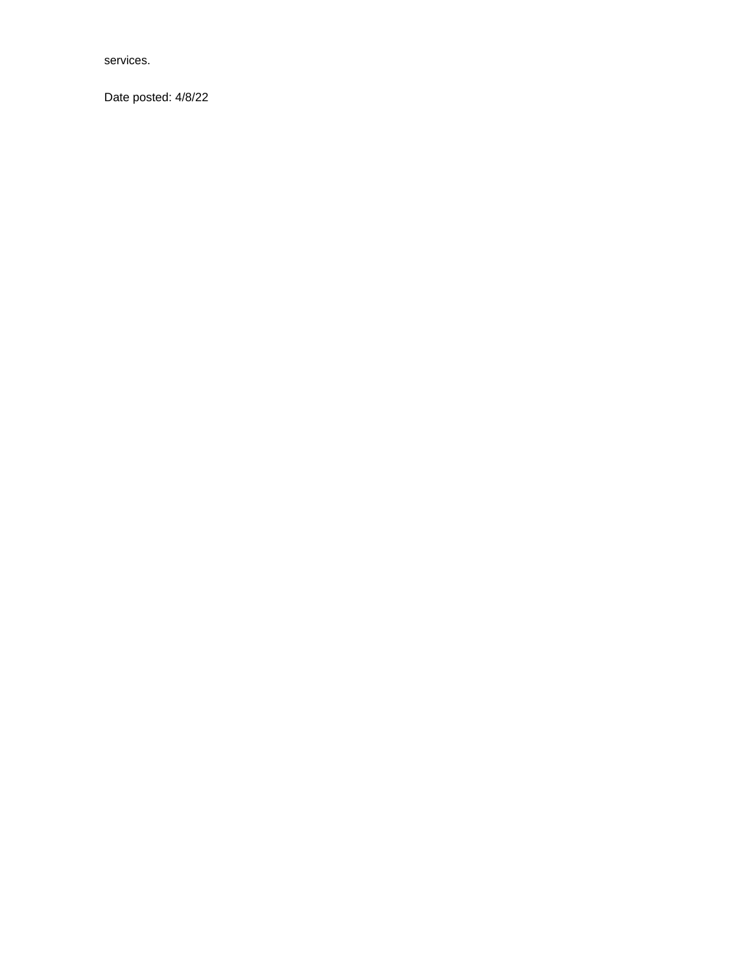services.

Date posted: 4/8/22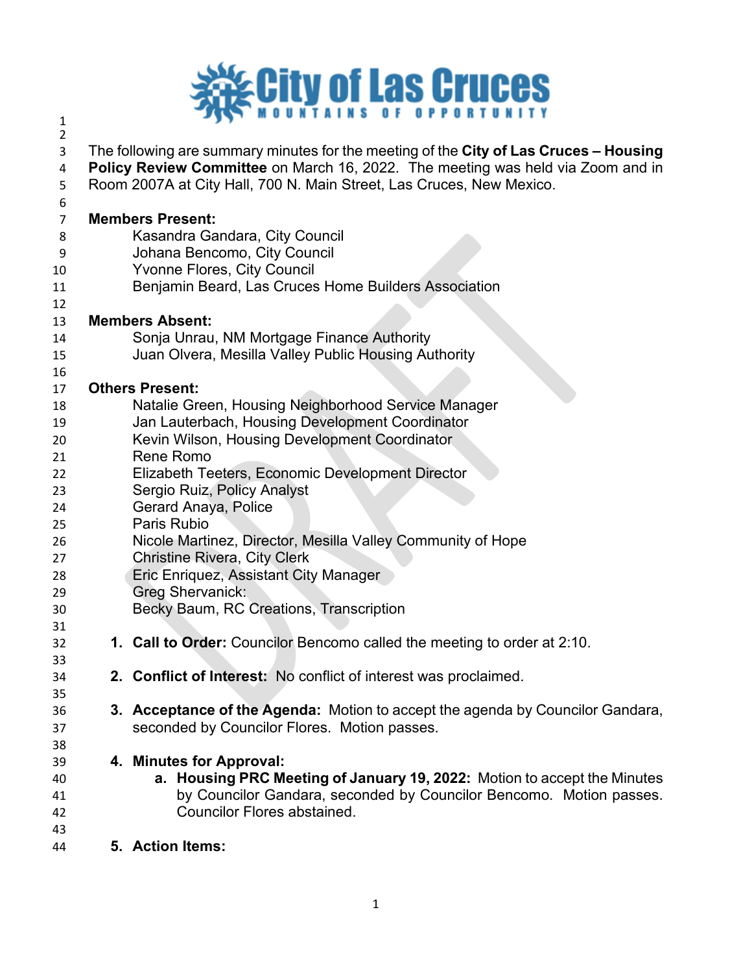

| 2  |                                                                                       |
|----|---------------------------------------------------------------------------------------|
| 3  | The following are summary minutes for the meeting of the City of Las Cruces - Housing |
| 4  | Policy Review Committee on March 16, 2022. The meeting was held via Zoom and in       |
| 5  | Room 2007A at City Hall, 700 N. Main Street, Las Cruces, New Mexico.                  |
| 6  |                                                                                       |
| 7  | <b>Members Present:</b>                                                               |
| 8  | Kasandra Gandara, City Council                                                        |
| 9  | Johana Bencomo, City Council                                                          |
| 10 | Yvonne Flores, City Council                                                           |
| 11 | Benjamin Beard, Las Cruces Home Builders Association                                  |
| 12 |                                                                                       |
| 13 | <b>Members Absent:</b>                                                                |
| 14 | Sonja Unrau, NM Mortgage Finance Authority                                            |
| 15 | Juan Olvera, Mesilla Valley Public Housing Authority                                  |
| 16 |                                                                                       |
| 17 | <b>Others Present:</b>                                                                |
| 18 | Natalie Green, Housing Neighborhood Service Manager                                   |
| 19 | Jan Lauterbach, Housing Development Coordinator                                       |
| 20 | Kevin Wilson, Housing Development Coordinator                                         |
| 21 | Rene Romo                                                                             |
| 22 | Elizabeth Teeters, Economic Development Director                                      |
| 23 | Sergio Ruiz, Policy Analyst                                                           |
| 24 | Gerard Anaya, Police                                                                  |
| 25 | Paris Rubio                                                                           |
| 26 | Nicole Martinez, Director, Mesilla Valley Community of Hope                           |
| 27 | <b>Christine Rivera, City Clerk</b>                                                   |
| 28 | Eric Enriquez, Assistant City Manager                                                 |
| 29 | Greg Shervanick:                                                                      |
| 30 | Becky Baum, RC Creations, Transcription                                               |
| 31 |                                                                                       |
| 32 | 1. Call to Order: Councilor Bencomo called the meeting to order at 2:10.              |
| 33 |                                                                                       |
| 34 | 2. Conflict of Interest: No conflict of interest was proclaimed.                      |
| 35 |                                                                                       |
| 36 | 3. Acceptance of the Agenda: Motion to accept the agenda by Councilor Gandara,        |
| 37 | seconded by Councilor Flores. Motion passes.                                          |
| 38 |                                                                                       |
| 39 | 4. Minutes for Approval:                                                              |
| 40 | a. Housing PRC Meeting of January 19, 2022: Motion to accept the Minutes              |
| 41 | by Councilor Gandara, seconded by Councilor Bencomo. Motion passes.                   |
| 42 | <b>Councilor Flores abstained.</b>                                                    |
| 43 |                                                                                       |
| 44 | 5. Action Items:                                                                      |
|    |                                                                                       |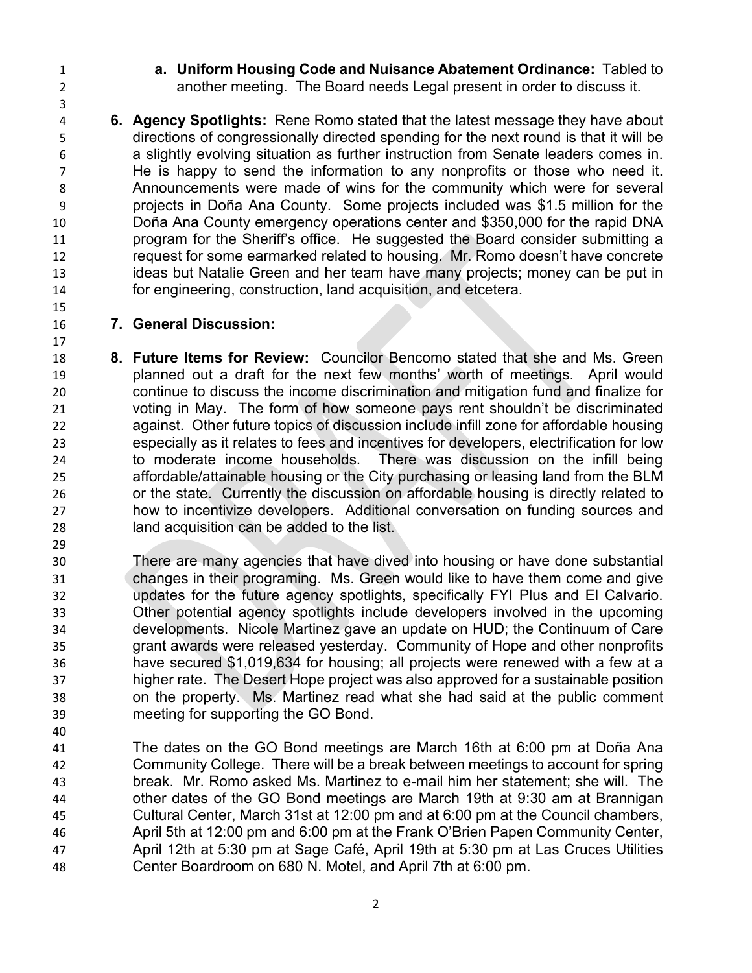**a. Uniform Housing Code and Nuisance Abatement Ordinance:** Tabled to another meeting. The Board needs Legal present in order to discuss it.

 **6. Agency Spotlights:** Rene Romo stated that the latest message they have about directions of congressionally directed spending for the next round is that it will be a slightly evolving situation as further instruction from Senate leaders comes in. He is happy to send the information to any nonprofits or those who need it. Announcements were made of wins for the community which were for several projects in Doña Ana County. Some projects included was \$1.5 million for the Doña Ana County emergency operations center and \$350,000 for the rapid DNA program for the Sheriff's office. He suggested the Board consider submitting a request for some earmarked related to housing. Mr. Romo doesn't have concrete ideas but Natalie Green and her team have many projects; money can be put in for engineering, construction, land acquisition, and etcetera.

## **7. General Discussion:**

- **8. Future Items for Review:** Councilor Bencomo stated that she and Ms. Green planned out a draft for the next few months' worth of meetings. April would continue to discuss the income discrimination and mitigation fund and finalize for voting in May. The form of how someone pays rent shouldn't be discriminated against. Other future topics of discussion include infill zone for affordable housing especially as it relates to fees and incentives for developers, electrification for low to moderate income households. There was discussion on the infill being affordable/attainable housing or the City purchasing or leasing land from the BLM or the state. Currently the discussion on affordable housing is directly related to how to incentivize developers. Additional conversation on funding sources and land acquisition can be added to the list.
- There are many agencies that have dived into housing or have done substantial changes in their programing. Ms. Green would like to have them come and give updates for the future agency spotlights, specifically FYI Plus and El Calvario. Other potential agency spotlights include developers involved in the upcoming developments. Nicole Martinez gave an update on HUD; the Continuum of Care grant awards were released yesterday. Community of Hope and other nonprofits have secured \$1,019,634 for housing; all projects were renewed with a few at a higher rate. The Desert Hope project was also approved for a sustainable position on the property. Ms. Martinez read what she had said at the public comment meeting for supporting the GO Bond.
- The dates on the GO Bond meetings are March 16th at 6:00 pm at Doña Ana Community College. There will be a break between meetings to account for spring break. Mr. Romo asked Ms. Martinez to e-mail him her statement; she will. The other dates of the GO Bond meetings are March 19th at 9:30 am at Brannigan Cultural Center, March 31st at 12:00 pm and at 6:00 pm at the Council chambers, April 5th at 12:00 pm and 6:00 pm at the Frank O'Brien Papen Community Center, April 12th at 5:30 pm at Sage Café, April 19th at 5:30 pm at Las Cruces Utilities Center Boardroom on 680 N. Motel, and April 7th at 6:00 pm.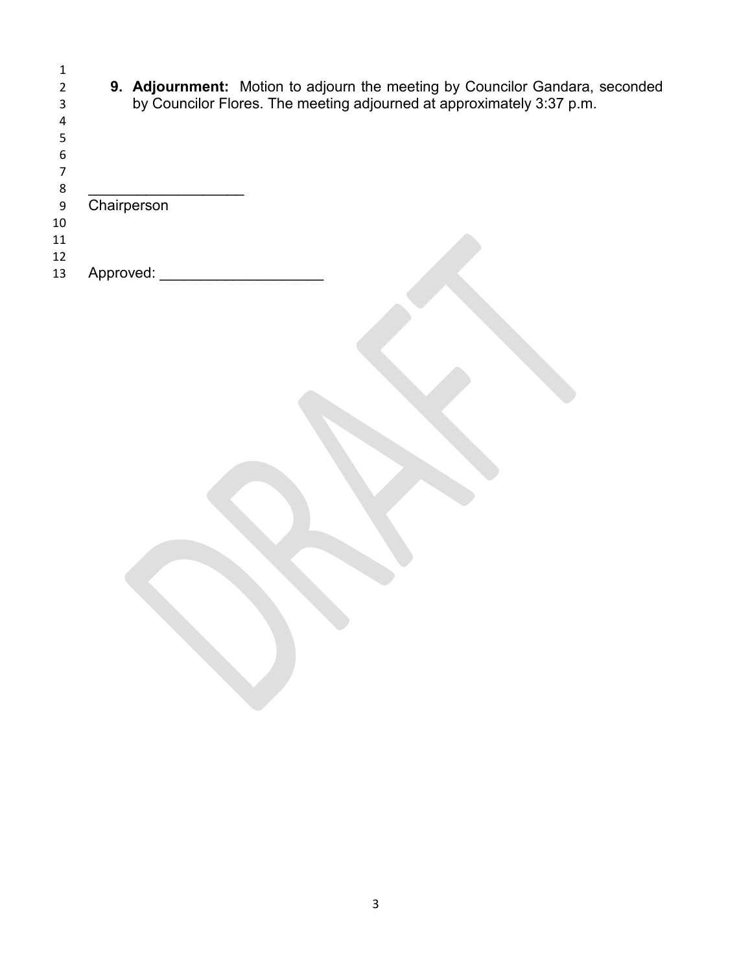|    | 9. Adjournment: Motion to adjourn the meeting by Councilor Gandara, seconded |
|----|------------------------------------------------------------------------------|
|    | by Councilor Flores. The meeting adjourned at approximately 3:37 p.m.        |
| 4  |                                                                              |
|    |                                                                              |
| 6  |                                                                              |
|    |                                                                              |
| 8  |                                                                              |
| 9  | Chairperson                                                                  |
| 10 |                                                                              |
| 11 |                                                                              |
| 12 |                                                                              |
| 13 | Approved:                                                                    |
|    |                                                                              |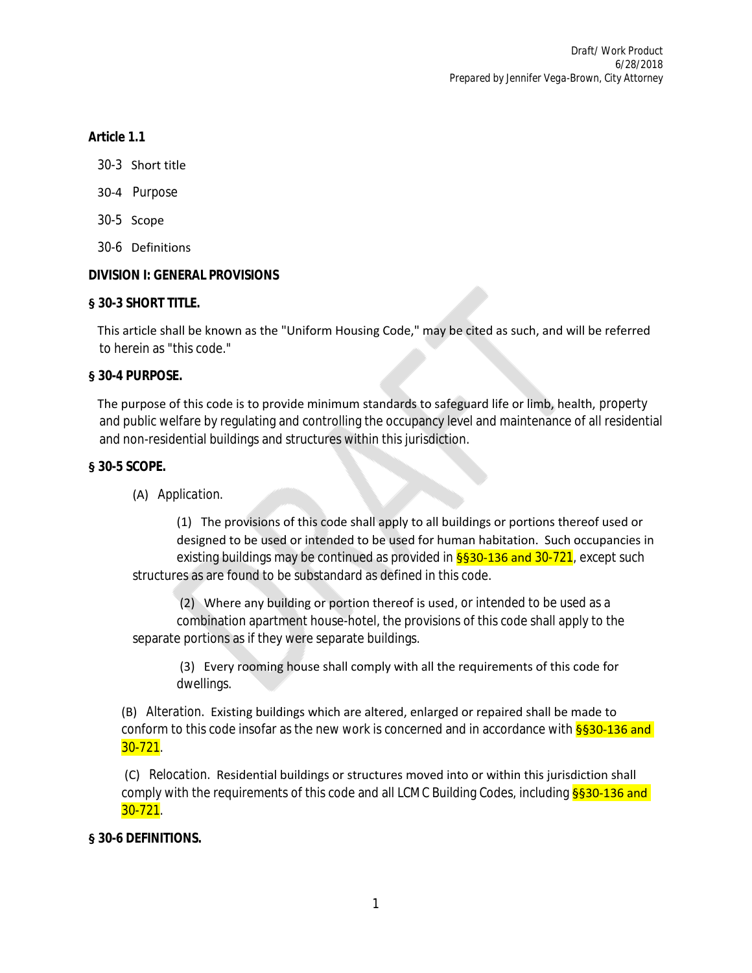## *Article 1.1*

- 30-3 Short title
- 30-4 Purpose
- 30-5 Scope
- 30-6 Definitions

## **DIVISION I: GENERAL PROVISIONS**

## **§ 30-3 SHORT TITLE.**

 This article shall be known as the "Uniform Housing Code," may be cited as such, and will be referred to herein as "this code."

#### **§ 30-4 PURPOSE.**

 The purpose of this code is to provide minimum standards to safeguard life or limb, health, property and public welfare by regulating and controlling the occupancy level and maintenance of all residential and non-residential buildings and structures within this jurisdiction.

## **§ 30-5 SCOPE.**

(A) *Application.*

 (1) The provisions of this code shall apply to all buildings or portions thereof used or designed to be used or intended to be used for human habitation. Such occupancies in existing buildings may be continued as provided in  $\S$ §30-136 and 30-721, except such structures as are found to be substandard as defined in this code.

 (2) Where any building or portion thereof is used, or intended to be used as a combination apartment house-hotel, the provisions of this code shall apply to the separate portions as if they were separate buildings.

 (3) Every rooming house shall comply with all the requirements of this code for dwellings.

 (B) *Alteration.* Existing buildings which are altered, enlarged or repaired shall be made to conform to this code insofar as the new work is concerned and in accordance with §§30-136 and 30-721.

 (C) *Relocation.* Residential buildings or structures moved into or within this jurisdiction shall comply with the requirements of this code and all LCMC Building Codes, including §§30-136 and 30-721.

## **§ 30-6 DEFINITIONS.**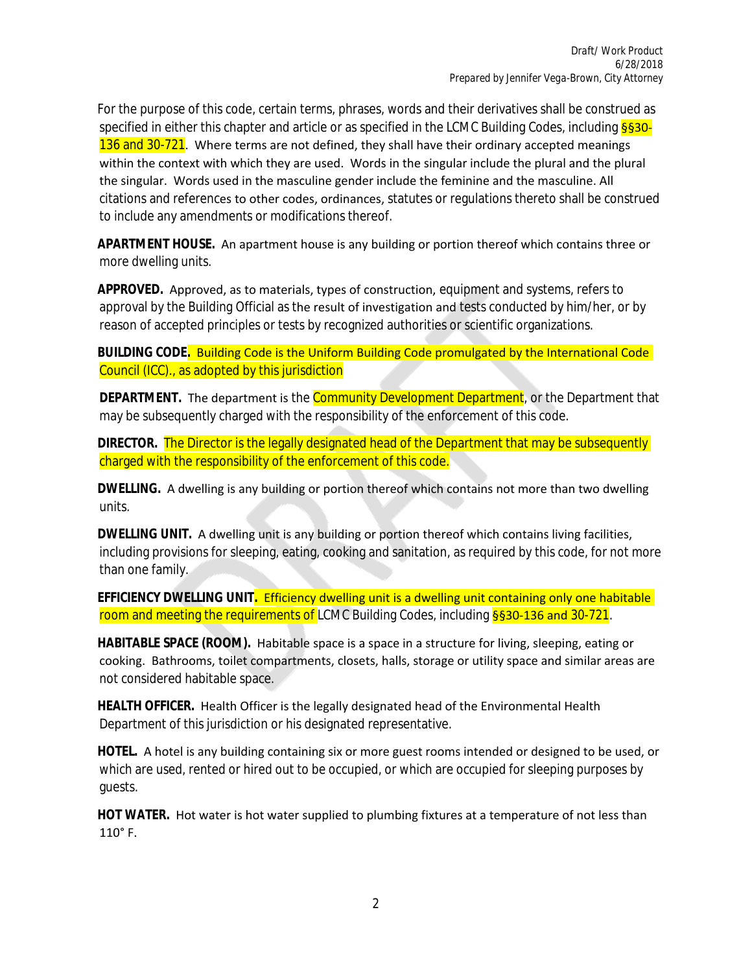For the purpose of this code, certain terms, phrases, words and their derivatives shall be construed as specified in either this chapter and article or as specified in the LCMC Building Codes, including **§§30-**136 and 30-721. Where terms are not defined, they shall have their ordinary accepted meanings within the context with which they are used. Words in the singular include the plural and the plural the singular. Words used in the masculine gender include the feminine and the masculine. All citations and references to other codes, ordinances, statutes or regulations thereto shall be construed to include any amendments or modifications thereof.

 *APARTMENT HOUSE.* An apartment house is any building or portion thereof which contains three or more dwelling units.

 *APPROVED.* Approved, as to materials, types of construction, equipment and systems, refers to approval by the Building Official as the result of investigation and tests conducted by him/her, or by reason of accepted principles or tests by recognized authorities or scientific organizations.

 *BUILDING CODE.* Building Code is the Uniform Building Code promulgated by the International Code Council (ICC)., as adopted by this jurisdiction

**DEPARTMENT.** The department is the **Community Development Department**, or the Department that may be subsequently charged with the responsibility of the enforcement of this code.

**DIRECTOR.** The Director is the legally designated head of the Department that may be subsequently charged with the responsibility of the enforcement of this code.

 *DWELLING.* A dwelling is any building or portion thereof which contains not more than two dwelling units.

 *DWELLING UNIT.* A dwelling unit is any building or portion thereof which contains living facilities, including provisions for sleeping, eating, cooking and sanitation, as required by this code, for not more than one family.

 *EFFICIENCY DWELLING UNIT.* Efficiency dwelling unit is a dwelling unit containing only one habitable room and meeting the requirements of LCMC Building Codes, including §§30-136 and 30-721.

 *HABITABLE SPACE (ROOM).* Habitable space is a space in a structure for living, sleeping, eating or cooking. Bathrooms, toilet compartments, closets, halls, storage or utility space and similar areas are not considered habitable space.

 *HEALTH OFFICER.* Health Officer is the legally designated head of the Environmental Health Department of this jurisdiction or his designated representative.

 *HOTEL.* A hotel is any building containing six or more guest rooms intended or designed to be used, or which are used, rented or hired out to be occupied, or which are occupied for sleeping purposes by guests.

 *HOT WATER.* Hot water is hot water supplied to plumbing fixtures at a temperature of not less than 110° F.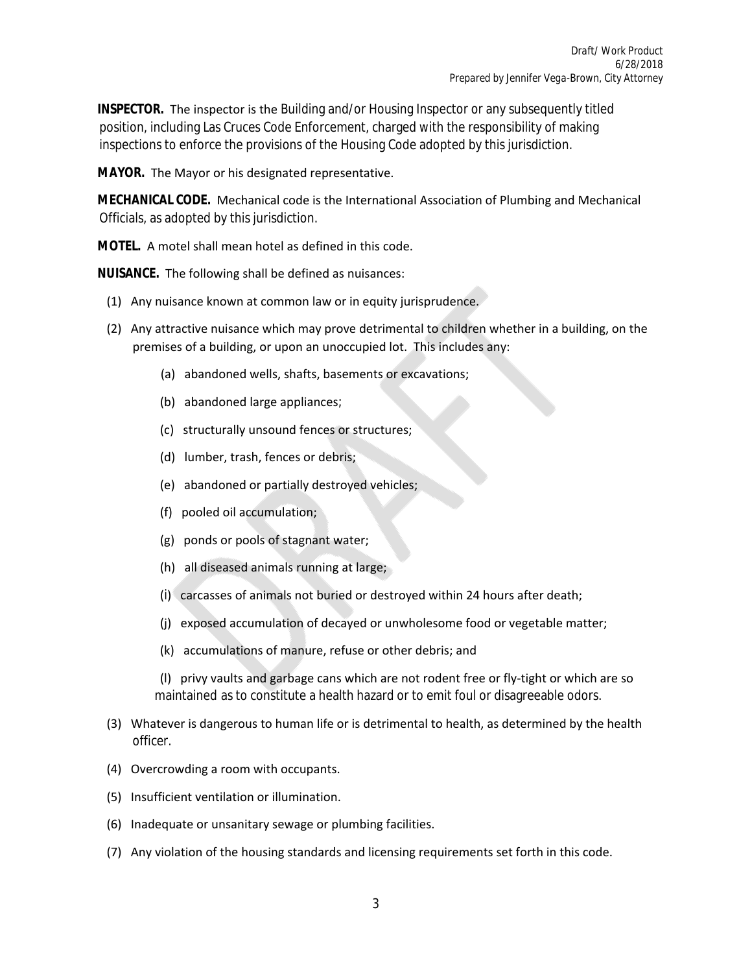*INSPECTOR.* The inspector is the Building and/or Housing Inspector or any subsequently titled position, including Las Cruces Code Enforcement, charged with the responsibility of making inspections to enforce the provisions of the Housing Code adopted by this jurisdiction.

*MAYOR.* The Mayor or his designated representative.

 *MECHANICAL CODE.* Mechanical code is the International Association of Plumbing and Mechanical Officials, as adopted by this jurisdiction.

*MOTEL.* A motel shall mean hotel as defined in this code.

*NUISANCE.* The following shall be defined as nuisances:

- (1) Any nuisance known at common law or in equity jurisprudence.
- (2) Any attractive nuisance which may prove detrimental to children whether in a building, on the premises of a building, or upon an unoccupied lot. This includes any:
	- (a) abandoned wells, shafts, basements or excavations;
	- (b) abandoned large appliances;
	- (c) structurally unsound fences or structures;
	- (d) lumber, trash, fences or debris;
	- (e) abandoned or partially destroyed vehicles;
	- (f) pooled oil accumulation;
	- (g) ponds or pools of stagnant water;
	- (h) all diseased animals running at large;
	- (i) carcasses of animals not buried or destroyed within 24 hours after death;
	- (j) exposed accumulation of decayed or unwholesome food or vegetable matter;
	- (k) accumulations of manure, refuse or other debris; and

 (l) privy vaults and garbage cans which are not rodent free or fly-tight or which are so maintained as to constitute a health hazard or to emit foul or disagreeable odors.

- (3) Whatever is dangerous to human life or is detrimental to health, as determined by the health officer.
- (4) Overcrowding a room with occupants.
- (5) Insufficient ventilation or illumination.
- (6) Inadequate or unsanitary sewage or plumbing facilities.
- (7) Any violation of the housing standards and licensing requirements set forth in this code.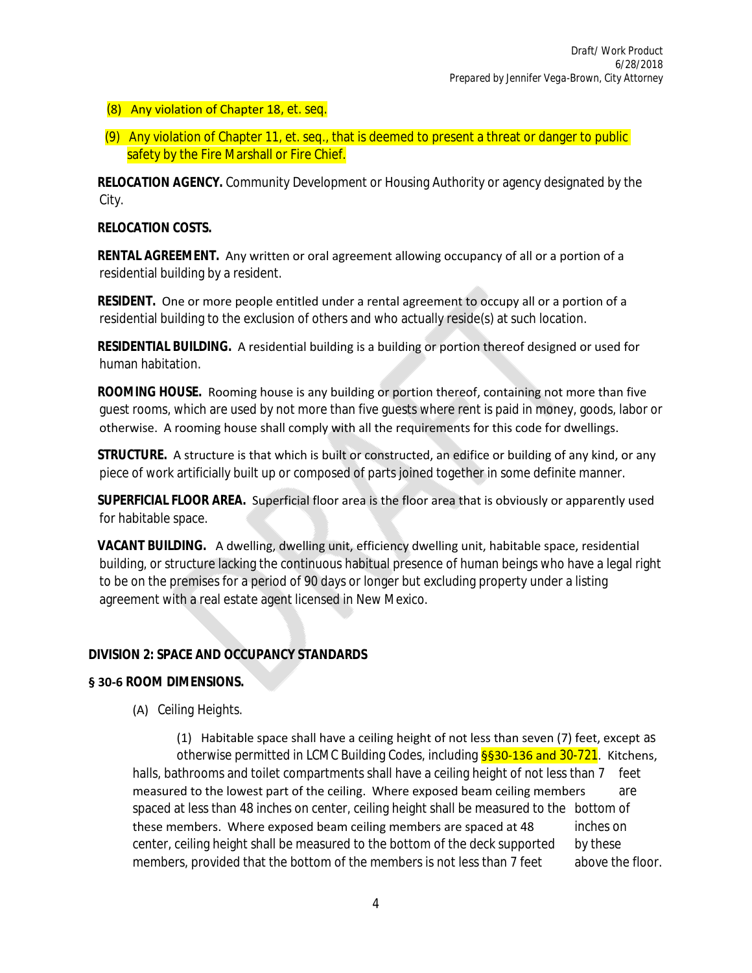## (8) Any violation of Chapter 18, et. seq.

(9) Any violation of Chapter 11, et. seq., that is deemed to present a threat or danger to public safety by the Fire Marshall or Fire Chief.

 *RELOCATION AGENCY.* Community Development or Housing Authority or agency designated by the City.

#### *RELOCATION COSTS.*

 *RENTAL AGREEMENT.* Any written or oral agreement allowing occupancy of all or a portion of a residential building by a resident.

 *RESIDENT.* One or more people entitled under a rental agreement to occupy all or a portion of a residential building to the exclusion of others and who actually reside(s) at such location.

 *RESIDENTIAL BUILDING.* A residential building is a building or portion thereof designed or used for human habitation.

 *ROOMING HOUSE.* Rooming house is any building or portion thereof, containing not more than five guest rooms, which are used by not more than five guests where rent is paid in money, goods, labor or otherwise. A rooming house shall comply with all the requirements for this code for dwellings.

 *STRUCTURE.* A structure is that which is built or constructed, an edifice or building of any kind, or any piece of work artificially built up or composed of parts joined together in some definite manner.

 *SUPERFICIAL FLOOR AREA.* Superficial floor area is the floor area that is obviously or apparently used for habitable space.

 *VACANT BUILDING.* A dwelling, dwelling unit, efficiency dwelling unit, habitable space, residential building, or structure lacking the continuous habitual presence of human beings who have a legal right to be on the premises for a period of 90 days or longer but excluding property under a listing agreement with a real estate agent licensed in New Mexico.

## **DIVISION 2: SPACE AND OCCUPANCY STANDARDS**

#### **§ 30-6 ROOM DIMENSIONS.**

(A) *Ceiling Heights.*

 (1) Habitable space shall have a ceiling height of not less than seven (7) feet, except as otherwise permitted in LCMC Building Codes, including §§30-136 and 30-721. Kitchens, halls, bathrooms and toilet compartments shall have a ceiling height of not less than 7 feet measured to the lowest part of the ceiling. Where exposed beam ceiling members are spaced at less than 48 inches on center, ceiling height shall be measured to the bottom of these members. Where exposed beam ceiling members are spaced at 48 inches on center, ceiling height shall be measured to the bottom of the deck supported by these members, provided that the bottom of the members is not less than 7 feet above the floor.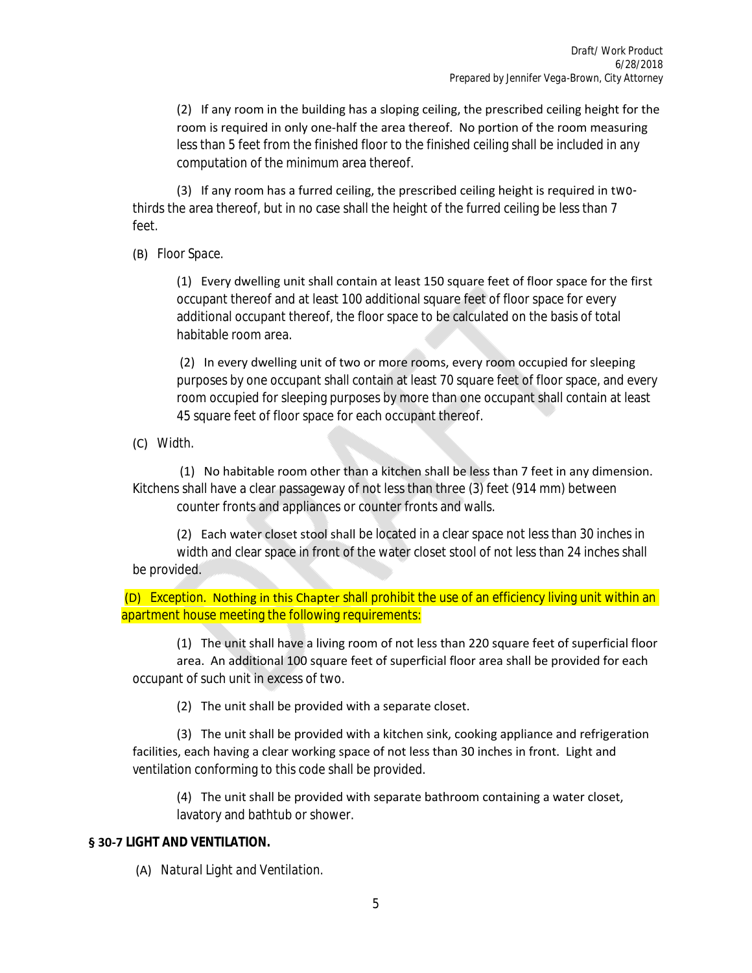(2) If any room in the building has a sloping ceiling, the prescribed ceiling height for the room is required in only one-half the area thereof. No portion of the room measuring less than 5 feet from the finished floor to the finished ceiling shall be included in any computation of the minimum area thereof.

 (3) If any room has a furred ceiling, the prescribed ceiling height is required in twothirds the area thereof, but in no case shall the height of the furred ceiling be less than 7 feet.

(B) *Floor Space.*

 (1) Every dwelling unit shall contain at least 150 square feet of floor space for the first occupant thereof and at least 100 additional square feet of floor space for every additional occupant thereof, the floor space to be calculated on the basis of total habitable room area.

 (2) In every dwelling unit of two or more rooms, every room occupied for sleeping purposes by one occupant shall contain at least 70 square feet of floor space, and every room occupied for sleeping purposes by more than one occupant shall contain at least 45 square feet of floor space for each occupant thereof.

(C) *Width.*

 (1) No habitable room other than a kitchen shall be less than 7 feet in any dimension. Kitchens shall have a clear passageway of not less than three (3) feet (914 mm) between counter fronts and appliances or counter fronts and walls.

 (2) Each water closet stool shall be located in a clear space not less than 30 inches in width and clear space in front of the water closet stool of not less than 24 inches shall be provided.

 (D) *Exception.* Nothing in this Chapter shall prohibit the use of an efficiency living unit within an apartment house meeting the following requirements:

 (1) The unit shall have a living room of not less than 220 square feet of superficial floor area. An additional 100 square feet of superficial floor area shall be provided for each occupant of such unit in excess of two.

(2) The unit shall be provided with a separate closet.

 (3) The unit shall be provided with a kitchen sink, cooking appliance and refrigeration facilities, each having a clear working space of not less than 30 inches in front. Light and ventilation conforming to this code shall be provided.

 (4) The unit shall be provided with separate bathroom containing a water closet, lavatory and bathtub or shower.

#### **§ 30-7 LIGHT AND VENTILATION.**

(A) *Natural Light and Ventilation.*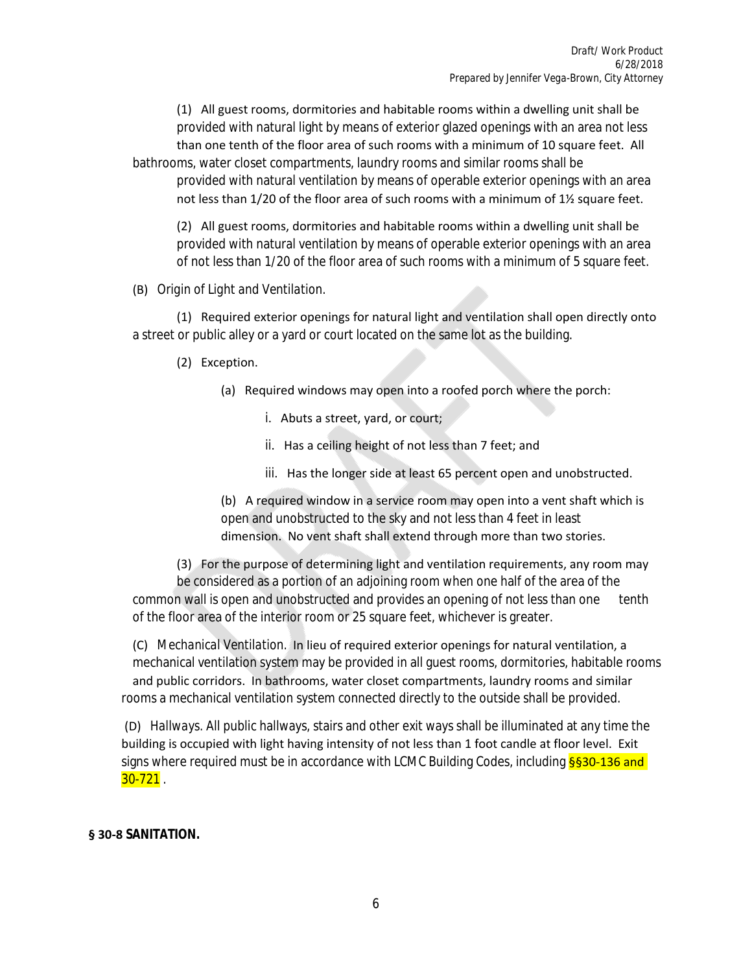(1) All guest rooms, dormitories and habitable rooms within a dwelling unit shall be provided with natural light by means of exterior glazed openings with an area not less than one tenth of the floor area of such rooms with a minimum of 10 square feet. All bathrooms, water closet compartments, laundry rooms and similar rooms shall be provided with natural ventilation by means of operable exterior openings with an area not less than  $1/20$  of the floor area of such rooms with a minimum of  $1\frac{1}{2}$  square feet.

 (2) All guest rooms, dormitories and habitable rooms within a dwelling unit shall be provided with natural ventilation by means of operable exterior openings with an area of not less than 1/20 of the floor area of such rooms with a minimum of 5 square feet.

(B) *Origin of Light and Ventilation.*

 (1) Required exterior openings for natural light and ventilation shall open directly onto a street or public alley or a yard or court located on the same lot as the building.

- (2) Exception.
	- (a) Required windows may open into a roofed porch where the porch:
		- i. Abuts a street, yard, or court;
		- ii. Has a ceiling height of not less than 7 feet; and
		- iii. Has the longer side at least 65 percent open and unobstructed.

 (b) A required window in a service room may open into a vent shaft which is open and unobstructed to the sky and not less than 4 feet in least dimension. No vent shaft shall extend through more than two stories.

 (3) For the purpose of determining light and ventilation requirements, any room may be considered as a portion of an adjoining room when one half of the area of the common wall is open and unobstructed and provides an opening of not less than one tenth of the floor area of the interior room or 25 square feet, whichever is greater.

 (C) *Mechanical Ventilation.* In lieu of required exterior openings for natural ventilation, a mechanical ventilation system may be provided in all guest rooms, dormitories, habitable rooms and public corridors. In bathrooms, water closet compartments, laundry rooms and similar rooms a mechanical ventilation system connected directly to the outside shall be provided.

 (D) *Hallways.* All public hallways, stairs and other exit ways shall be illuminated at any time the building is occupied with light having intensity of not less than 1 foot candle at floor level. Exit signs where required must be in accordance with LCMC Building Codes, including **§§30-136 and**  $30 - 721$  .

## **§ 30-8 SANITATION.**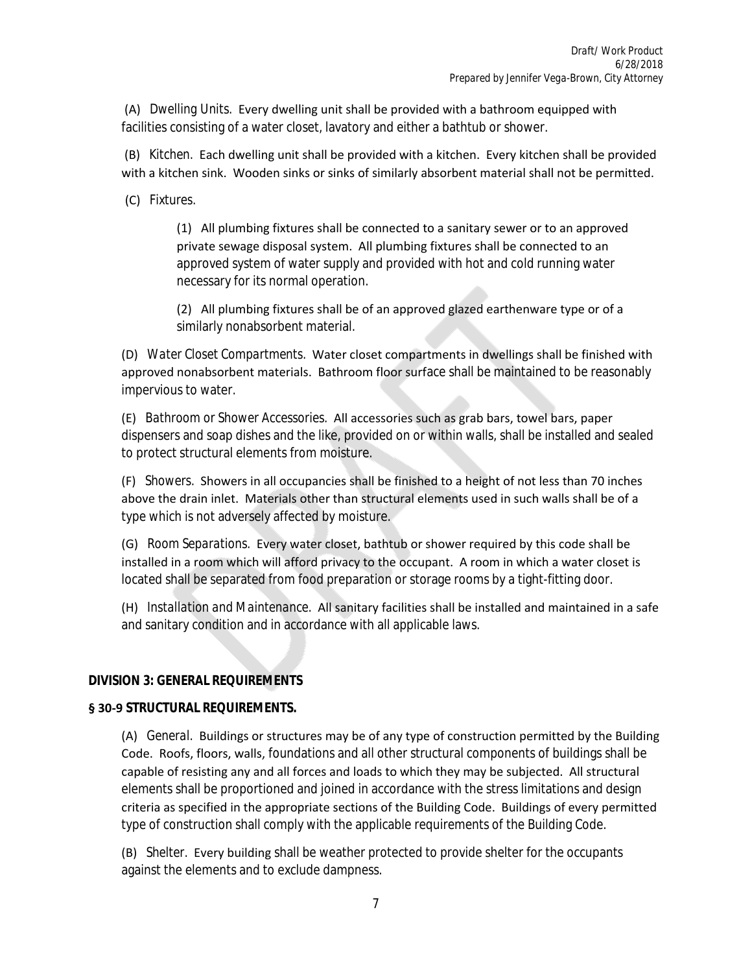(A) *Dwelling Units.* Every dwelling unit shall be provided with a bathroom equipped with facilities consisting of a water closet, lavatory and either a bathtub or shower.

 (B) *Kitchen.* Each dwelling unit shall be provided with a kitchen. Every kitchen shall be provided with a kitchen sink. Wooden sinks or sinks of similarly absorbent material shall not be permitted.

(C) *Fixtures.*

 (1) All plumbing fixtures shall be connected to a sanitary sewer or to an approved private sewage disposal system. All plumbing fixtures shall be connected to an approved system of water supply and provided with hot and cold running water necessary for its normal operation.

 (2) All plumbing fixtures shall be of an approved glazed earthenware type or of a similarly nonabsorbent material.

 (D) *Water Closet Compartments.* Water closet compartments in dwellings shall be finished with approved nonabsorbent materials. Bathroom floor surface shall be maintained to be reasonably impervious to water.

 (E) *Bathroom or Shower Accessories.* All accessories such as grab bars, towel bars, paper dispensers and soap dishes and the like, provided on or within walls, shall be installed and sealed to protect structural elements from moisture.

 (F) *Showers.* Showers in all occupancies shall be finished to a height of not less than 70 inches above the drain inlet. Materials other than structural elements used in such walls shall be of a type which is not adversely affected by moisture.

 (G) *Room Separations.* Every water closet, bathtub or shower required by this code shall be installed in a room which will afford privacy to the occupant. A room in which a water closet is located shall be separated from food preparation or storage rooms by a tight-fitting door.

 (H) *Installation and Maintenance.* All sanitary facilities shall be installed and maintained in a safe and sanitary condition and in accordance with all applicable laws.

## **DIVISION 3: GENERAL REQUIREMENTS**

#### **§ 30-9 STRUCTURAL REQUIREMENTS.**

 (A) *General.* Buildings or structures may be of any type of construction permitted by the Building Code. Roofs, floors, walls, foundations and all other structural components of buildings shall be capable of resisting any and all forces and loads to which they may be subjected. All structural elements shall be proportioned and joined in accordance with the stress limitations and design criteria as specified in the appropriate sections of the Building Code. Buildings of every permitted type of construction shall comply with the applicable requirements of the Building Code.

 (B) *Shelter.* Every building shall be weather protected to provide shelter for the occupants against the elements and to exclude dampness.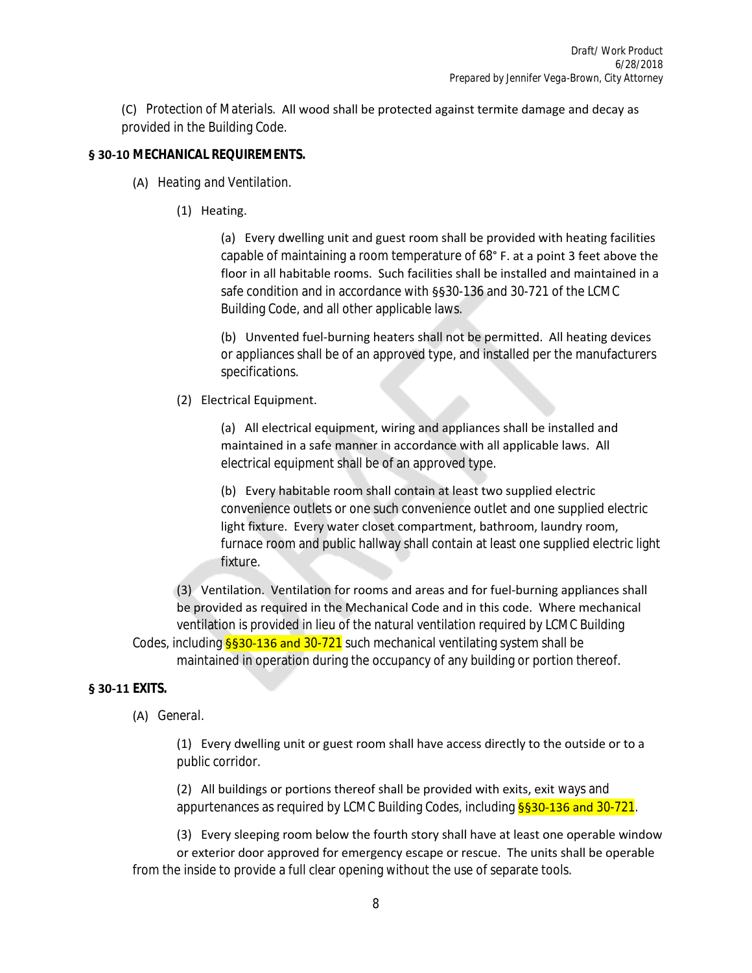(C) *Protection of Materials.* All wood shall be protected against termite damage and decay as provided in the Building Code.

#### **§ 30-10 MECHANICAL REQUIREMENTS.**

- (A) *Heating and Ventilation.*
	- (1) Heating.

 (a) Every dwelling unit and guest room shall be provided with heating facilities capable of maintaining a room temperature of 68° F. at a point 3 feet above the floor in all habitable rooms. Such facilities shall be installed and maintained in a safe condition and in accordance with §§30-136 and 30-721 of the LCMC Building Code, and all other applicable laws.

 (b) Unvented fuel-burning heaters shall not be permitted. All heating devices or appliances shall be of an approved type, and installed per the manufacturers specifications.

(2) Electrical Equipment.

 (a) All electrical equipment, wiring and appliances shall be installed and maintained in a safe manner in accordance with all applicable laws. All electrical equipment shall be of an approved type.

 (b) Every habitable room shall contain at least two supplied electric convenience outlets or one such convenience outlet and one supplied electric light fixture. Every water closet compartment, bathroom, laundry room, furnace room and public hallway shall contain at least one supplied electric light fixture.

 (3) Ventilation. Ventilation for rooms and areas and for fuel-burning appliances shall be provided as required in the Mechanical Code and in this code. Where mechanical ventilation is provided in lieu of the natural ventilation required by LCMC Building Codes, including  $\S$ 30-136 and 30-721 such mechanical ventilating system shall be

maintained in operation during the occupancy of any building or portion thereof.

#### **§ 30-11 EXITS.**

(A) *General.*

 (1) Every dwelling unit or guest room shall have access directly to the outside or to a public corridor.

 (2) All buildings or portions thereof shall be provided with exits, exit ways and appurtenances as required by LCMC Building Codes, including §§30-136 and 30-721.

 (3) Every sleeping room below the fourth story shall have at least one operable window or exterior door approved for emergency escape or rescue. The units shall be operable from the inside to provide a full clear opening without the use of separate tools.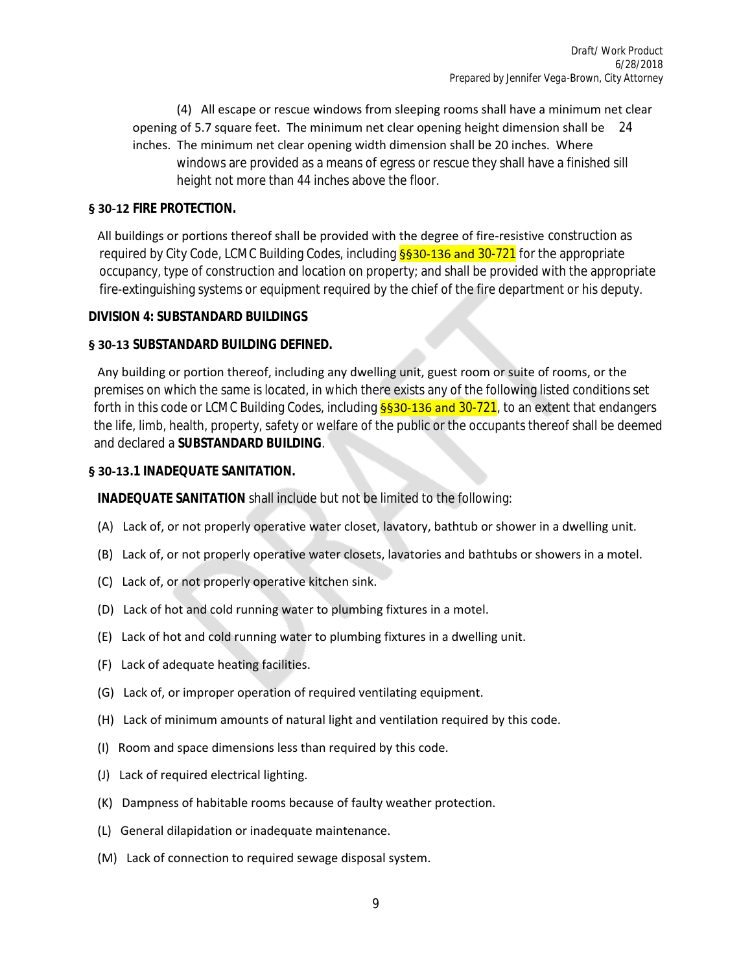(4) All escape or rescue windows from sleeping rooms shall have a minimum net clear opening of 5.7 square feet. The minimum net clear opening height dimension shall be 24 inches. The minimum net clear opening width dimension shall be 20 inches. Where windows are provided as a means of egress or rescue they shall have a finished sill height not more than 44 inches above the floor.

### **§ 30-12 FIRE PROTECTION.**

 All buildings or portions thereof shall be provided with the degree of fire-resistive construction as required by City Code, LCMC Building Codes, including §§30-136 and 30-721 for the appropriate occupancy, type of construction and location on property; and shall be provided with the appropriate fire-extinguishing systems or equipment required by the chief of the fire department or his deputy.

#### **DIVISION 4: SUBSTANDARD BUILDINGS**

## **§ 30-13 SUBSTANDARD BUILDING DEFINED.**

 Any building or portion thereof, including any dwelling unit, guest room or suite of rooms, or the premises on which the same is located, in which there exists any of the following listed conditions set forth in this code or LCMC Building Codes, including  $\S$ §30-136 and 30-721, to an extent that endangers the life, limb, health, property, safety or welfare of the public or the occupants thereof shall be deemed and declared a *SUBSTANDARD BUILDING*.

## **§ 30-13.1 INADEQUATE SANITATION.**

*INADEQUATE SANITATION* shall include but not be limited to the following:

- (A) Lack of, or not properly operative water closet, lavatory, bathtub or shower in a dwelling unit.
- (B) Lack of, or not properly operative water closets, lavatories and bathtubs or showers in a motel.
- (C) Lack of, or not properly operative kitchen sink.
- (D) Lack of hot and cold running water to plumbing fixtures in a motel.
- (E) Lack of hot and cold running water to plumbing fixtures in a dwelling unit.
- (F) Lack of adequate heating facilities.
- (G) Lack of, or improper operation of required ventilating equipment.
- (H) Lack of minimum amounts of natural light and ventilation required by this code.
- (I) Room and space dimensions less than required by this code.
- (J) Lack of required electrical lighting.
- (K) Dampness of habitable rooms because of faulty weather protection.
- (L) General dilapidation or inadequate maintenance.
- (M) Lack of connection to required sewage disposal system.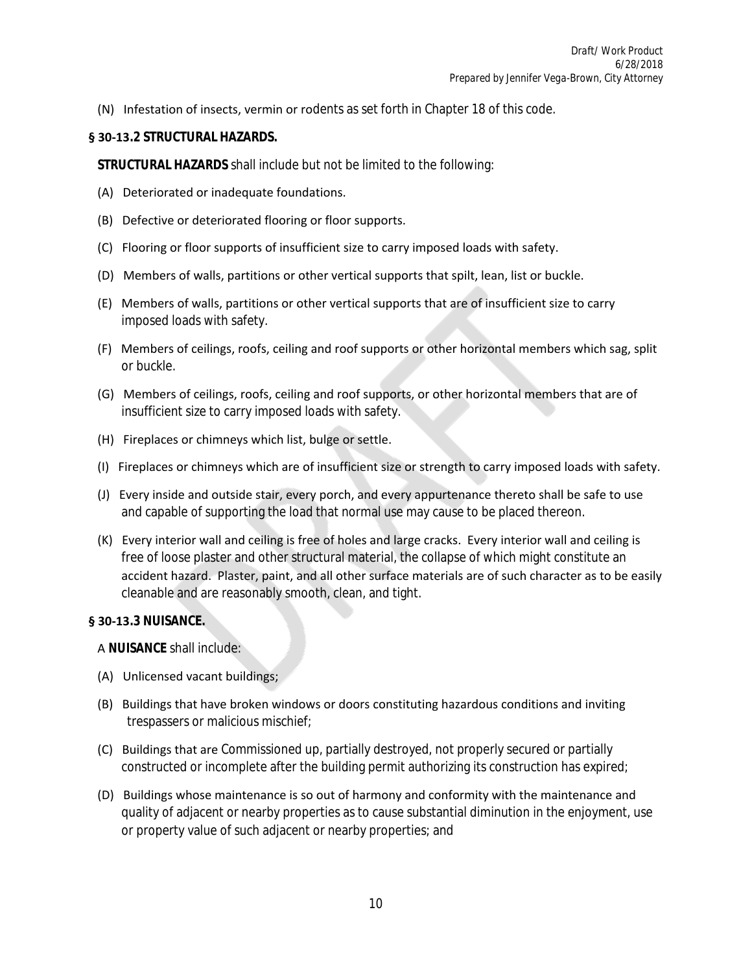(N) Infestation of insects, vermin or rodents as set forth in Chapter 18 of this code.

#### **§ 30-13.2 STRUCTURAL HAZARDS.**

*STRUCTURAL HAZARDS* shall include but not be limited to the following:

- (A) Deteriorated or inadequate foundations.
- (B) Defective or deteriorated flooring or floor supports.
- (C) Flooring or floor supports of insufficient size to carry imposed loads with safety.
- (D) Members of walls, partitions or other vertical supports that spilt, lean, list or buckle.
- (E) Members of walls, partitions or other vertical supports that are of insufficient size to carry imposed loads with safety.
- (F) Members of ceilings, roofs, ceiling and roof supports or other horizontal members which sag, split or buckle.
- (G) Members of ceilings, roofs, ceiling and roof supports, or other horizontal members that are of insufficient size to carry imposed loads with safety.
- (H) Fireplaces or chimneys which list, bulge or settle.
- (I) Fireplaces or chimneys which are of insufficient size or strength to carry imposed loads with safety.
- (J) Every inside and outside stair, every porch, and every appurtenance thereto shall be safe to use and capable of supporting the load that normal use may cause to be placed thereon.
- (K) Every interior wall and ceiling is free of holes and large cracks. Every interior wall and ceiling is free of loose plaster and other structural material, the collapse of which might constitute an accident hazard. Plaster, paint, and all other surface materials are of such character as to be easily cleanable and are reasonably smooth, clean, and tight.

#### **§ 30-13.3 NUISANCE.**

A *NUISANCE* shall include:

- (A) Unlicensed vacant buildings;
- (B) Buildings that have broken windows or doors constituting hazardous conditions and inviting trespassers or malicious mischief;
- (C) Buildings that are Commissioned up, partially destroyed, not properly secured or partially constructed or incomplete after the building permit authorizing its construction has expired;
- (D) Buildings whose maintenance is so out of harmony and conformity with the maintenance and quality of adjacent or nearby properties as to cause substantial diminution in the enjoyment, use or property value of such adjacent or nearby properties; and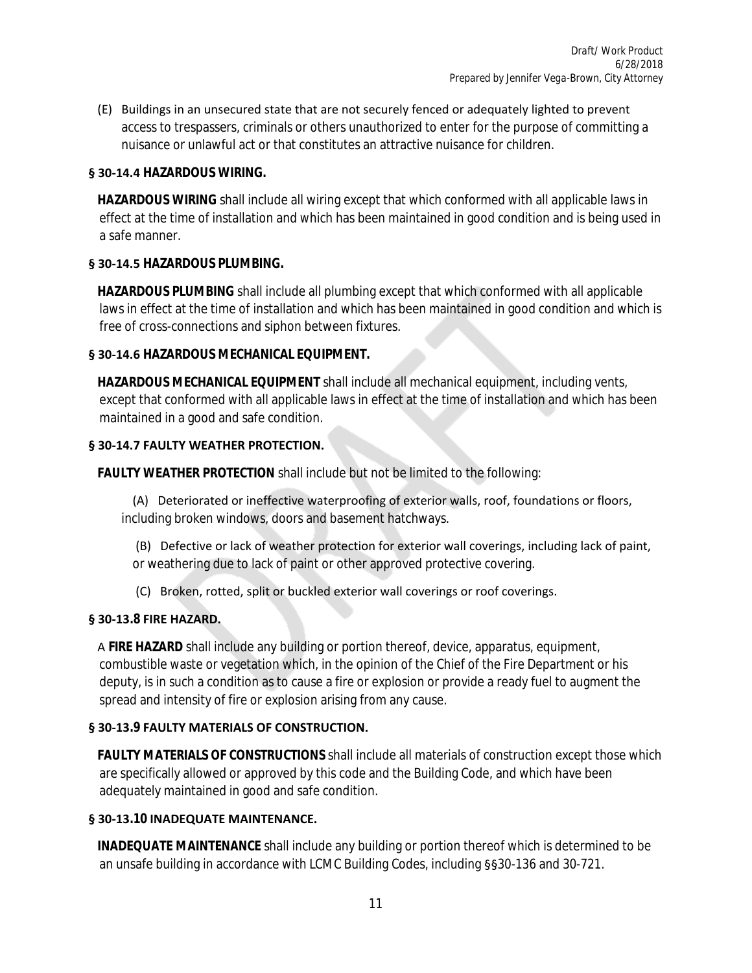(E) Buildings in an unsecured state that are not securely fenced or adequately lighted to prevent access to trespassers, criminals or others unauthorized to enter for the purpose of committing a nuisance or unlawful act or that constitutes an attractive nuisance for children.

## **§ 30-14.4 HAZARDOUS WIRING.**

 *HAZARDOUS WIRING* shall include all wiring except that which conformed with all applicable laws in effect at the time of installation and which has been maintained in good condition and is being used in a safe manner.

## **§ 30-14.5 HAZARDOUS PLUMBING.**

 *HAZARDOUS PLUMBING* shall include all plumbing except that which conformed with all applicable laws in effect at the time of installation and which has been maintained in good condition and which is free of cross-connections and siphon between fixtures.

## **§ 30-14.6 HAZARDOUS MECHANICAL EQUIPMENT.**

 *HAZARDOUS MECHANICAL EQUIPMENT* shall include all mechanical equipment, including vents, except that conformed with all applicable laws in effect at the time of installation and which has been maintained in a good and safe condition.

#### **§ 30-14.7 FAULTY WEATHER PROTECTION.**

*FAULTY WEATHER PROTECTION* shall include but not be limited to the following:

 (A) Deteriorated or ineffective waterproofing of exterior walls, roof, foundations or floors, including broken windows, doors and basement hatchways.

 (B) Defective or lack of weather protection for exterior wall coverings, including lack of paint, or weathering due to lack of paint or other approved protective covering.

(C) Broken, rotted, split or buckled exterior wall coverings or roof coverings.

#### **§ 30-13.8 FIRE HAZARD.**

 A *FIRE HAZARD* shall include any building or portion thereof, device, apparatus, equipment, combustible waste or vegetation which, in the opinion of the Chief of the Fire Department or his deputy, is in such a condition as to cause a fire or explosion or provide a ready fuel to augment the spread and intensity of fire or explosion arising from any cause.

#### **§ 30-13.9 FAULTY MATERIALS OF CONSTRUCTION.**

 *FAULTY MATERIALS OF CONSTRUCTIONS* shall include all materials of construction except those which are specifically allowed or approved by this code and the Building Code, and which have been adequately maintained in good and safe condition.

#### **§ 30-13.10 INADEQUATE MAINTENANCE.**

 *INADEQUATE MAINTENANCE* shall include any building or portion thereof which is determined to be an unsafe building in accordance with LCMC Building Codes, including §§30-136 and 30-721.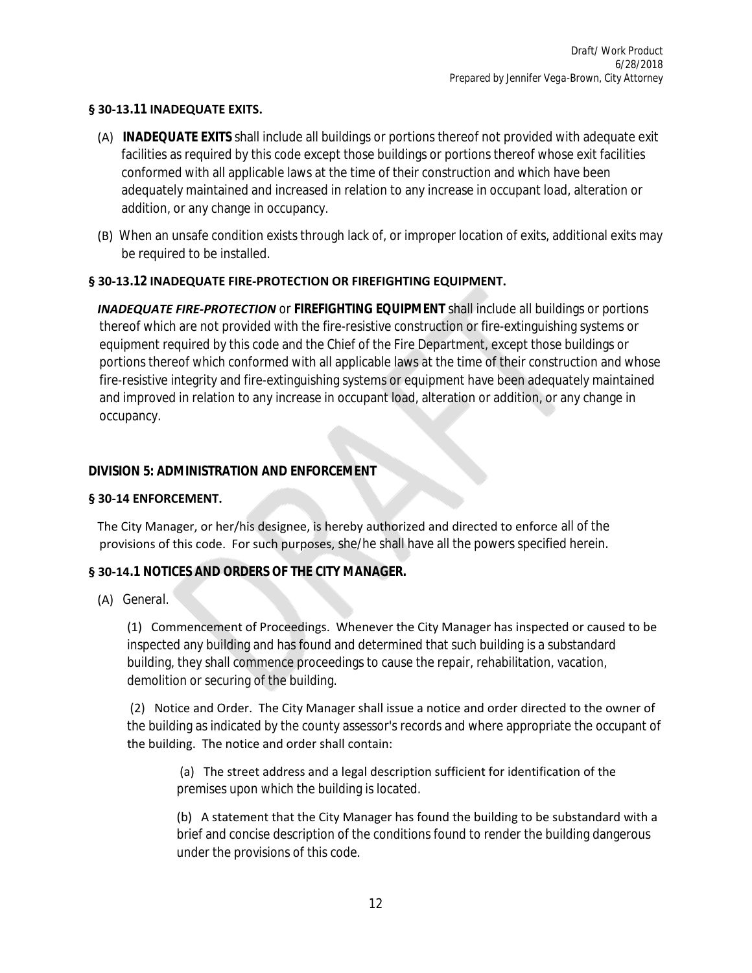## **§ 30-13.11 INADEQUATE EXITS.**

- (A) *INADEQUATE EXITS* shall include all buildings or portions thereof not provided with adequate exit facilities as required by this code except those buildings or portions thereof whose exit facilities conformed with all applicable laws at the time of their construction and which have been adequately maintained and increased in relation to any increase in occupant load, alteration or addition, or any change in occupancy.
- (B) When an unsafe condition exists through lack of, or improper location of exits, additional exits may be required to be installed.

## **§ 30-13.12 INADEQUATE FIRE-PROTECTION OR FIREFIGHTING EQUIPMENT.**

 *INADEQUATE FIRE-PROTECTION* or *FIREFIGHTING EQUIPMENT* shall include all buildings or portions thereof which are not provided with the fire-resistive construction or fire-extinguishing systems or equipment required by this code and the Chief of the Fire Department, except those buildings or portions thereof which conformed with all applicable laws at the time of their construction and whose fire-resistive integrity and fire-extinguishing systems or equipment have been adequately maintained and improved in relation to any increase in occupant load, alteration or addition, or any change in occupancy.

## **DIVISION 5: ADMINISTRATION AND ENFORCEMENT**

#### **§ 30-14 ENFORCEMENT.**

 The City Manager, or her/his designee, is hereby authorized and directed to enforce all of the provisions of this code. For such purposes, she/he shall have all the powers specified herein.

#### **§ 30-14.1 NOTICES AND ORDERS OF THE CITY MANAGER.**

(A) *General.*

 (1) Commencement of Proceedings. Whenever the City Manager has inspected or caused to be inspected any building and has found and determined that such building is a substandard building, they shall commence proceedings to cause the repair, rehabilitation, vacation, demolition or securing of the building.

 (2) Notice and Order. The City Manager shall issue a notice and order directed to the owner of the building as indicated by the county assessor's records and where appropriate the occupant of the building. The notice and order shall contain:

 (a) The street address and a legal description sufficient for identification of the premises upon which the building is located.

 (b) A statement that the City Manager has found the building to be substandard with a brief and concise description of the conditions found to render the building dangerous under the provisions of this code.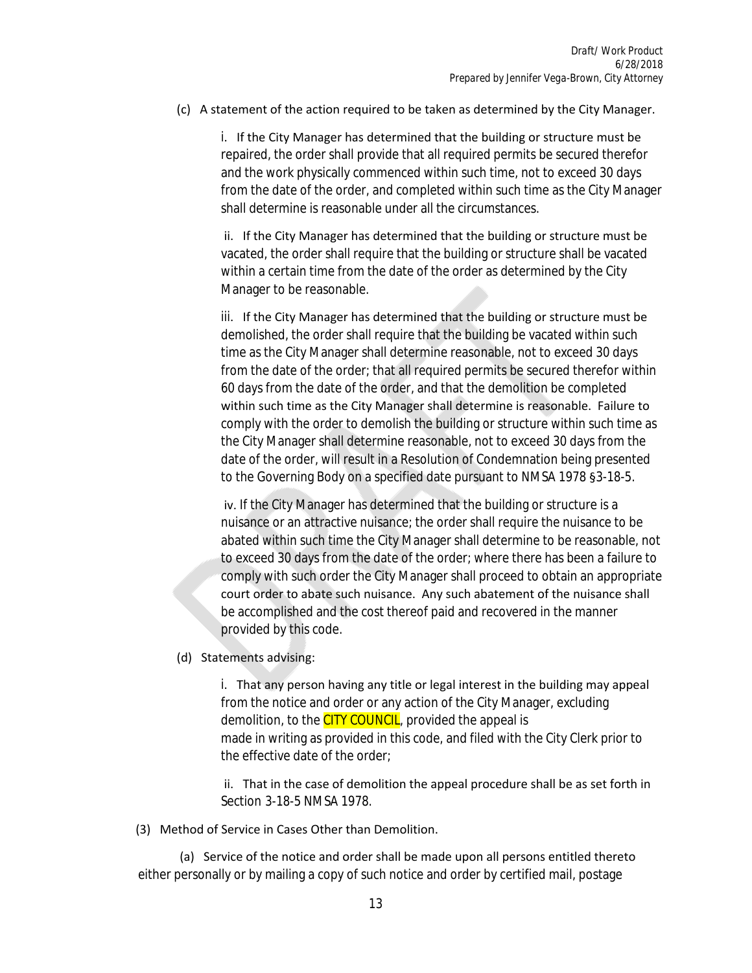#### (c) A statement of the action required to be taken as determined by the City Manager.

 i. If the City Manager has determined that the building or structure must be repaired, the order shall provide that all required permits be secured therefor and the work physically commenced within such time, not to exceed 30 days from the date of the order, and completed within such time as the City Manager shall determine is reasonable under all the circumstances.

 ii. If the City Manager has determined that the building or structure must be vacated, the order shall require that the building or structure shall be vacated within a certain time from the date of the order as determined by the City Manager to be reasonable.

 iii. If the City Manager has determined that the building or structure must be demolished, the order shall require that the building be vacated within such time as the City Manager shall determine reasonable, not to exceed 30 days from the date of the order; that all required permits be secured therefor within 60 days from the date of the order, and that the demolition be completed within such time as the City Manager shall determine is reasonable. Failure to comply with the order to demolish the building or structure within such time as the City Manager shall determine reasonable, not to exceed 30 days from the date of the order, will result in a Resolution of Condemnation being presented to the Governing Body on a specified date pursuant to NMSA 1978 §3-18-5.

 iv. If the City Manager has determined that the building or structure is a nuisance or an attractive nuisance; the order shall require the nuisance to be abated within such time the City Manager shall determine to be reasonable, not to exceed 30 days from the date of the order; where there has been a failure to comply with such order the City Manager shall proceed to obtain an appropriate court order to abate such nuisance. Any such abatement of the nuisance shall be accomplished and the cost thereof paid and recovered in the manner provided by this code.

(d) Statements advising:

 i. That any person having any title or legal interest in the building may appeal from the notice and order or any action of the City Manager, excluding demolition, to the **CITY COUNCIL**, provided the appeal is made in writing as provided in this code, and filed with the City Clerk prior to the effective date of the order;

 ii. That in the case of demolition the appeal procedure shall be as set forth in Section 3-18-5 NMSA 1978.

(3) Method of Service in Cases Other than Demolition.

 (a) Service of the notice and order shall be made upon all persons entitled thereto either personally or by mailing a copy of such notice and order by certified mail, postage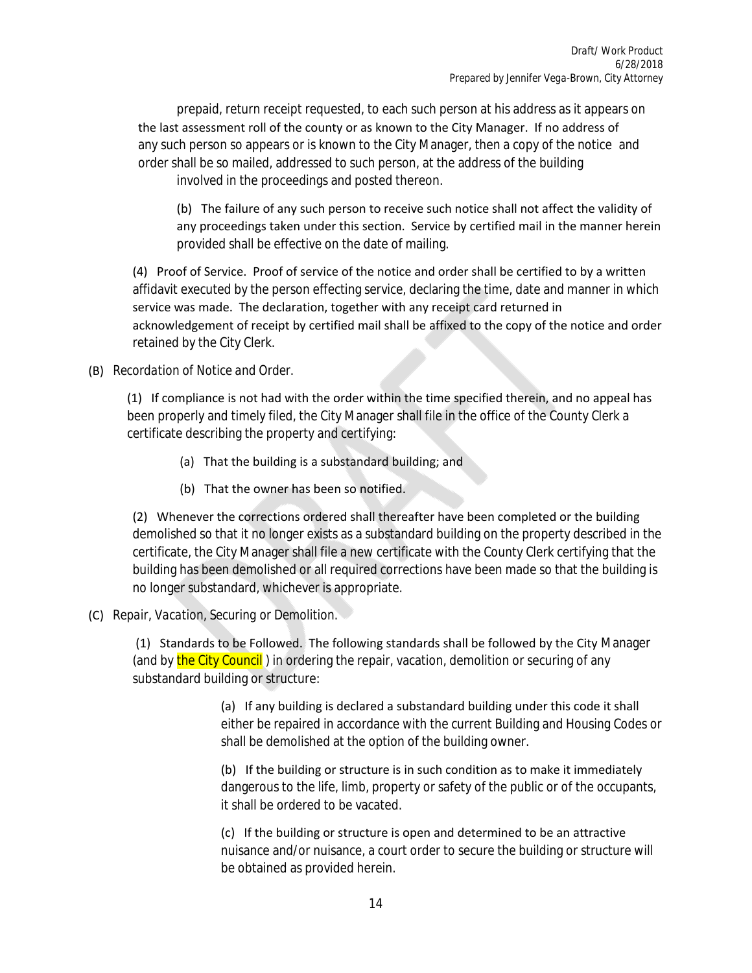prepaid, return receipt requested, to each such person at his address as it appears on the last assessment roll of the county or as known to the City Manager. If no address of any such person so appears or is known to the City Manager, then a copy of the notice and order shall be so mailed, addressed to such person, at the address of the building involved in the proceedings and posted thereon.

 (b) The failure of any such person to receive such notice shall not affect the validity of any proceedings taken under this section. Service by certified mail in the manner herein provided shall be effective on the date of mailing.

 (4) Proof of Service. Proof of service of the notice and order shall be certified to by a written affidavit executed by the person effecting service, declaring the time, date and manner in which service was made. The declaration, together with any receipt card returned in acknowledgement of receipt by certified mail shall be affixed to the copy of the notice and order retained by the City Clerk.

#### (B) *Recordation of Notice and Order.*

 (1) If compliance is not had with the order within the time specified therein, and no appeal has been properly and timely filed, the City Manager shall file in the office of the County Clerk a certificate describing the property and certifying:

- (a) That the building is a substandard building; and
- (b) That the owner has been so notified.

 (2) Whenever the corrections ordered shall thereafter have been completed or the building demolished so that it no longer exists as a substandard building on the property described in the certificate, the City Manager shall file a new certificate with the County Clerk certifying that the building has been demolished or all required corrections have been made so that the building is no longer substandard, whichever is appropriate.

## (C) *Repair, Vacation, Securing or Demolition.*

 (1) Standards to be Followed. The following standards shall be followed by the City Manager (and by the City Council) in ordering the repair, vacation, demolition or securing of any substandard building or structure:

> (a) If any building is declared a substandard building under this code it shall either be repaired in accordance with the current Building and Housing Codes or shall be demolished at the option of the building owner.

 (b) If the building or structure is in such condition as to make it immediately dangerous to the life, limb, property or safety of the public or of the occupants, it shall be ordered to be vacated.

 (c) If the building or structure is open and determined to be an attractive nuisance and/or nuisance, a court order to secure the building or structure will be obtained as provided herein.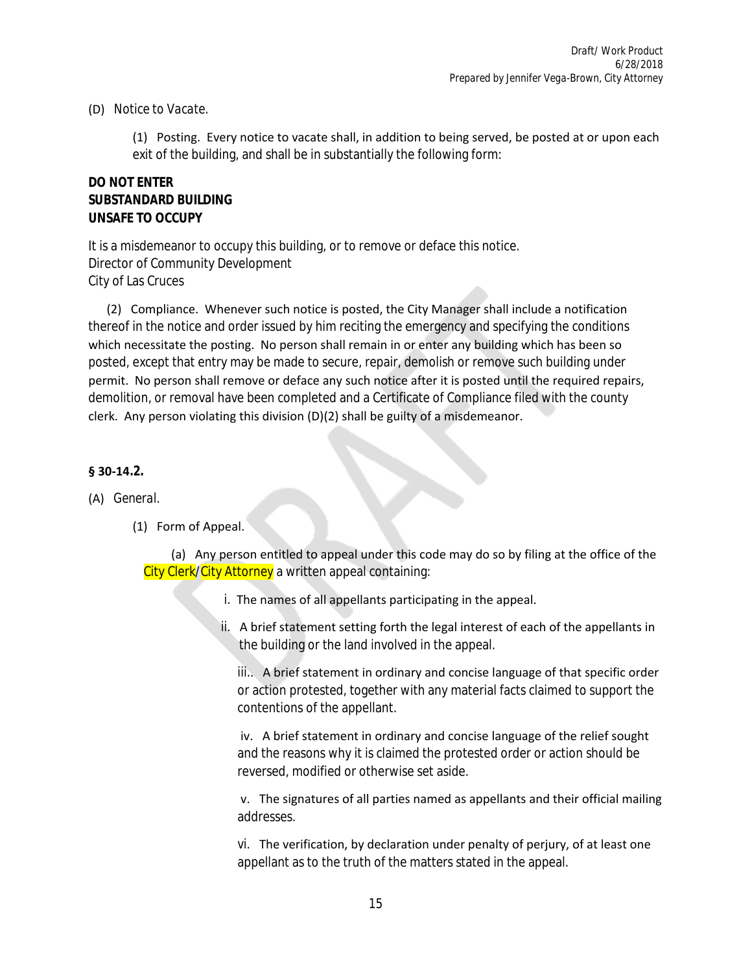(D) *Notice to Vacate.*

 (1) Posting. Every notice to vacate shall, in addition to being served, be posted at or upon each exit of the building, and shall be in substantially the following form:

## **DO NOT ENTER SUBSTANDARD BUILDING UNSAFE TO OCCUPY**

It is a misdemeanor to occupy this building, or to remove or deface this notice. Director of Community Development City of Las Cruces

 (2) Compliance. Whenever such notice is posted, the City Manager shall include a notification thereof in the notice and order issued by him reciting the emergency and specifying the conditions which necessitate the posting. No person shall remain in or enter any building which has been so posted, except that entry may be made to secure, repair, demolish or remove such building under permit. No person shall remove or deface any such notice after it is posted until the required repairs, demolition, or removal have been completed and a Certificate of Compliance filed with the county clerk. Any person violating this division (D)(2) shall be guilty of a misdemeanor.

## **§ 30-14.2.**

#### (A) *General.*

(1) Form of Appeal.

 (a) Any person entitled to appeal under this code may do so by filing at the office of the City Clerk/City Attorney a written appeal containing:

- i. The names of all appellants participating in the appeal.
- ii. A brief statement setting forth the legal interest of each of the appellants in the building or the land involved in the appeal.

iii.. A brief statement in ordinary and concise language of that specific order or action protested, together with any material facts claimed to support the contentions of the appellant.

 iv. A brief statement in ordinary and concise language of the relief sought and the reasons why it is claimed the protested order or action should be reversed, modified or otherwise set aside.

 v. The signatures of all parties named as appellants and their official mailing addresses.

 vi. The verification, by declaration under penalty of perjury, of at least one appellant as to the truth of the matters stated in the appeal.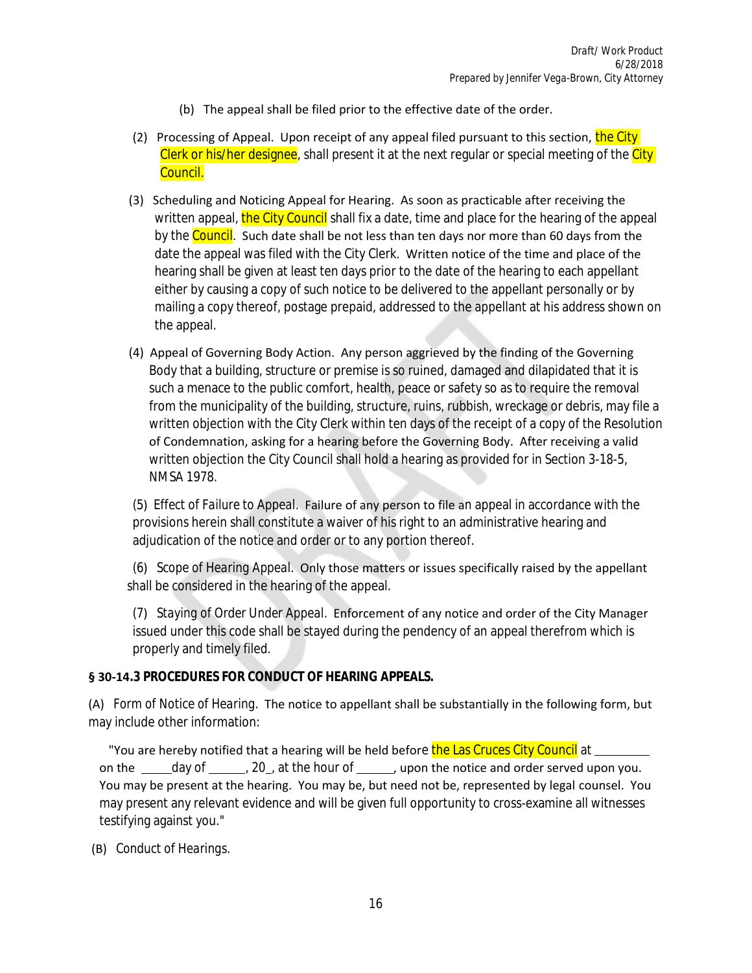- (b) The appeal shall be filed prior to the effective date of the order.
- (2) Processing of Appeal. Upon receipt of any appeal filed pursuant to this section, the City Clerk or his/her designee, shall present it at the next regular or special meeting of the City Council.
- (3) Scheduling and Noticing Appeal for Hearing. As soon as practicable after receiving the written appeal, the City Council shall fix a date, time and place for the hearing of the appeal by the Council. Such date shall be not less than ten days nor more than 60 days from the date the appeal was filed with the City Clerk. Written notice of the time and place of the hearing shall be given at least ten days prior to the date of the hearing to each appellant either by causing a copy of such notice to be delivered to the appellant personally or by mailing a copy thereof, postage prepaid, addressed to the appellant at his address shown on the appeal.
- (4) Appeal of Governing Body Action. Any person aggrieved by the finding of the Governing Body that a building, structure or premise is so ruined, damaged and dilapidated that it is such a menace to the public comfort, health, peace or safety so as to require the removal from the municipality of the building, structure, ruins, rubbish, wreckage or debris, may file a written objection with the City Clerk within ten days of the receipt of a copy of the Resolution of Condemnation, asking for a hearing before the Governing Body. After receiving a valid written objection the City Council shall hold a hearing as provided for in Section 3-18-5, NMSA 1978.

 (5) *Effect of Failure to Appeal.* Failure of any person to file an appeal in accordance with the provisions herein shall constitute a waiver of his right to an administrative hearing and adjudication of the notice and order or to any portion thereof.

 (6) *Scope of Hearing Appeal.* Only those matters or issues specifically raised by the appellant shall be considered in the hearing of the appeal.

 (7) *Staying of Order Under Appeal.* Enforcement of any notice and order of the City Manager issued under this code shall be stayed during the pendency of an appeal therefrom which is properly and timely filed.

#### **§ 30-14.3 PROCEDURES FOR CONDUCT OF HEARING APPEALS.**

(A) *Form of Notice of Hearing.* The notice to appellant shall be substantially in the following form, but may include other information:

"You are hereby notified that a hearing will be held before the Las Cruces City Council at \_ on the  $\_\_\_$ day of  $\_\_\_$ , 20, at the hour of  $\_\_\_$ , upon the notice and order served upon you. You may be present at the hearing. You may be, but need not be, represented by legal counsel. You may present any relevant evidence and will be given full opportunity to cross-examine all witnesses testifying against you."

(B) *Conduct of Hearings.*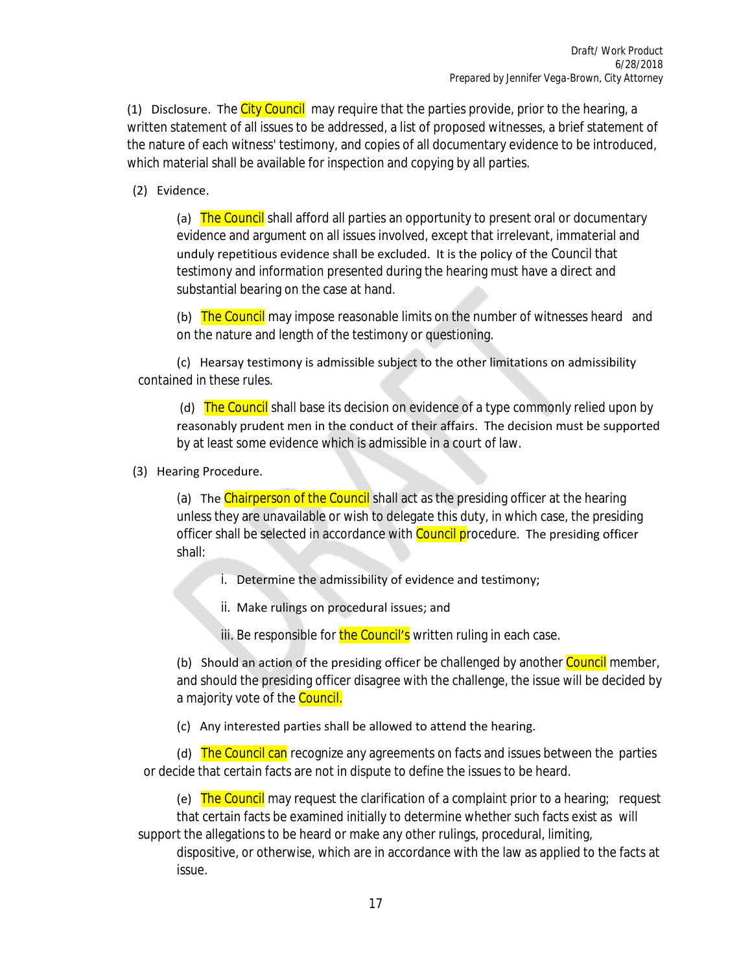(1) Disclosure. The City Council may require that the parties provide, prior to the hearing, a written statement of all issues to be addressed, a list of proposed witnesses, a brief statement of the nature of each witness' testimony, and copies of all documentary evidence to be introduced, which material shall be available for inspection and copying by all parties.

(2) Evidence.

(a) The Council shall afford all parties an opportunity to present oral or documentary evidence and argument on all issues involved, except that irrelevant, immaterial and unduly repetitious evidence shall be excluded. It is the policy of the Council that testimony and information presented during the hearing must have a direct and substantial bearing on the case at hand.

(b) The Council may impose reasonable limits on the number of witnesses heard and on the nature and length of the testimony or questioning.

 (c) Hearsay testimony is admissible subject to the other limitations on admissibility contained in these rules.

(d) The Council shall base its decision on evidence of a type commonly relied upon by reasonably prudent men in the conduct of their affairs. The decision must be supported by at least some evidence which is admissible in a court of law.

(3) Hearing Procedure.

(a) The Chairperson of the Council shall act as the presiding officer at the hearing unless they are unavailable or wish to delegate this duty, in which case, the presiding officer shall be selected in accordance with **Council procedure.** The presiding officer shall:

i. Determine the admissibility of evidence and testimony;

ii. Make rulings on procedural issues; and

iii. Be responsible for the Council's written ruling in each case.

(b) Should an action of the presiding officer be challenged by another Council member, and should the presiding officer disagree with the challenge, the issue will be decided by a majority vote of the **Council**.

(c) Any interested parties shall be allowed to attend the hearing.

(d) The Council can recognize any agreements on facts and issues between the parties or decide that certain facts are not in dispute to define the issues to be heard.

(e) The Council may request the clarification of a complaint prior to a hearing; request that certain facts be examined initially to determine whether such facts exist as will support the allegations to be heard or make any other rulings, procedural, limiting,

dispositive, or otherwise, which are in accordance with the law as applied to the facts at issue.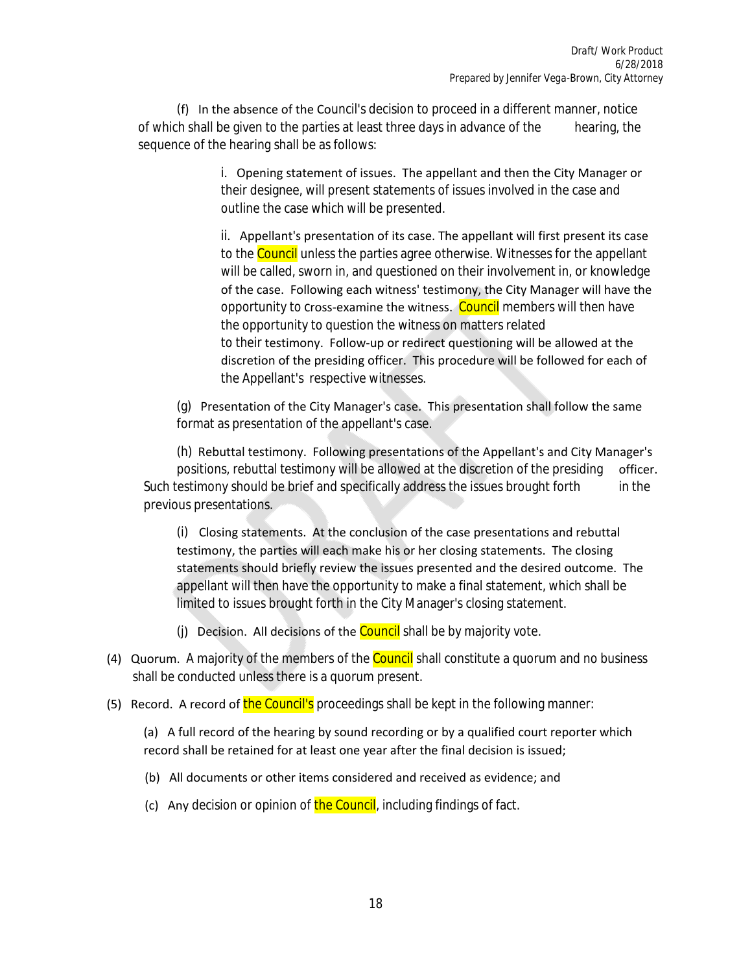(f) In the absence of the Council's decision to proceed in a different manner, notice of which shall be given to the parties at least three days in advance of the hearing, the sequence of the hearing shall be as follows:

> i. Opening statement of issues. The appellant and then the City Manager or their designee, will present statements of issues involved in the case and outline the case which will be presented.

 ii. Appellant's presentation of its case. The appellant will first present its case to the **Council** unless the parties agree otherwise. Witnesses for the appellant will be called, sworn in, and questioned on their involvement in, or knowledge of the case. Following each witness' testimony, the City Manager will have the opportunity to cross-examine the witness. Council members will then have the opportunity to question the witness on matters related to their testimony. Follow-up or redirect questioning will be allowed at the discretion of the presiding officer. This procedure will be followed for each of the Appellant's respective witnesses.

 (g) Presentation of the City Manager's case. This presentation shall follow the same format as presentation of the appellant's case.

 (h) Rebuttal testimony. Following presentations of the Appellant's and City Manager's positions, rebuttal testimony will be allowed at the discretion of the presiding officer. Such testimony should be brief and specifically address the issues brought forth in the previous presentations.

(i) Closing statements. At the conclusion of the case presentations and rebuttal testimony, the parties will each make his or her closing statements. The closing statements should briefly review the issues presented and the desired outcome. The appellant will then have the opportunity to make a final statement, which shall be limited to issues brought forth in the City Manager's closing statement.

- (j) Decision. All decisions of the  $\frac{\text{Count}}{\text{all}}$  shall be by majority vote.
- (4) Quorum. A majority of the members of the **Council** shall constitute a quorum and no business shall be conducted unless there is a quorum present.
- (5) Record. A record of the Council's proceedings shall be kept in the following manner:

 (a) A full record of the hearing by sound recording or by a qualified court reporter which record shall be retained for at least one year after the final decision is issued;

- (b) All documents or other items considered and received as evidence; and
- (c) Any decision or opinion of the Council, including findings of fact.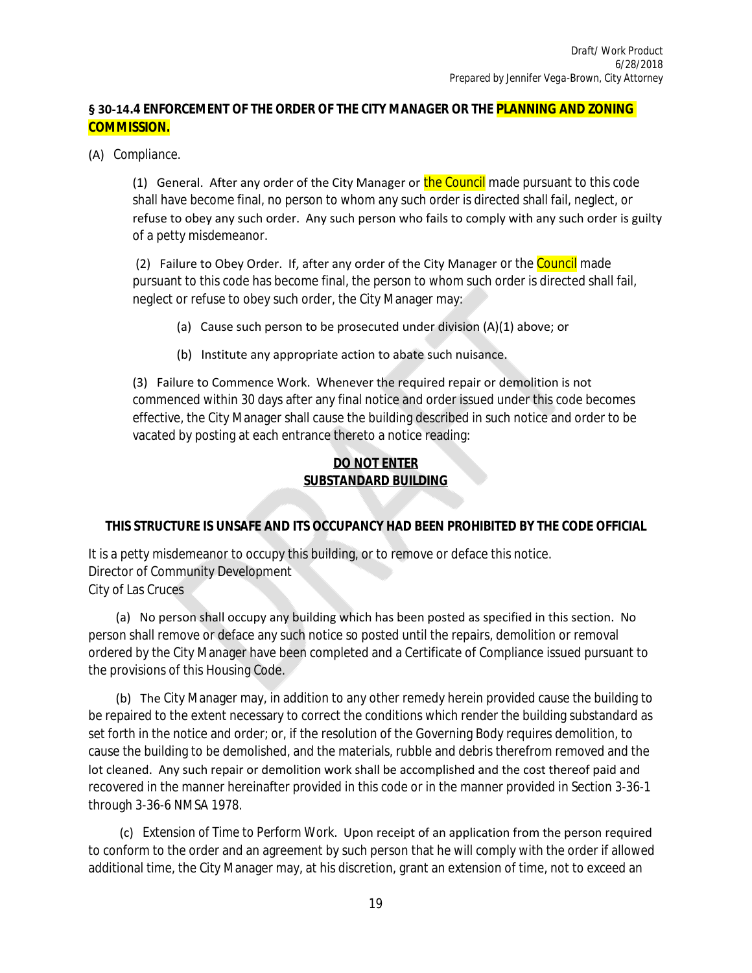## **§ 30-14.4 ENFORCEMENT OF THE ORDER OF THE CITY MANAGER OR THE PLANNING AND ZONING COMMISSION.**

(A) *Compliance.*

(1) General. After any order of the City Manager or the Council made pursuant to this code shall have become final, no person to whom any such order is directed shall fail, neglect, or refuse to obey any such order. Any such person who fails to comply with any such order is guilty of a petty misdemeanor.

(2) Failure to Obey Order. If, after any order of the City Manager or the Council made pursuant to this code has become final, the person to whom such order is directed shall fail, neglect or refuse to obey such order, the City Manager may:

- (a) Cause such person to be prosecuted under division (A)(1) above; or
- (b) Institute any appropriate action to abate such nuisance.

 (3) Failure to Commence Work. Whenever the required repair or demolition is not commenced within 30 days after any final notice and order issued under this code becomes effective, the City Manager shall cause the building described in such notice and order to be vacated by posting at each entrance thereto a notice reading:

## **DO NOT ENTER SUBSTANDARD BUILDING**

#### **THIS STRUCTURE IS UNSAFE AND ITS OCCUPANCY HAD BEEN PROHIBITED BY THE CODE OFFICIAL**

It is a petty misdemeanor to occupy this building, or to remove or deface this notice. Director of Community Development City of Las Cruces

 (a) No person shall occupy any building which has been posted as specified in this section. No person shall remove or deface any such notice so posted until the repairs, demolition or removal ordered by the City Manager have been completed and a Certificate of Compliance issued pursuant to the provisions of this Housing Code.

 (b) The City Manager may, in addition to any other remedy herein provided cause the building to be repaired to the extent necessary to correct the conditions which render the building substandard as set forth in the notice and order; or, if the resolution of the Governing Body requires demolition, to cause the building to be demolished, and the materials, rubble and debris therefrom removed and the lot cleaned. Any such repair or demolition work shall be accomplished and the cost thereof paid and recovered in the manner hereinafter provided in this code or in the manner provided in Section 3-36-1 through 3-36-6 NMSA 1978.

 (c) *Extension of Time to Perform Work.* Upon receipt of an application from the person required to conform to the order and an agreement by such person that he will comply with the order if allowed additional time, the City Manager may, at his discretion, grant an extension of time, not to exceed an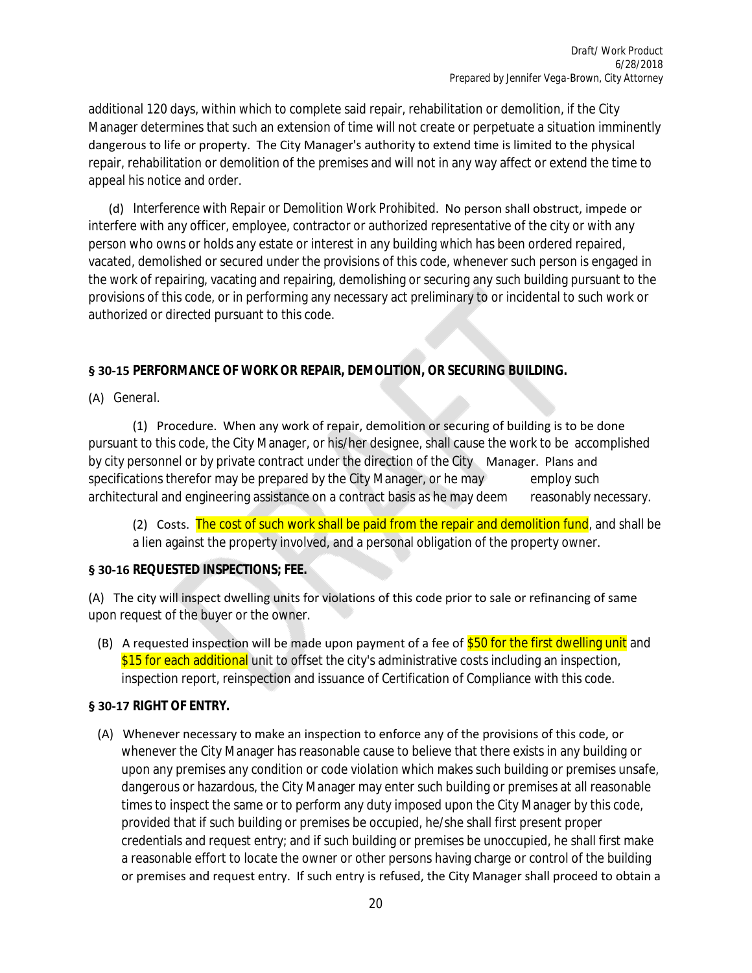additional 120 days, within which to complete said repair, rehabilitation or demolition, if the City Manager determines that such an extension of time will not create or perpetuate a situation imminently dangerous to life or property. The City Manager's authority to extend time is limited to the physical repair, rehabilitation or demolition of the premises and will not in any way affect or extend the time to appeal his notice and order.

 (d) *Interference with Repair or Demolition Work Prohibited.* No person shall obstruct, impede or interfere with any officer, employee, contractor or authorized representative of the city or with any person who owns or holds any estate or interest in any building which has been ordered repaired, vacated, demolished or secured under the provisions of this code, whenever such person is engaged in the work of repairing, vacating and repairing, demolishing or securing any such building pursuant to the provisions of this code, or in performing any necessary act preliminary to or incidental to such work or authorized or directed pursuant to this code.

## **§ 30-15 PERFORMANCE OF WORK OR REPAIR, DEMOLITION, OR SECURING BUILDING.**

(A) *General.*

 (1) Procedure. When any work of repair, demolition or securing of building is to be done pursuant to this code, the City Manager, or his/her designee, shall cause the work to be accomplished by city personnel or by private contract under the direction of the City Manager. Plans and specifications therefor may be prepared by the City Manager, or he may employ such architectural and engineering assistance on a contract basis as he may deem reasonably necessary.

(2) Costs. The cost of such work shall be paid from the repair and demolition fund, and shall be a lien against the property involved, and a personal obligation of the property owner.

## **§ 30-16 REQUESTED INSPECTIONS; FEE.**

(A) The city will inspect dwelling units for violations of this code prior to sale or refinancing of same upon request of the buyer or the owner.

(B) A requested inspection will be made upon payment of a fee of  $$50$  for the first dwelling unit and \$15 for each additional unit to offset the city's administrative costs including an inspection, inspection report, reinspection and issuance of Certification of Compliance with this code.

## **§ 30-17 RIGHT OF ENTRY.**

 (A) Whenever necessary to make an inspection to enforce any of the provisions of this code, or whenever the City Manager has reasonable cause to believe that there exists in any building or upon any premises any condition or code violation which makes such building or premises unsafe, dangerous or hazardous, the City Manager may enter such building or premises at all reasonable times to inspect the same or to perform any duty imposed upon the City Manager by this code, provided that if such building or premises be occupied, he/she shall first present proper credentials and request entry; and if such building or premises be unoccupied, he shall first make a reasonable effort to locate the owner or other persons having charge or control of the building or premises and request entry. If such entry is refused, the City Manager shall proceed to obtain a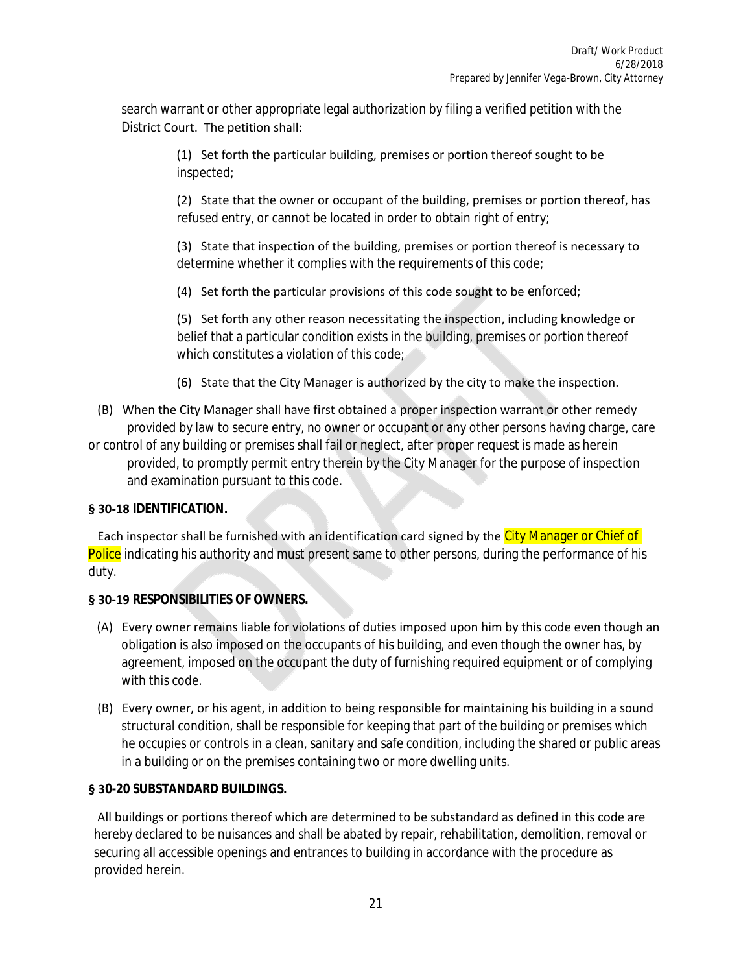search warrant or other appropriate legal authorization by filing a verified petition with the District Court. The petition shall:

> (1) Set forth the particular building, premises or portion thereof sought to be inspected;

 (2) State that the owner or occupant of the building, premises or portion thereof, has refused entry, or cannot be located in order to obtain right of entry;

 (3) State that inspection of the building, premises or portion thereof is necessary to determine whether it complies with the requirements of this code;

(4) Set forth the particular provisions of this code sought to be enforced;

 (5) Set forth any other reason necessitating the inspection, including knowledge or belief that a particular condition exists in the building, premises or portion thereof which constitutes a violation of this code;

(6) State that the City Manager is authorized by the city to make the inspection.

 (B) When the City Manager shall have first obtained a proper inspection warrant or other remedy provided by law to secure entry, no owner or occupant or any other persons having charge, care or control of any building or premises shall fail or neglect, after proper request is made as herein provided, to promptly permit entry therein by the City Manager for the purpose of inspection and examination pursuant to this code.

#### **§ 30-18 IDENTIFICATION.**

Each inspector shall be furnished with an identification card signed by the City Manager or Chief of Police indicating his authority and must present same to other persons, during the performance of his duty.

## **§ 30-19 RESPONSIBILITIES OF OWNERS.**

- (A) Every owner remains liable for violations of duties imposed upon him by this code even though an obligation is also imposed on the occupants of his building, and even though the owner has, by agreement, imposed on the occupant the duty of furnishing required equipment or of complying with this code.
- (B) Every owner, or his agent, in addition to being responsible for maintaining his building in a sound structural condition, shall be responsible for keeping that part of the building or premises which he occupies or controls in a clean, sanitary and safe condition, including the shared or public areas in a building or on the premises containing two or more dwelling units.

## **§ 30-20 SUBSTANDARD BUILDINGS.**

 All buildings or portions thereof which are determined to be substandard as defined in this code are hereby declared to be nuisances and shall be abated by repair, rehabilitation, demolition, removal or securing all accessible openings and entrances to building in accordance with the procedure as provided herein.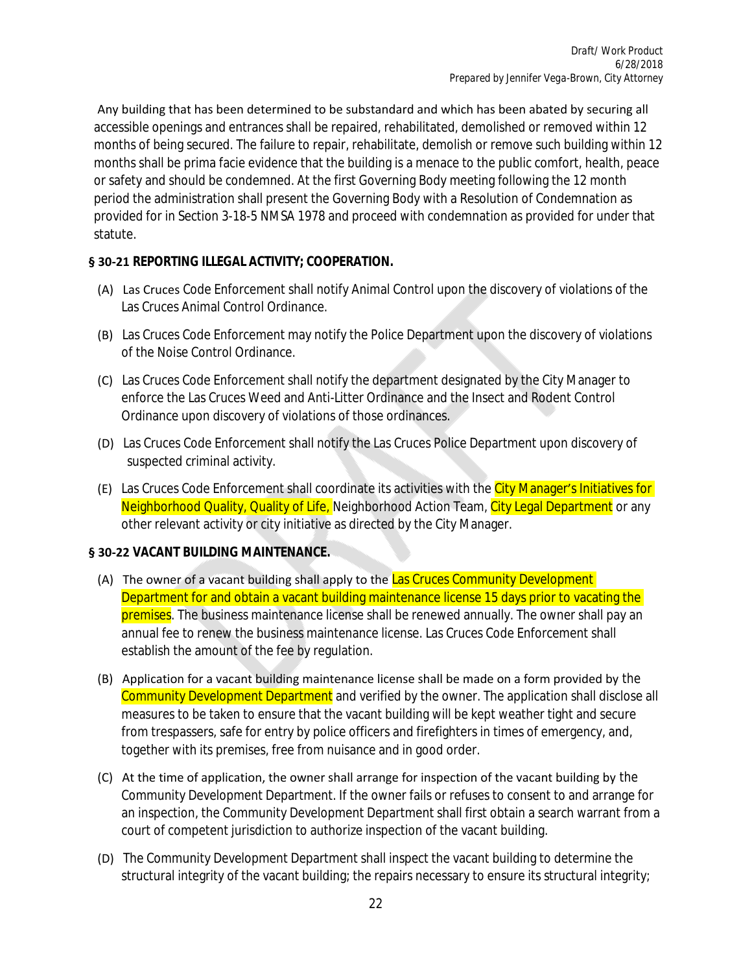Any building that has been determined to be substandard and which has been abated by securing all accessible openings and entrances shall be repaired, rehabilitated, demolished or removed within 12 months of being secured. The failure to repair, rehabilitate, demolish or remove such building within 12 months shall be prima facie evidence that the building is a menace to the public comfort, health, peace or safety and should be condemned. At the first Governing Body meeting following the 12 month period the administration shall present the Governing Body with a Resolution of Condemnation as provided for in Section 3-18-5 NMSA 1978 and proceed with condemnation as provided for under that statute.

## **§ 30-21 REPORTING ILLEGAL ACTIVITY; COOPERATION.**

- (A) Las Cruces Code Enforcement shall notify Animal Control upon the discovery of violations of the Las Cruces Animal Control Ordinance.
- (B) Las Cruces Code Enforcement may notify the Police Department upon the discovery of violations of the Noise Control Ordinance.
- (C) Las Cruces Code Enforcement shall notify the department designated by the City Manager to enforce the Las Cruces Weed and Anti-Litter Ordinance and the Insect and Rodent Control Ordinance upon discovery of violations of those ordinances.
- (D) Las Cruces Code Enforcement shall notify the Las Cruces Police Department upon discovery of suspected criminal activity.
- (E) Las Cruces Code Enforcement shall coordinate its activities with the City Manager's Initiatives for Neighborhood Quality, Quality of Life, Neighborhood Action Team, City Legal Department or any other relevant activity or city initiative as directed by the City Manager.

## **§ 30-22 VACANT BUILDING MAINTENANCE.**

- (A) The owner of a vacant building shall apply to the Las Cruces Community Development Department for and obtain a vacant building maintenance license 15 days prior to vacating the premises. The business maintenance license shall be renewed annually. The owner shall pay an annual fee to renew the business maintenance license. Las Cruces Code Enforcement shall establish the amount of the fee by regulation.
- (B) Application for a vacant building maintenance license shall be made on a form provided by the Community Development Department and verified by the owner. The application shall disclose all measures to be taken to ensure that the vacant building will be kept weather tight and secure from trespassers, safe for entry by police officers and firefighters in times of emergency, and, together with its premises, free from nuisance and in good order.
- (C) At the time of application, the owner shall arrange for inspection of the vacant building by the Community Development Department. If the owner fails or refuses to consent to and arrange for an inspection, the Community Development Department shall first obtain a search warrant from a court of competent jurisdiction to authorize inspection of the vacant building.
- (D) The Community Development Department shall inspect the vacant building to determine the structural integrity of the vacant building; the repairs necessary to ensure its structural integrity;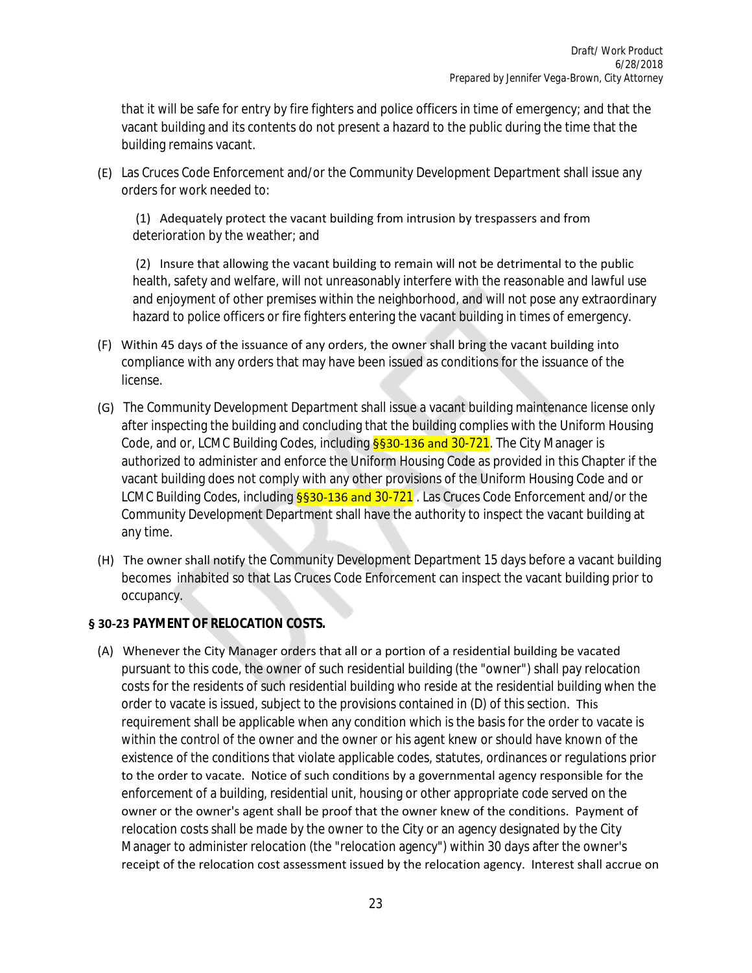that it will be safe for entry by fire fighters and police officers in time of emergency; and that the vacant building and its contents do not present a hazard to the public during the time that the building remains vacant.

 (E) Las Cruces Code Enforcement and/or the Community Development Department shall issue any orders for work needed to:

 (1) Adequately protect the vacant building from intrusion by trespassers and from deterioration by the weather; and

 (2) Insure that allowing the vacant building to remain will not be detrimental to the public health, safety and welfare, will not unreasonably interfere with the reasonable and lawful use and enjoyment of other premises within the neighborhood, and will not pose any extraordinary hazard to police officers or fire fighters entering the vacant building in times of emergency.

- (F) Within 45 days of the issuance of any orders, the owner shall bring the vacant building into compliance with any orders that may have been issued as conditions for the issuance of the license.
- (G) The Community Development Department shall issue a vacant building maintenance license only after inspecting the building and concluding that the building complies with the Uniform Housing Code, and or, LCMC Building Codes, including **§§30-136 and 30-721**. The City Manager is authorized to administer and enforce the Uniform Housing Code as provided in this Chapter if the vacant building does not comply with any other provisions of the Uniform Housing Code and or LCMC Building Codes, including **§§30-136 and 30-721**. Las Cruces Code Enforcement and/or the Community Development Department shall have the authority to inspect the vacant building at any time.
- (H) The owner shall notify the Community Development Department 15 days before a vacant building becomes inhabited so that Las Cruces Code Enforcement can inspect the vacant building prior to occupancy.

#### **§ 30-23 PAYMENT OF RELOCATION COSTS.**

 (A) Whenever the City Manager orders that all or a portion of a residential building be vacated pursuant to this code, the owner of such residential building (the "owner") shall pay relocation costs for the residents of such residential building who reside at the residential building when the order to vacate is issued, subject to the provisions contained in (D) of this section. This requirement shall be applicable when any condition which is the basis for the order to vacate is within the control of the owner and the owner or his agent knew or should have known of the existence of the conditions that violate applicable codes, statutes, ordinances or regulations prior to the order to vacate. Notice of such conditions by a governmental agency responsible for the enforcement of a building, residential unit, housing or other appropriate code served on the owner or the owner's agent shall be proof that the owner knew of the conditions. Payment of relocation costs shall be made by the owner to the City or an agency designated by the City Manager to administer relocation (the "relocation agency") within 30 days after the owner's receipt of the relocation cost assessment issued by the relocation agency. Interest shall accrue on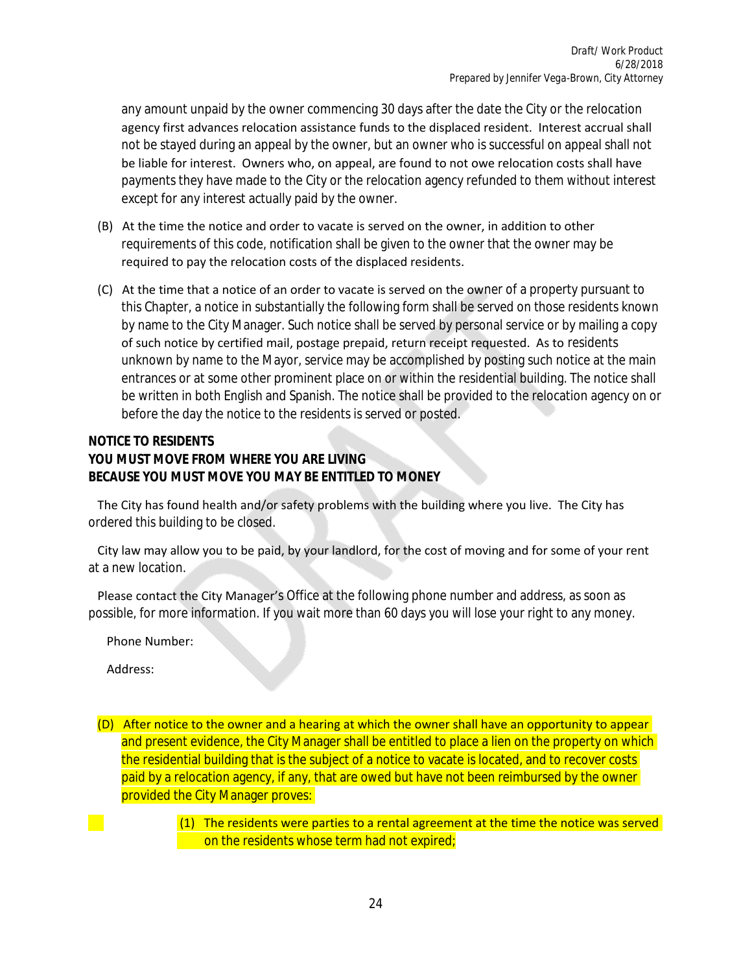any amount unpaid by the owner commencing 30 days after the date the City or the relocation agency first advances relocation assistance funds to the displaced resident. Interest accrual shall not be stayed during an appeal by the owner, but an owner who is successful on appeal shall not be liable for interest. Owners who, on appeal, are found to not owe relocation costs shall have payments they have made to the City or the relocation agency refunded to them without interest except for any interest actually paid by the owner.

- (B) At the time the notice and order to vacate is served on the owner, in addition to other requirements of this code, notification shall be given to the owner that the owner may be required to pay the relocation costs of the displaced residents.
- (C) At the time that a notice of an order to vacate is served on the owner of a property pursuant to this Chapter, a notice in substantially the following form shall be served on those residents known by name to the City Manager. Such notice shall be served by personal service or by mailing a copy of such notice by certified mail, postage prepaid, return receipt requested. As to residents unknown by name to the Mayor, service may be accomplished by posting such notice at the main entrances or at some other prominent place on or within the residential building. The notice shall be written in both English and Spanish. The notice shall be provided to the relocation agency on or before the day the notice to the residents is served or posted.

#### **NOTICE TO RESIDENTS YOU MUST MOVE FROM WHERE YOU ARE LIVING BECAUSE YOU MUST MOVE YOU MAY BE ENTITLED TO MONEY**

 The City has found health and/or safety problems with the building where you live. The City has ordered this building to be closed.

 City law may allow you to be paid, by your landlord, for the cost of moving and for some of your rent at a new location.

 Please contact the City Manager's Office at the following phone number and address, as soon as possible, for more information. If you wait more than 60 days you will lose your right to any money.

Phone Number:

Address:

 (D) After notice to the owner and a hearing at which the owner shall have an opportunity to appear and present evidence, the City Manager shall be entitled to place a lien on the property on which the residential building that is the subject of a notice to vacate is located, and to recover costs paid by a relocation agency, if any, that are owed but have not been reimbursed by the owner provided the City Manager proves:

> (1) The residents were parties to a rental agreement at the time the notice was served on the residents whose term had not expired;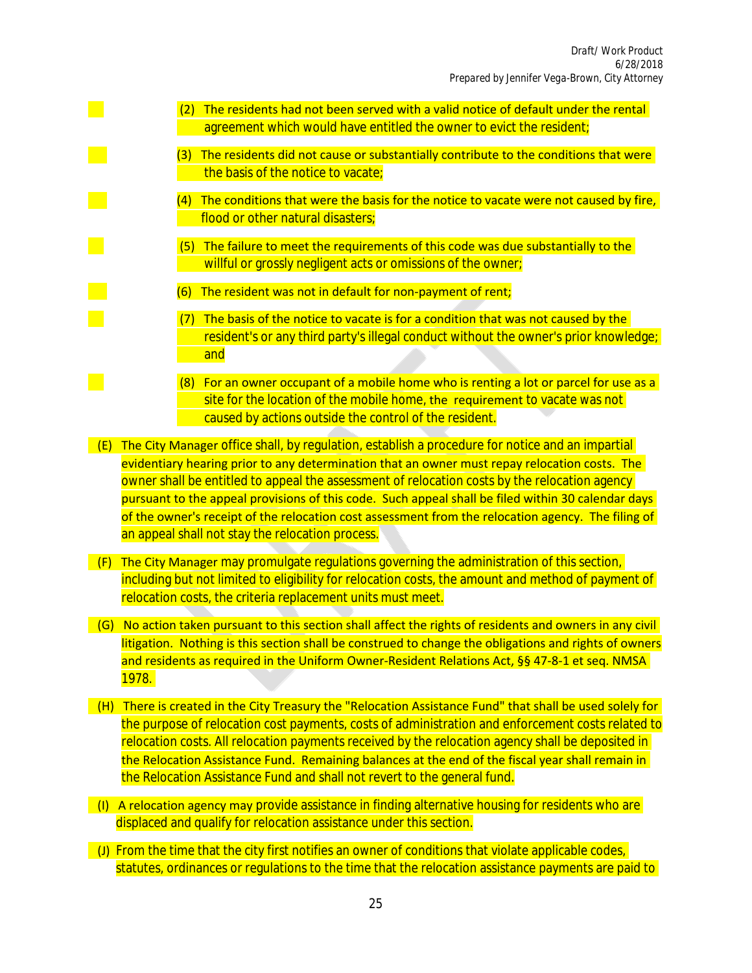- $\frac{1}{2}$  (2) The residents had not been served with a valid notice of default under the rental agreement which would have entitled the owner to evict the resident;
	- (3) The residents did not cause or substantially contribute to the conditions that were the basis of the notice to vacate;
	- (4) The conditions that were the basis for the notice to vacate were not caused by fire, flood or other natural disasters;
- (5) The failure to meet the requirements of this code was due substantially to the willful or grossly negligent acts or omissions of the owner;
	- (6) The resident was not in default for non-payment of rent;
	- (7) The basis of the notice to vacate is for a condition that was not caused by the resident's or any third party's illegal conduct without the owner's prior knowledge; and
- **For an owner occupant of a mobile home who is renting a lot or parcel for use as a**  site for the location of the mobile home, the requirement to vacate was not caused by actions outside the control of the resident.

 $\overline{E}$  (E) The City Manager office shall, by regulation, establish a procedure for notice and an impartial evidentiary hearing prior to any determination that an owner must repay relocation costs. The owner shall be entitled to appeal the assessment of relocation costs by the relocation agency pursuant to the appeal provisions of this code. Such appeal shall be filed within 30 calendar days of the owner's receipt of the relocation cost assessment from the relocation agency. The filing of an appeal shall not stay the relocation process.

- $\overline{F}$  (F) The City Manager may promulgate regulations governing the administration of this section, including but not limited to eligibility for relocation costs, the amount and method of payment of relocation costs, the criteria replacement units must meet.
- (G) No action taken pursuant to this section shall affect the rights of residents and owners in any civil litigation. Nothing is this section shall be construed to change the obligations and rights of owners and residents as required in the Uniform Owner-Resident Relations Act, §§ 47-8-1 et seq. NMSA 1978.
- (H) There is created in the City Treasury the "Relocation Assistance Fund" that shall be used solely for the purpose of relocation cost payments, costs of administration and enforcement costs related to relocation costs. All relocation payments received by the relocation agency shall be deposited in the Relocation Assistance Fund. Remaining balances at the end of the fiscal year shall remain in the Relocation Assistance Fund and shall not revert to the general fund.
- (I) A relocation agency may provide assistance in finding alternative housing for residents who are displaced and qualify for relocation assistance under this section.
- (J) From the time that the city first notifies an owner of conditions that violate applicable codes, statutes, ordinances or regulations to the time that the relocation assistance payments are paid to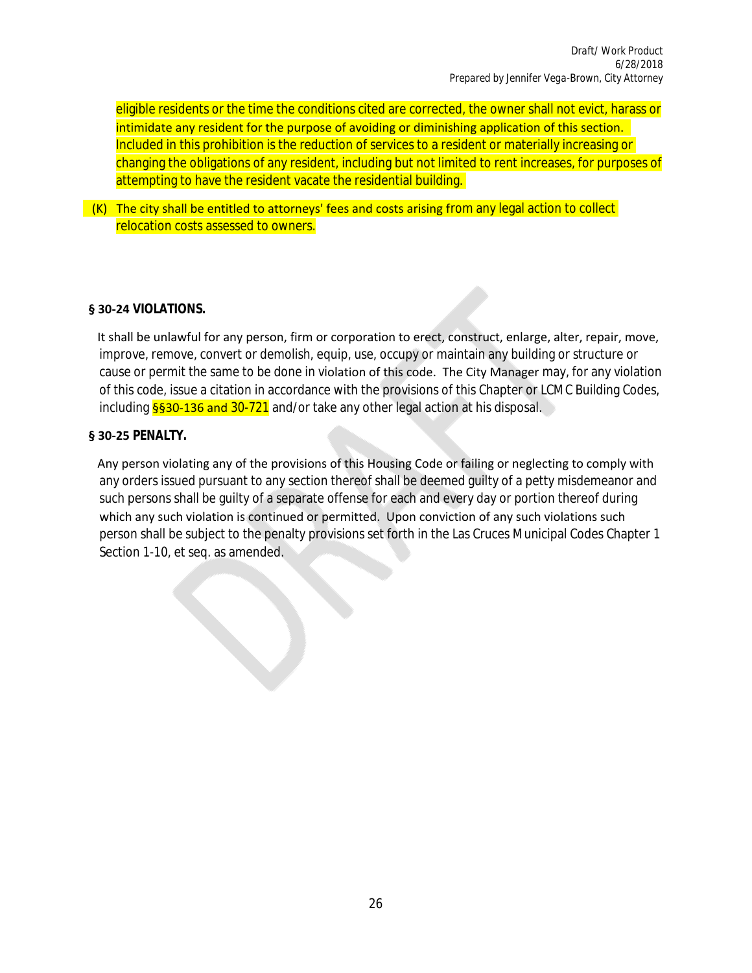eligible residents or the time the conditions cited are corrected, the owner shall not evict, harass or intimidate any resident for the purpose of avoiding or diminishing application of this section. Included in this prohibition is the reduction of services to a resident or materially increasing or changing the obligations of any resident, including but not limited to rent increases, for purposes of attempting to have the resident vacate the residential building.

 $(K)$  The city shall be entitled to attorneys' fees and costs arising from any legal action to collect relocation costs assessed to owners.

#### **§ 30-24 VIOLATIONS.**

It shall be unlawful for any person, firm or corporation to erect, construct, enlarge, alter, repair, move, improve, remove, convert or demolish, equip, use, occupy or maintain any building or structure or cause or permit the same to be done in violation of this code. The City Manager may, for any violation of this code, issue a citation in accordance with the provisions of this Chapter or LCMC Building Codes, including  $\frac{6530-136}{1}$  and  $\frac{30-721}{1}$  and/or take any other legal action at his disposal.

#### **§ 30-25 PENALTY.**

 Any person violating any of the provisions of this Housing Code or failing or neglecting to comply with any orders issued pursuant to any section thereof shall be deemed guilty of a petty misdemeanor and such persons shall be guilty of a separate offense for each and every day or portion thereof during which any such violation is continued or permitted. Upon conviction of any such violations such person shall be subject to the penalty provisions set forth in the Las Cruces Municipal Codes Chapter 1 Section 1-10, et seq. as amended.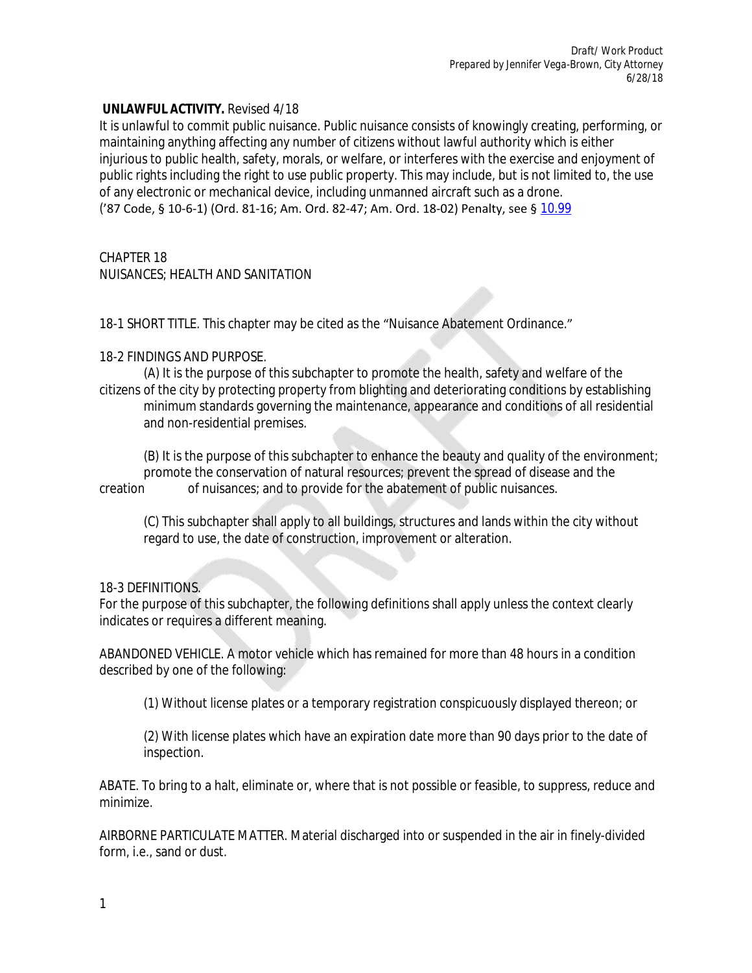#### **UNLAWFUL ACTIVITY.** Revised 4/18

It is unlawful to commit public nuisance. Public nuisance consists of knowingly creating, performing, or maintaining anything affecting any number of citizens without lawful authority which is either injurious to public health, safety, morals, or welfare, or interferes with the exercise and enjoyment of public rights including the right to use public property. This may include, but is not limited to, the use of any electronic or mechanical device, including unmanned aircraft such as a drone. ('87 Code, § 10-6-1) (Ord. 81-16; Am. Ord. 82-47; Am. Ord. 18-02) Penalty, see § [10.99](https://www.codepublishing.com/NM/RioRancho/#!/RioRancho10/RioRancho10.html#10.99)

#### CHAPTER 18 NUISANCES; HEALTH AND SANITATION

# 18-1 SHORT TITLE. This chapter may be cited as the "Nuisance Abatement Ordinance."

## 18-2 FINDINGS AND PURPOSE.

(A) It is the purpose of this subchapter to promote the health, safety and welfare of the citizens of the city by protecting property from blighting and deteriorating conditions by establishing minimum standards governing the maintenance, appearance and conditions of all residential and non-residential premises.

(B) It is the purpose of this subchapter to enhance the beauty and quality of the environment; promote the conservation of natural resources; prevent the spread of disease and the creation of nuisances; and to provide for the abatement of public nuisances.

(C) This subchapter shall apply to all buildings, structures and lands within the city without regard to use, the date of construction, improvement or alteration.

## 18-3 DEFINITIONS.

For the purpose of this subchapter, the following definitions shall apply unless the context clearly indicates or requires a different meaning.

ABANDONED VEHICLE. A motor vehicle which has remained for more than 48 hours in a condition described by one of the following:

(1) Without license plates or a temporary registration conspicuously displayed thereon; or

(2) With license plates which have an expiration date more than 90 days prior to the date of inspection.

ABATE. To bring to a halt, eliminate or, where that is not possible or feasible, to suppress, reduce and minimize.

AIRBORNE PARTICULATE MATTER. Material discharged into or suspended in the air in finely-divided form, i.e., sand or dust.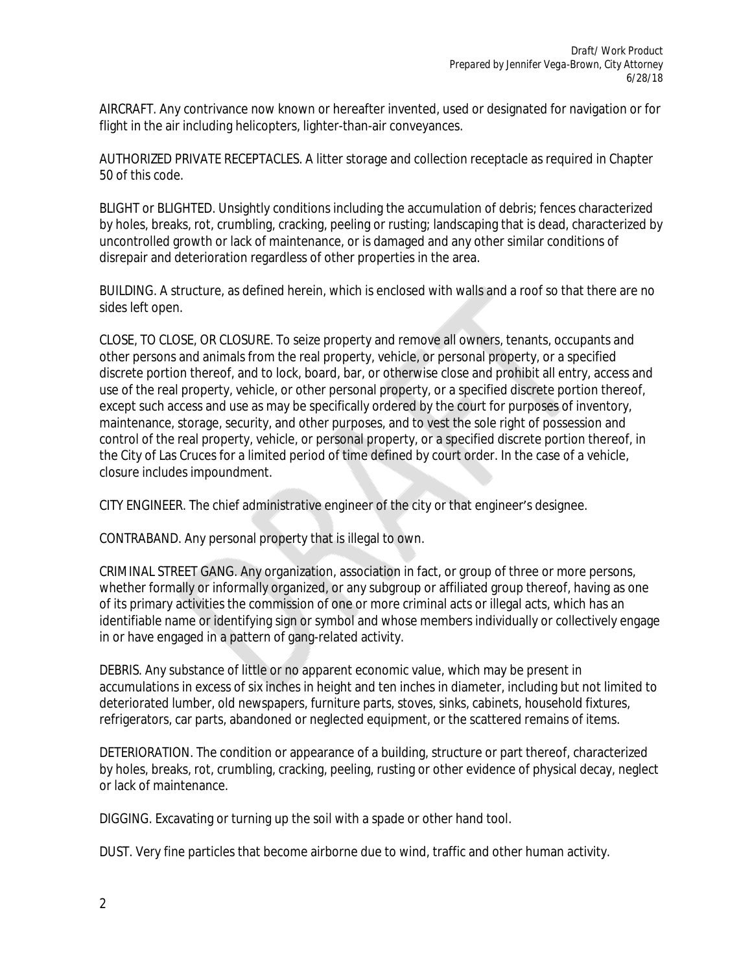AIRCRAFT. Any contrivance now known or hereafter invented, used or designated for navigation or for flight in the air including helicopters, lighter-than-air conveyances.

AUTHORIZED PRIVATE RECEPTACLES. A litter storage and collection receptacle as required in Chapter 50 of this code.

BLIGHT or BLIGHTED. Unsightly conditions including the accumulation of debris; fences characterized by holes, breaks, rot, crumbling, cracking, peeling or rusting; landscaping that is dead, characterized by uncontrolled growth or lack of maintenance, or is damaged and any other similar conditions of disrepair and deterioration regardless of other properties in the area.

BUILDING. A structure, as defined herein, which is enclosed with walls and a roof so that there are no sides left open.

CLOSE, TO CLOSE, OR CLOSURE. To seize property and remove all owners, tenants, occupants and other persons and animals from the real property, vehicle, or personal property, or a specified discrete portion thereof, and to lock, board, bar, or otherwise close and prohibit all entry, access and use of the real property, vehicle, or other personal property, or a specified discrete portion thereof, except such access and use as may be specifically ordered by the court for purposes of inventory, maintenance, storage, security, and other purposes, and to vest the sole right of possession and control of the real property, vehicle, or personal property, or a specified discrete portion thereof, in the City of Las Cruces for a limited period of time defined by court order. In the case of a vehicle, closure includes impoundment.

CITY ENGINEER. The chief administrative engineer of the city or that engineer's designee.

CONTRABAND. Any personal property that is illegal to own.

CRIMINAL STREET GANG. Any organization, association in fact, or group of three or more persons, whether formally or informally organized, or any subgroup or affiliated group thereof, having as one of its primary activities the commission of one or more criminal acts or illegal acts, which has an identifiable name or identifying sign or symbol and whose members individually or collectively engage in or have engaged in a pattern of gang-related activity.

DEBRIS. Any substance of little or no apparent economic value, which may be present in accumulations in excess of six inches in height and ten inches in diameter, including but not limited to deteriorated lumber, old newspapers, furniture parts, stoves, sinks, cabinets, household fixtures, refrigerators, car parts, abandoned or neglected equipment, or the scattered remains of items.

DETERIORATION. The condition or appearance of a building, structure or part thereof, characterized by holes, breaks, rot, crumbling, cracking, peeling, rusting or other evidence of physical decay, neglect or lack of maintenance.

DIGGING. Excavating or turning up the soil with a spade or other hand tool.

DUST. Very fine particles that become airborne due to wind, traffic and other human activity.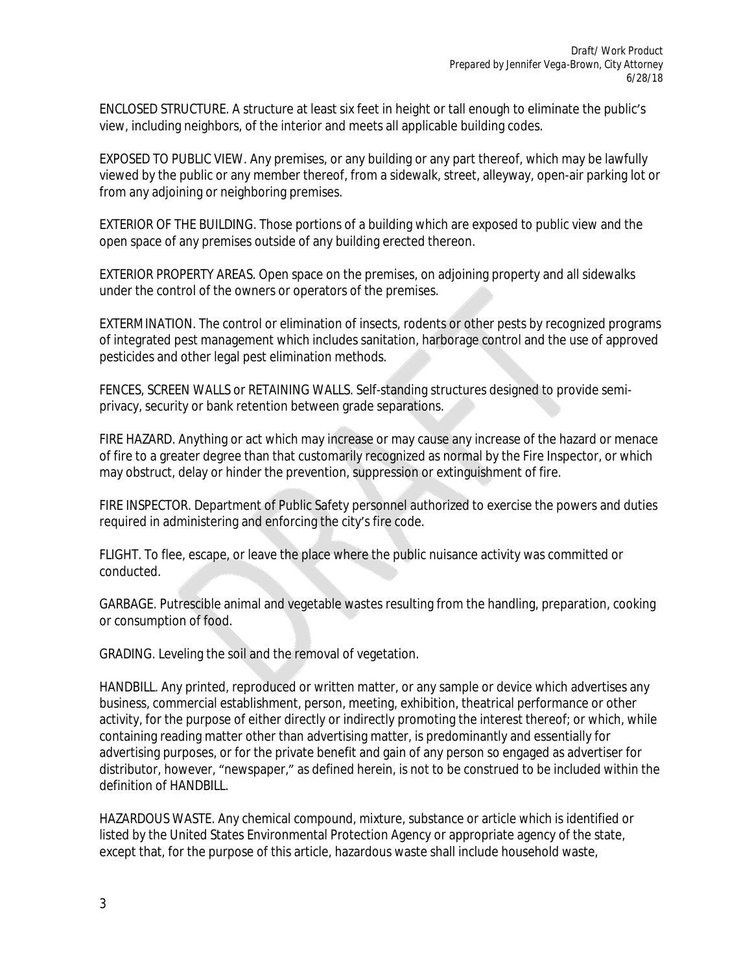ENCLOSED STRUCTURE. A structure at least six feet in height or tall enough to eliminate the public's view, including neighbors, of the interior and meets all applicable building codes.

EXPOSED TO PUBLIC VIEW. Any premises, or any building or any part thereof, which may be lawfully viewed by the public or any member thereof, from a sidewalk, street, alleyway, open-air parking lot or from any adjoining or neighboring premises.

EXTERIOR OF THE BUILDING. Those portions of a building which are exposed to public view and the open space of any premises outside of any building erected thereon.

EXTERIOR PROPERTY AREAS. Open space on the premises, on adjoining property and all sidewalks under the control of the owners or operators of the premises.

EXTERMINATION. The control or elimination of insects, rodents or other pests by recognized programs of integrated pest management which includes sanitation, harborage control and the use of approved pesticides and other legal pest elimination methods.

FENCES, SCREEN WALLS or RETAINING WALLS. Self-standing structures designed to provide semiprivacy, security or bank retention between grade separations.

FIRE HAZARD. Anything or act which may increase or may cause any increase of the hazard or menace of fire to a greater degree than that customarily recognized as normal by the Fire Inspector, or which may obstruct, delay or hinder the prevention, suppression or extinguishment of fire.

FIRE INSPECTOR. Department of Public Safety personnel authorized to exercise the powers and duties required in administering and enforcing the city's fire code.

FLIGHT. To flee, escape, or leave the place where the public nuisance activity was committed or conducted.

GARBAGE. Putrescible animal and vegetable wastes resulting from the handling, preparation, cooking or consumption of food.

GRADING. Leveling the soil and the removal of vegetation.

HANDBILL. Any printed, reproduced or written matter, or any sample or device which advertises any business, commercial establishment, person, meeting, exhibition, theatrical performance or other activity, for the purpose of either directly or indirectly promoting the interest thereof; or which, while containing reading matter other than advertising matter, is predominantly and essentially for advertising purposes, or for the private benefit and gain of any person so engaged as advertiser for distributor, however, "newspaper," as defined herein, is not to be construed to be included within the definition of HANDBILL.

HAZARDOUS WASTE. Any chemical compound, mixture, substance or article which is identified or listed by the United States Environmental Protection Agency or appropriate agency of the state, except that, for the purpose of this article, hazardous waste shall include household waste,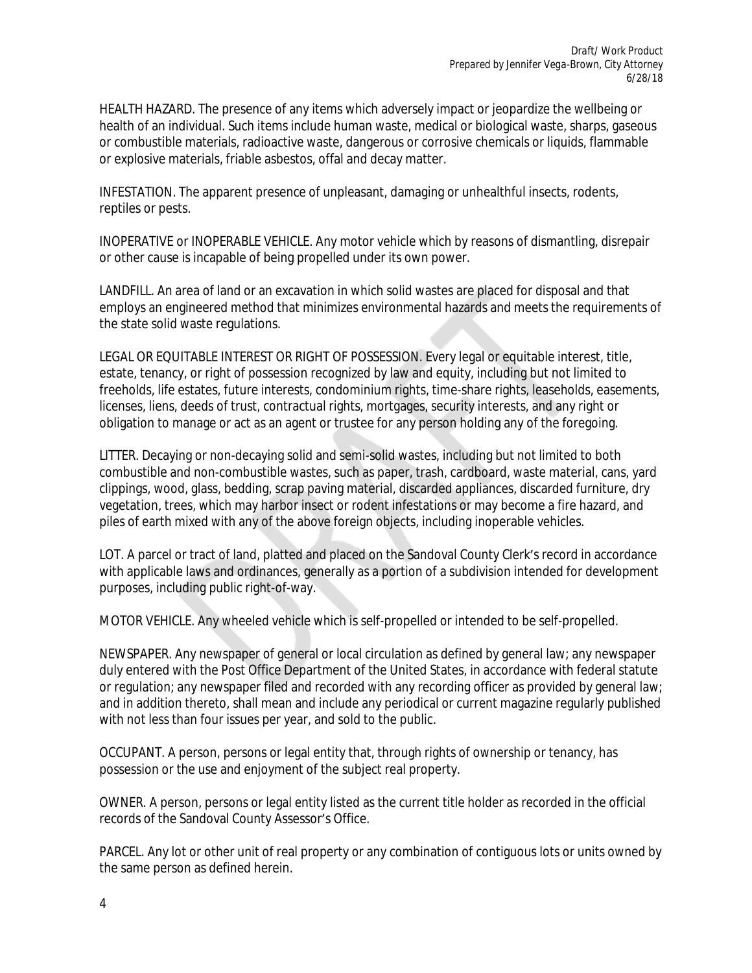HEALTH HAZARD. The presence of any items which adversely impact or jeopardize the wellbeing or health of an individual. Such items include human waste, medical or biological waste, sharps, gaseous or combustible materials, radioactive waste, dangerous or corrosive chemicals or liquids, flammable or explosive materials, friable asbestos, offal and decay matter.

INFESTATION. The apparent presence of unpleasant, damaging or unhealthful insects, rodents, reptiles or pests.

INOPERATIVE or INOPERABLE VEHICLE. Any motor vehicle which by reasons of dismantling, disrepair or other cause is incapable of being propelled under its own power.

LANDFILL. An area of land or an excavation in which solid wastes are placed for disposal and that employs an engineered method that minimizes environmental hazards and meets the requirements of the state solid waste regulations.

LEGAL OR EQUITABLE INTEREST OR RIGHT OF POSSESSION. Every legal or equitable interest, title, estate, tenancy, or right of possession recognized by law and equity, including but not limited to freeholds, life estates, future interests, condominium rights, time-share rights, leaseholds, easements, licenses, liens, deeds of trust, contractual rights, mortgages, security interests, and any right or obligation to manage or act as an agent or trustee for any person holding any of the foregoing.

LITTER. Decaying or non-decaying solid and semi-solid wastes, including but not limited to both combustible and non-combustible wastes, such as paper, trash, cardboard, waste material, cans, yard clippings, wood, glass, bedding, scrap paving material, discarded appliances, discarded furniture, dry vegetation, trees, which may harbor insect or rodent infestations or may become a fire hazard, and piles of earth mixed with any of the above foreign objects, including inoperable vehicles.

LOT. A parcel or tract of land, platted and placed on the Sandoval County Clerk's record in accordance with applicable laws and ordinances, generally as a portion of a subdivision intended for development purposes, including public right-of-way.

MOTOR VEHICLE. Any wheeled vehicle which is self-propelled or intended to be self-propelled.

NEWSPAPER. Any newspaper of general or local circulation as defined by general law; any newspaper duly entered with the Post Office Department of the United States, in accordance with federal statute or regulation; any newspaper filed and recorded with any recording officer as provided by general law; and in addition thereto, shall mean and include any periodical or current magazine regularly published with not less than four issues per year, and sold to the public.

OCCUPANT. A person, persons or legal entity that, through rights of ownership or tenancy, has possession or the use and enjoyment of the subject real property.

OWNER. A person, persons or legal entity listed as the current title holder as recorded in the official records of the Sandoval County Assessor's Office.

PARCEL. Any lot or other unit of real property or any combination of contiguous lots or units owned by the same person as defined herein.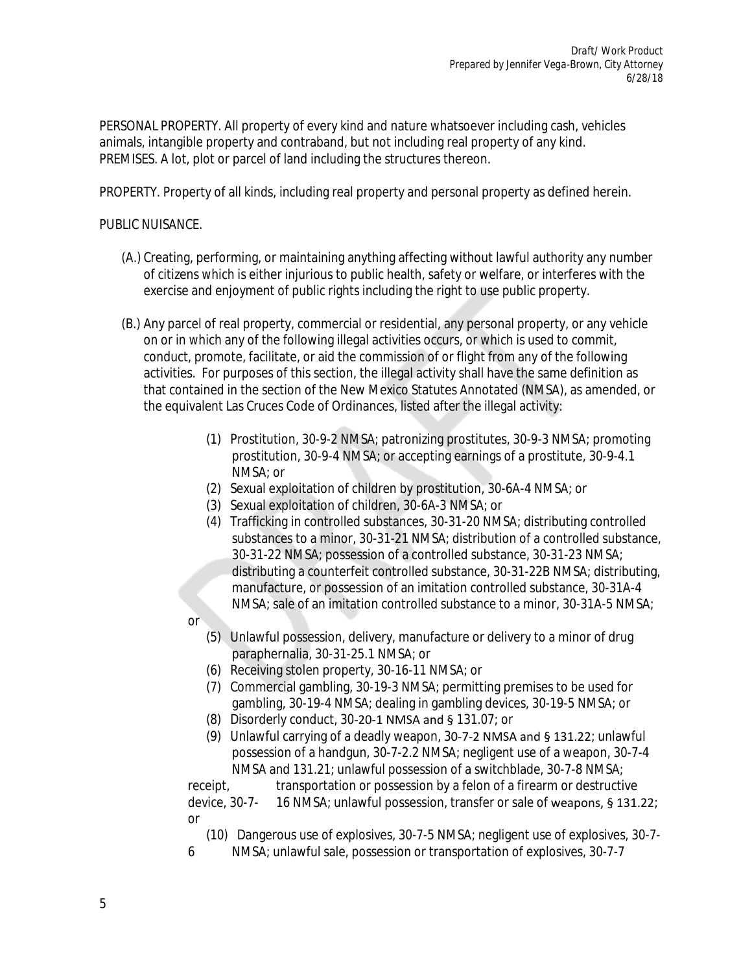PERSONAL PROPERTY. All property of every kind and nature whatsoever including cash, vehicles animals, intangible property and contraband, but not including real property of any kind. PREMISES. A lot, plot or parcel of land including the structures thereon.

PROPERTY. Property of all kinds, including real property and personal property as defined herein.

## PUBLIC NUISANCE.

- (A.) Creating, performing, or maintaining anything affecting without lawful authority any number of citizens which is either injurious to public health, safety or welfare, or interferes with the exercise and enjoyment of public rights including the right to use public property.
- (B.) Any parcel of real property, commercial or residential, any personal property, or any vehicle on or in which any of the following illegal activities occurs, or which is used to commit, conduct, promote, facilitate, or aid the commission of or flight from any of the following activities. For purposes of this section, the illegal activity shall have the same definition as that contained in the section of the New Mexico Statutes Annotated (NMSA), as amended, or the equivalent Las Cruces Code of Ordinances, listed after the illegal activity:
	- (1) Prostitution, 30-9-2 NMSA; patronizing prostitutes, 30-9-3 NMSA; promoting prostitution, 30-9-4 NMSA; or accepting earnings of a prostitute, 30-9-4.1 NMSA; or
	- (2) Sexual exploitation of children by prostitution, 30-6A-4 NMSA; or
	- (3) Sexual exploitation of children, 30-6A-3 NMSA; or
	- (4) Trafficking in controlled substances, 30-31-20 NMSA; distributing controlled substances to a minor, 30-31-21 NMSA; distribution of a controlled substance, 30-31-22 NMSA; possession of a controlled substance, 30-31-23 NMSA; distributing a counterfeit controlled substance, 30-31-22B NMSA; distributing, manufacture, or possession of an imitation controlled substance, 30-31A-4 NMSA; sale of an imitation controlled substance to a minor, 30-31A-5 NMSA;
	- or
		- (5) Unlawful possession, delivery, manufacture or delivery to a minor of drug paraphernalia, 30-31-25.1 NMSA; or
		- (6) Receiving stolen property, 30-16-11 NMSA; or
		- (7) Commercial gambling, 30-19-3 NMSA; permitting premises to be used for gambling, 30-19-4 NMSA; dealing in gambling devices, 30-19-5 NMSA; or
		- (8) Disorderly conduct, 30-20-1 NMSA and § 131.07; or
		- (9) Unlawful carrying of a deadly weapon, 30-7-2 NMSA and § 131.22; unlawful possession of a handgun, 30-7-2.2 NMSA; negligent use of a weapon, 30-7-4 NMSA and 131.21; unlawful possession of a switchblade, 30-7-8 NMSA;

receipt, transportation or possession by a felon of a firearm or destructive device, 30-7- 16 NMSA; unlawful possession, transfer or sale of weapons, § 131.22; or

- (10) Dangerous use of explosives, 30-7-5 NMSA; negligent use of explosives, 30-7-
- 6 NMSA; unlawful sale, possession or transportation of explosives, 30-7-7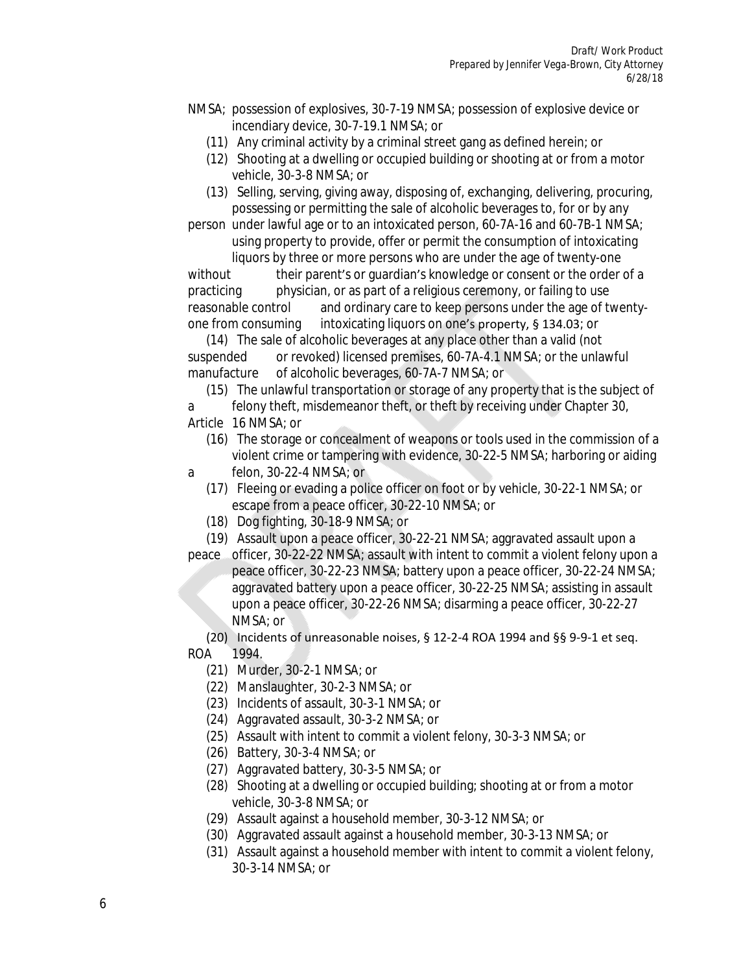- NMSA; possession of explosives, 30-7-19 NMSA; possession of explosive device or incendiary device, 30-7-19.1 NMSA; or
	- (11) Any criminal activity by a criminal street gang as defined herein; or
	- (12) Shooting at a dwelling or occupied building or shooting at or from a motor vehicle, 30-3-8 NMSA; or
	- (13) Selling, serving, giving away, disposing of, exchanging, delivering, procuring, possessing or permitting the sale of alcoholic beverages to, for or by any

person under lawful age or to an intoxicated person, 60-7A-16 and 60-7B-1 NMSA; using property to provide, offer or permit the consumption of intoxicating

liquors by three or more persons who are under the age of twenty-one without their parent's or guardian's knowledge or consent or the order of a practicing physician, or as part of a religious ceremony, or failing to use reasonable control and ordinary care to keep persons under the age of twentyone from consuming intoxicating liquors on one's property, § 134.03; or

 (14) The sale of alcoholic beverages at any place other than a valid (not suspended or revoked) licensed premises, 60-7A-4.1 NMSA; or the unlawful manufacture of alcoholic beverages, 60-7A-7 NMSA; or

 (15) The unlawful transportation or storage of any property that is the subject of a felony theft, misdemeanor theft, or theft by receiving under Chapter 30,

- Article 16 NMSA; or
	- (16) The storage or concealment of weapons or tools used in the commission of a violent crime or tampering with evidence, 30-22-5 NMSA; harboring or aiding
- a felon, 30-22-4 NMSA; or
	- (17) Fleeing or evading a police officer on foot or by vehicle, 30-22-1 NMSA; or escape from a peace officer, 30-22-10 NMSA; or
	- (18) Dog fighting, 30-18-9 NMSA; or
	- (19) Assault upon a peace officer, 30-22-21 NMSA; aggravated assault upon a
- peace officer, 30-22-22 NMSA; assault with intent to commit a violent felony upon a peace officer, 30-22-23 NMSA; battery upon a peace officer, 30-22-24 NMSA; aggravated battery upon a peace officer, 30-22-25 NMSA; assisting in assault upon a peace officer, 30-22-26 NMSA; disarming a peace officer, 30-22-27 NMSA; or

 (20) Incidents of unreasonable noises, § 12-2-4 ROA 1994 and §§ 9-9-1 et seq. ROA 1994.

- (21) Murder, 30-2-1 NMSA; or
- (22) Manslaughter, 30-2-3 NMSA; or
- (23) Incidents of assault, 30-3-1 NMSA; or
- (24) Aggravated assault, 30-3-2 NMSA; or
- (25) Assault with intent to commit a violent felony, 30-3-3 NMSA; or
- (26) Battery, 30-3-4 NMSA; or
- (27) Aggravated battery, 30-3-5 NMSA; or
- (28) Shooting at a dwelling or occupied building; shooting at or from a motor vehicle, 30-3-8 NMSA; or
- (29) Assault against a household member, 30-3-12 NMSA; or
- (30) Aggravated assault against a household member, 30-3-13 NMSA; or
- (31) Assault against a household member with intent to commit a violent felony, 30-3-14 NMSA; or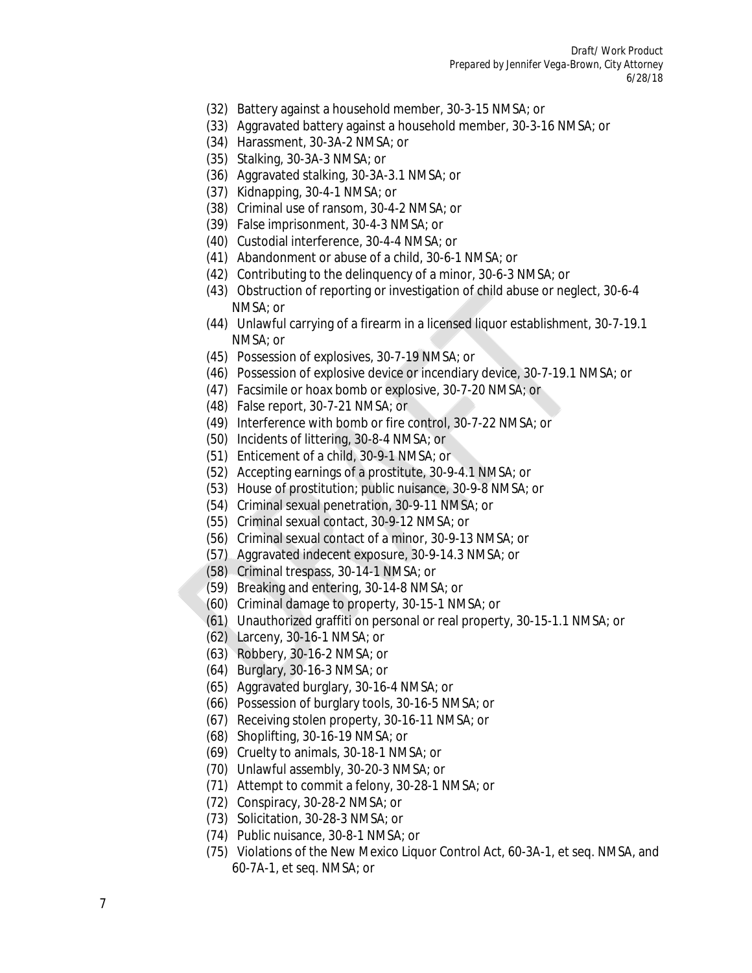*Draft/ Work Product Prepared by Jennifer Vega-Brown, City Attorney 6/28/18*

- (32) Battery against a household member, 30-3-15 NMSA; or
- (33) Aggravated battery against a household member, 30-3-16 NMSA; or
- (34) Harassment, 30-3A-2 NMSA; or
- (35) Stalking, 30-3A-3 NMSA; or
- (36) Aggravated stalking, 30-3A-3.1 NMSA; or
- (37) Kidnapping, 30-4-1 NMSA; or
- (38) Criminal use of ransom, 30-4-2 NMSA; or
- (39) False imprisonment, 30-4-3 NMSA; or
- (40) Custodial interference, 30-4-4 NMSA; or
- (41) Abandonment or abuse of a child, 30-6-1 NMSA; or
- (42) Contributing to the delinquency of a minor, 30-6-3 NMSA; or
- (43) Obstruction of reporting or investigation of child abuse or neglect, 30-6-4 NMSA; or
- (44) Unlawful carrying of a firearm in a licensed liquor establishment, 30-7-19.1 NMSA; or
- (45) Possession of explosives, 30-7-19 NMSA; or
- (46) Possession of explosive device or incendiary device, 30-7-19.1 NMSA; or
- (47) Facsimile or hoax bomb or explosive, 30-7-20 NMSA; or
- (48) False report, 30-7-21 NMSA; or
- (49) Interference with bomb or fire control, 30-7-22 NMSA; or
- (50) Incidents of littering, 30-8-4 NMSA; or
- (51) Enticement of a child, 30-9-1 NMSA; or
- (52) Accepting earnings of a prostitute, 30-9-4.1 NMSA; or
- (53) House of prostitution; public nuisance, 30-9-8 NMSA; or
- (54) Criminal sexual penetration, 30-9-11 NMSA; or
- (55) Criminal sexual contact, 30-9-12 NMSA; or
- (56) Criminal sexual contact of a minor, 30-9-13 NMSA; or
- (57) Aggravated indecent exposure, 30-9-14.3 NMSA; or
- (58) Criminal trespass, 30-14-1 NMSA; or
- (59) Breaking and entering, 30-14-8 NMSA; or
- (60) Criminal damage to property, 30-15-1 NMSA; or
- (61) Unauthorized graffiti on personal or real property, 30-15-1.1 NMSA; or
- (62) Larceny, 30-16-1 NMSA; or
- (63) Robbery, 30-16-2 NMSA; or
- (64) Burglary, 30-16-3 NMSA; or
- (65) Aggravated burglary, 30-16-4 NMSA; or
- (66) Possession of burglary tools, 30-16-5 NMSA; or
- (67) Receiving stolen property, 30-16-11 NMSA; or
- (68) Shoplifting, 30-16-19 NMSA; or
- (69) Cruelty to animals, 30-18-1 NMSA; or
- (70) Unlawful assembly, 30-20-3 NMSA; or
- (71) Attempt to commit a felony, 30-28-1 NMSA; or
- (72) Conspiracy, 30-28-2 NMSA; or
- (73) Solicitation, 30-28-3 NMSA; or
- (74) Public nuisance, 30-8-1 NMSA; or
- (75) Violations of the New Mexico Liquor Control Act, 60-3A-1, et seq. NMSA, and 60-7A-1, et seq. NMSA; or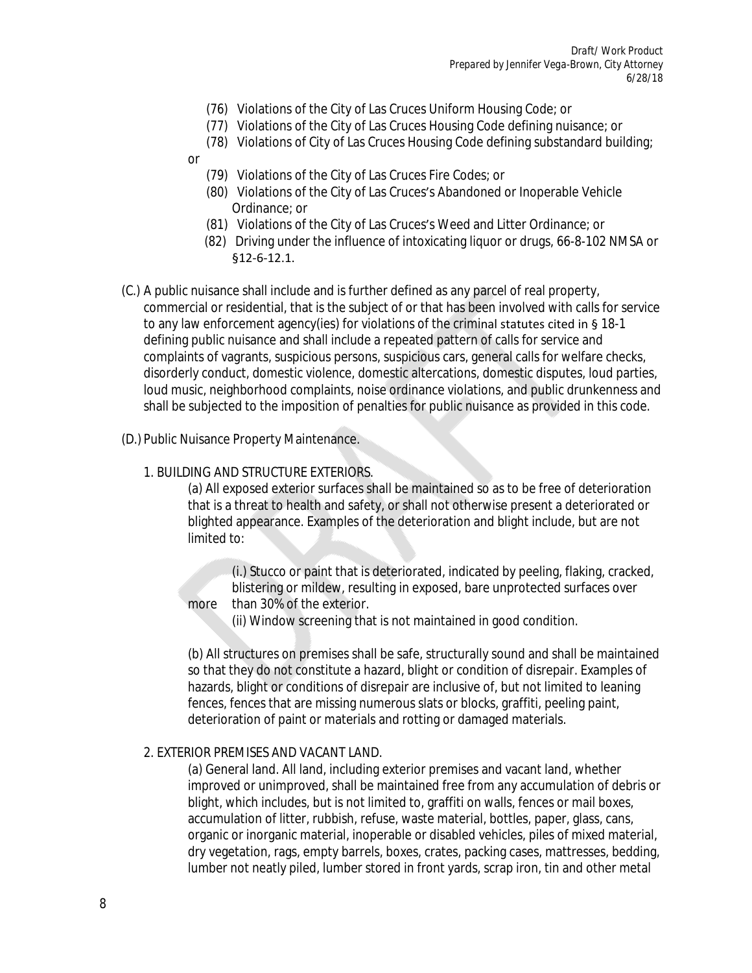- (76) Violations of the City of Las Cruces Uniform Housing Code; or
- (77) Violations of the City of Las Cruces Housing Code defining nuisance; or
- (78) Violations of City of Las Cruces Housing Code defining substandard building;
- or
	- (79) Violations of the City of Las Cruces Fire Codes; or
	- (80) Violations of the City of Las Cruces's Abandoned or Inoperable Vehicle Ordinance; or
	- (81) Violations of the City of Las Cruces's Weed and Litter Ordinance; or
	- (82) Driving under the influence of intoxicating liquor or drugs, 66-8-102 NMSA or §12-6-12.1.
- (C.) A public nuisance shall include and is further defined as any parcel of real property, commercial or residential, that is the subject of or that has been involved with calls for service to any law enforcement agency(ies) for violations of the criminal statutes cited in § 18-1 defining public nuisance and shall include a repeated pattern of calls for service and complaints of vagrants, suspicious persons, suspicious cars, general calls for welfare checks, disorderly conduct, domestic violence, domestic altercations, domestic disputes, loud parties, loud music, neighborhood complaints, noise ordinance violations, and public drunkenness and shall be subjected to the imposition of penalties for public nuisance as provided in this code.
- (D.) Public Nuisance Property Maintenance.

#### 1. BUILDING AND STRUCTURE EXTERIORS.

(a) All exposed exterior surfaces shall be maintained so as to be free of deterioration that is a threat to health and safety, or shall not otherwise present a deteriorated or blighted appearance. Examples of the deterioration and blight include, but are not limited to:

(i.) Stucco or paint that is deteriorated, indicated by peeling, flaking, cracked, blistering or mildew, resulting in exposed, bare unprotected surfaces over more than 30% of the exterior.

(ii) Window screening that is not maintained in good condition.

(b) All structures on premises shall be safe, structurally sound and shall be maintained so that they do not constitute a hazard, blight or condition of disrepair. Examples of hazards, blight or conditions of disrepair are inclusive of, but not limited to leaning fences, fences that are missing numerous slats or blocks, graffiti, peeling paint, deterioration of paint or materials and rotting or damaged materials.

#### 2. EXTERIOR PREMISES AND VACANT LAND.

(a) General land. All land, including exterior premises and vacant land, whether improved or unimproved, shall be maintained free from any accumulation of debris or blight, which includes, but is not limited to, graffiti on walls, fences or mail boxes, accumulation of litter, rubbish, refuse, waste material, bottles, paper, glass, cans, organic or inorganic material, inoperable or disabled vehicles, piles of mixed material, dry vegetation, rags, empty barrels, boxes, crates, packing cases, mattresses, bedding, lumber not neatly piled, lumber stored in front yards, scrap iron, tin and other metal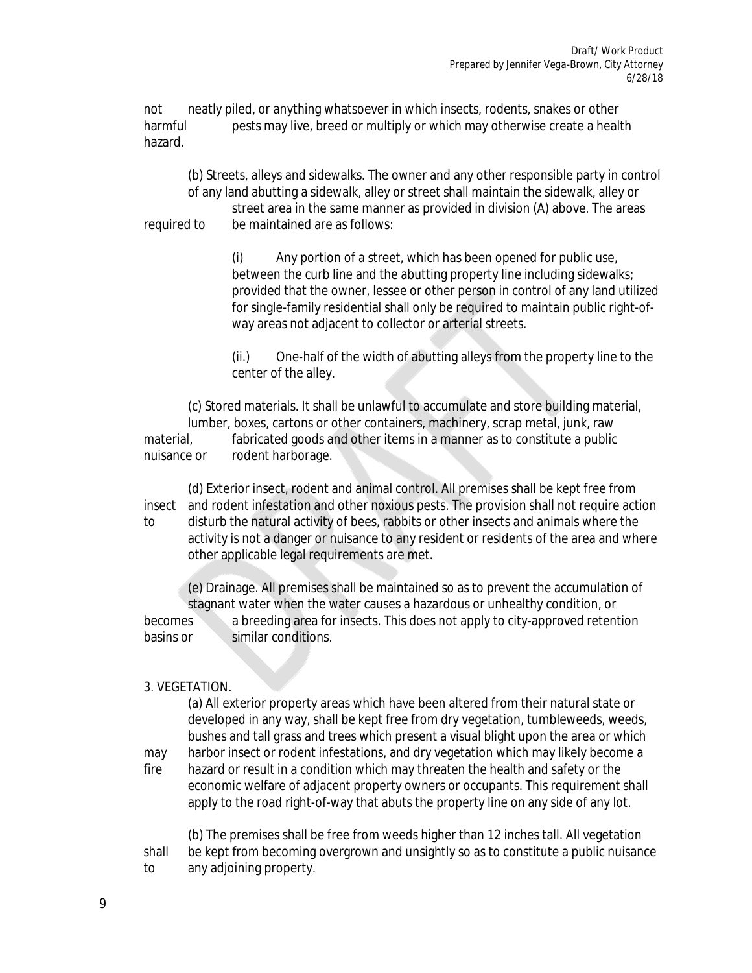not neatly piled, or anything whatsoever in which insects, rodents, snakes or other harmful pests may live, breed or multiply or which may otherwise create a health hazard.

(b) Streets, alleys and sidewalks. The owner and any other responsible party in control of any land abutting a sidewalk, alley or street shall maintain the sidewalk, alley or street area in the same manner as provided in division (A) above. The areas required to be maintained are as follows:

> (i) Any portion of a street, which has been opened for public use, between the curb line and the abutting property line including sidewalks; provided that the owner, lessee or other person in control of any land utilized for single-family residential shall only be required to maintain public right-ofway areas not adjacent to collector or arterial streets.

(ii.) One-half of the width of abutting alleys from the property line to the center of the alley.

(c) Stored materials. It shall be unlawful to accumulate and store building material, lumber, boxes, cartons or other containers, machinery, scrap metal, junk, raw

material, fabricated goods and other items in a manner as to constitute a public nuisance or rodent harborage.

(d) Exterior insect, rodent and animal control. All premises shall be kept free from insect and rodent infestation and other noxious pests. The provision shall not require action to disturb the natural activity of bees, rabbits or other insects and animals where the activity is not a danger or nuisance to any resident or residents of the area and where other applicable legal requirements are met.

(e) Drainage. All premises shall be maintained so as to prevent the accumulation of stagnant water when the water causes a hazardous or unhealthy condition, or becomes a breeding area for insects. This does not apply to city-approved retention basins or similar conditions.

## 3. VEGETATION.

(a) All exterior property areas which have been altered from their natural state or developed in any way, shall be kept free from dry vegetation, tumbleweeds, weeds, bushes and tall grass and trees which present a visual blight upon the area or which may harbor insect or rodent infestations, and dry vegetation which may likely become a fire hazard or result in a condition which may threaten the health and safety or the economic welfare of adjacent property owners or occupants. This requirement shall apply to the road right-of-way that abuts the property line on any side of any lot.

(b) The premises shall be free from weeds higher than 12 inches tall. All vegetation shall be kept from becoming overgrown and unsightly so as to constitute a public nuisance to any adjoining property.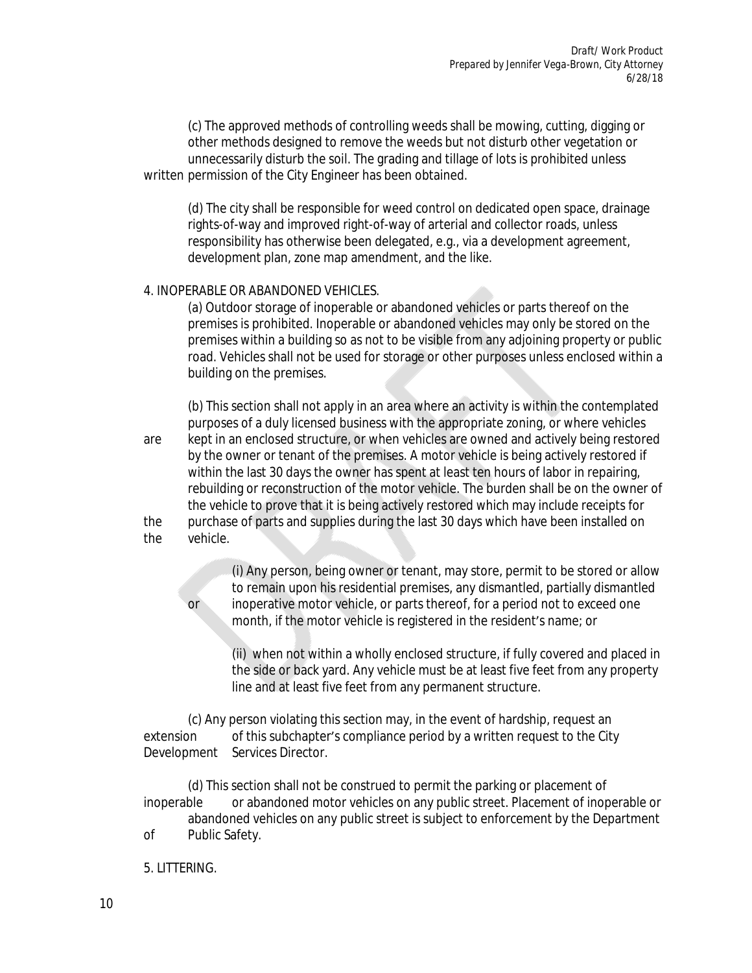(c) The approved methods of controlling weeds shall be mowing, cutting, digging or other methods designed to remove the weeds but not disturb other vegetation or unnecessarily disturb the soil. The grading and tillage of lots is prohibited unless written permission of the City Engineer has been obtained.

(d) The city shall be responsible for weed control on dedicated open space, drainage rights-of-way and improved right-of-way of arterial and collector roads, unless responsibility has otherwise been delegated, e.g., via a development agreement, development plan, zone map amendment, and the like.

#### 4. INOPERABLE OR ABANDONED VEHICLES.

(a) Outdoor storage of inoperable or abandoned vehicles or parts thereof on the premises is prohibited. Inoperable or abandoned vehicles may only be stored on the premises within a building so as not to be visible from any adjoining property or public road. Vehicles shall not be used for storage or other purposes unless enclosed within a building on the premises.

(b) This section shall not apply in an area where an activity is within the contemplated purposes of a duly licensed business with the appropriate zoning, or where vehicles are kept in an enclosed structure, or when vehicles are owned and actively being restored by the owner or tenant of the premises. A motor vehicle is being actively restored if within the last 30 days the owner has spent at least ten hours of labor in repairing, rebuilding or reconstruction of the motor vehicle. The burden shall be on the owner of the vehicle to prove that it is being actively restored which may include receipts for the purchase of parts and supplies during the last 30 days which have been installed on the vehicle.

(i) Any person, being owner or tenant, may store, permit to be stored or allow to remain upon his residential premises, any dismantled, partially dismantled or inoperative motor vehicle, or parts thereof, for a period not to exceed one month, if the motor vehicle is registered in the resident's name; or

(ii) when not within a wholly enclosed structure, if fully covered and placed in the side or back yard. Any vehicle must be at least five feet from any property line and at least five feet from any permanent structure.

(c) Any person violating this section may, in the event of hardship, request an extension of this subchapter's compliance period by a written request to the City Development Services Director.

(d) This section shall not be construed to permit the parking or placement of inoperable or abandoned motor vehicles on any public street. Placement of inoperable or abandoned vehicles on any public street is subject to enforcement by the Department of Public Safety.

5. LITTERING.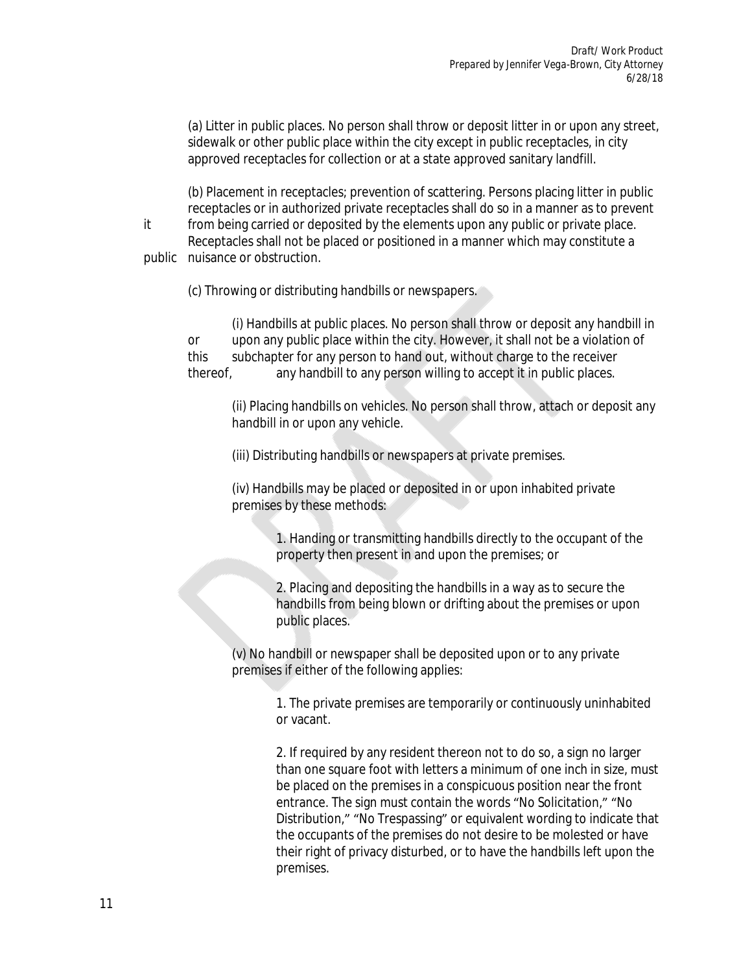(a) Litter in public places. No person shall throw or deposit litter in or upon any street, sidewalk or other public place within the city except in public receptacles, in city approved receptacles for collection or at a state approved sanitary landfill.

(b) Placement in receptacles; prevention of scattering. Persons placing litter in public receptacles or in authorized private receptacles shall do so in a manner as to prevent it from being carried or deposited by the elements upon any public or private place.

Receptacles shall not be placed or positioned in a manner which may constitute a public nuisance or obstruction.

(c) Throwing or distributing handbills or newspapers.

(i) Handbills at public places. No person shall throw or deposit any handbill in or upon any public place within the city. However, it shall not be a violation of this subchapter for any person to hand out, without charge to the receiver thereof, any handbill to any person willing to accept it in public places.

(ii) Placing handbills on vehicles. No person shall throw, attach or deposit any handbill in or upon any vehicle.

(iii) Distributing handbills or newspapers at private premises.

(iv) Handbills may be placed or deposited in or upon inhabited private premises by these methods:

> 1. Handing or transmitting handbills directly to the occupant of the property then present in and upon the premises; or

> 2. Placing and depositing the handbills in a way as to secure the handbills from being blown or drifting about the premises or upon public places.

(v) No handbill or newspaper shall be deposited upon or to any private premises if either of the following applies:

> 1. The private premises are temporarily or continuously uninhabited or vacant.

2. If required by any resident thereon not to do so, a sign no larger than one square foot with letters a minimum of one inch in size, must be placed on the premises in a conspicuous position near the front entrance. The sign must contain the words "No Solicitation," "No Distribution," "No Trespassing" or equivalent wording to indicate that the occupants of the premises do not desire to be molested or have their right of privacy disturbed, or to have the handbills left upon the premises.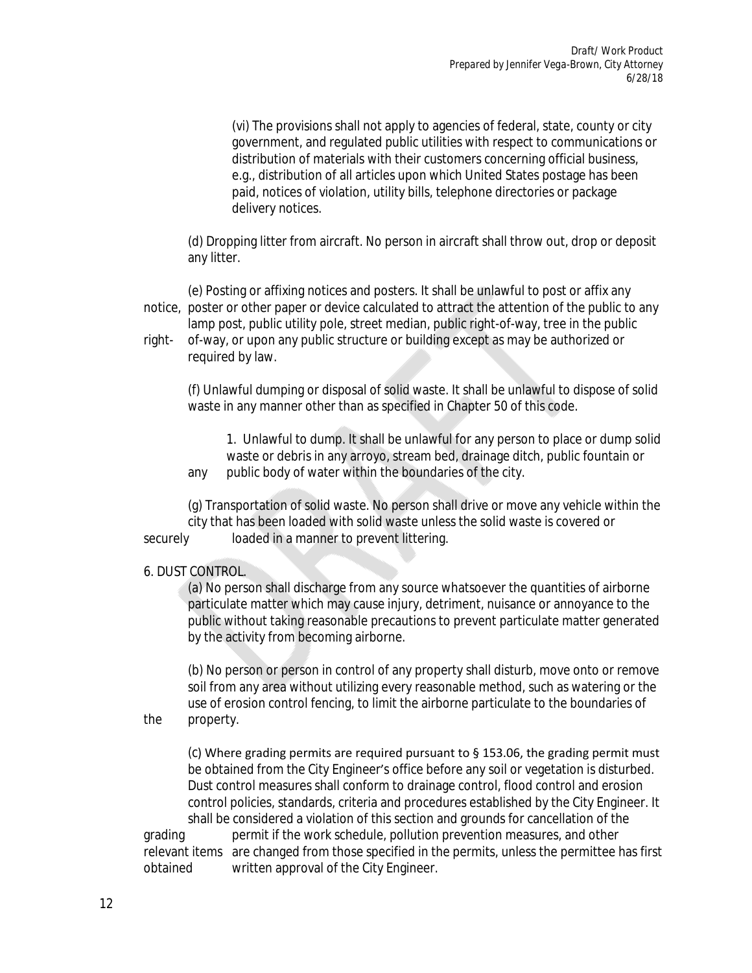(vi) The provisions shall not apply to agencies of federal, state, county or city government, and regulated public utilities with respect to communications or distribution of materials with their customers concerning official business, e.g., distribution of all articles upon which United States postage has been paid, notices of violation, utility bills, telephone directories or package delivery notices.

(d) Dropping litter from aircraft. No person in aircraft shall throw out, drop or deposit any litter.

(e) Posting or affixing notices and posters. It shall be unlawful to post or affix any notice, poster or other paper or device calculated to attract the attention of the public to any lamp post, public utility pole, street median, public right-of-way, tree in the public

right- of-way, or upon any public structure or building except as may be authorized or required by law.

(f) Unlawful dumping or disposal of solid waste. It shall be unlawful to dispose of solid waste in any manner other than as specified in Chapter 50 of this code.

1. Unlawful to dump. It shall be unlawful for any person to place or dump solid waste or debris in any arroyo, stream bed, drainage ditch, public fountain or any public body of water within the boundaries of the city.

(g) Transportation of solid waste. No person shall drive or move any vehicle within the city that has been loaded with solid waste unless the solid waste is covered or securely loaded in a manner to prevent littering.

#### 6. DUST CONTROL.

(a) No person shall discharge from any source whatsoever the quantities of airborne particulate matter which may cause injury, detriment, nuisance or annoyance to the public without taking reasonable precautions to prevent particulate matter generated by the activity from becoming airborne.

(b) No person or person in control of any property shall disturb, move onto or remove soil from any area without utilizing every reasonable method, such as watering or the use of erosion control fencing, to limit the airborne particulate to the boundaries of the property.

(c) Where grading permits are required pursuant to § 153.06, the grading permit must be obtained from the City Engineer's office before any soil or vegetation is disturbed. Dust control measures shall conform to drainage control, flood control and erosion control policies, standards, criteria and procedures established by the City Engineer. It shall be considered a violation of this section and grounds for cancellation of the grading permit if the work schedule, pollution prevention measures, and other

relevant items are changed from those specified in the permits, unless the permittee has first obtained written approval of the City Engineer.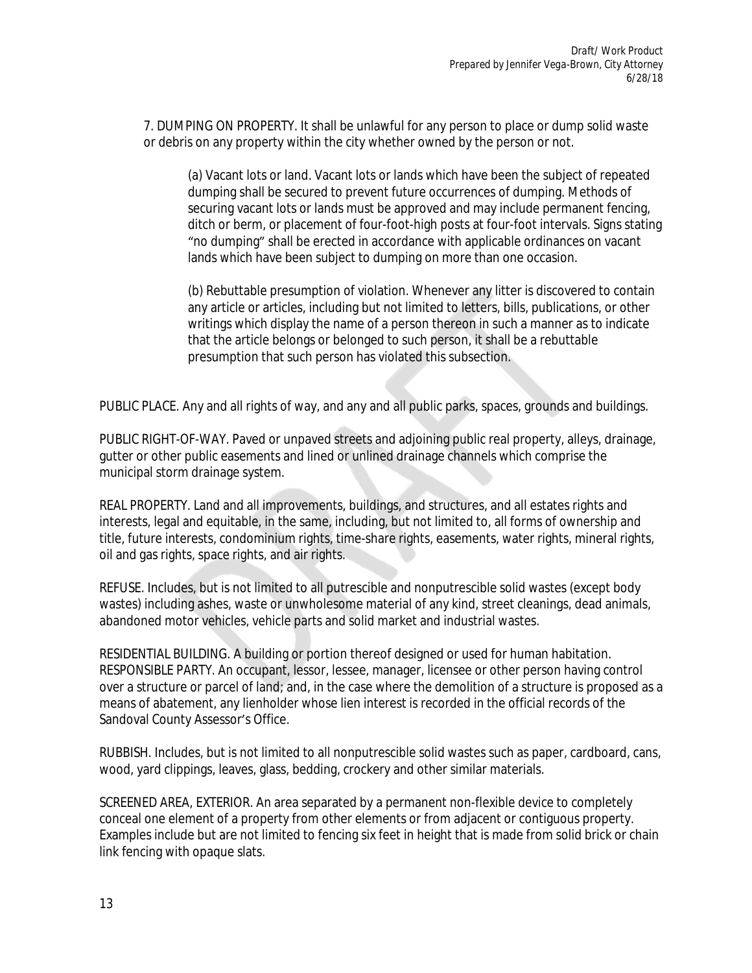7. DUMPING ON PROPERTY. It shall be unlawful for any person to place or dump solid waste or debris on any property within the city whether owned by the person or not.

(a) Vacant lots or land. Vacant lots or lands which have been the subject of repeated dumping shall be secured to prevent future occurrences of dumping. Methods of securing vacant lots or lands must be approved and may include permanent fencing, ditch or berm, or placement of four-foot-high posts at four-foot intervals. Signs stating "no dumping" shall be erected in accordance with applicable ordinances on vacant lands which have been subject to dumping on more than one occasion.

(b) Rebuttable presumption of violation. Whenever any litter is discovered to contain any article or articles, including but not limited to letters, bills, publications, or other writings which display the name of a person thereon in such a manner as to indicate that the article belongs or belonged to such person, it shall be a rebuttable presumption that such person has violated this subsection.

PUBLIC PLACE. Any and all rights of way, and any and all public parks, spaces, grounds and buildings.

PUBLIC RIGHT-OF-WAY. Paved or unpaved streets and adjoining public real property, alleys, drainage, gutter or other public easements and lined or unlined drainage channels which comprise the municipal storm drainage system.

REAL PROPERTY. Land and all improvements, buildings, and structures, and all estates rights and interests, legal and equitable, in the same, including, but not limited to, all forms of ownership and title, future interests, condominium rights, time-share rights, easements, water rights, mineral rights, oil and gas rights, space rights, and air rights.

REFUSE. Includes, but is not limited to all putrescible and nonputrescible solid wastes (except body wastes) including ashes, waste or unwholesome material of any kind, street cleanings, dead animals, abandoned motor vehicles, vehicle parts and solid market and industrial wastes.

RESIDENTIAL BUILDING. A building or portion thereof designed or used for human habitation. RESPONSIBLE PARTY. An occupant, lessor, lessee, manager, licensee or other person having control over a structure or parcel of land; and, in the case where the demolition of a structure is proposed as a means of abatement, any lienholder whose lien interest is recorded in the official records of the Sandoval County Assessor's Office.

RUBBISH. Includes, but is not limited to all nonputrescible solid wastes such as paper, cardboard, cans, wood, yard clippings, leaves, glass, bedding, crockery and other similar materials.

SCREENED AREA, EXTERIOR. An area separated by a permanent non-flexible device to completely conceal one element of a property from other elements or from adjacent or contiguous property. Examples include but are not limited to fencing six feet in height that is made from solid brick or chain link fencing with opaque slats.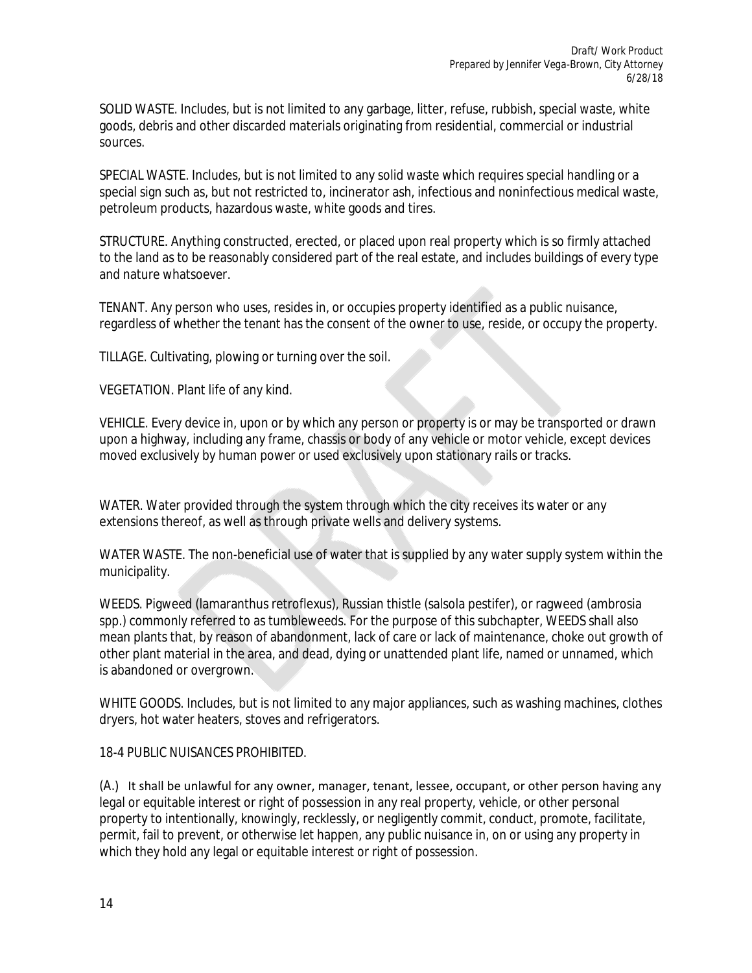SOLID WASTE. Includes, but is not limited to any garbage, litter, refuse, rubbish, special waste, white goods, debris and other discarded materials originating from residential, commercial or industrial sources.

SPECIAL WASTE. Includes, but is not limited to any solid waste which requires special handling or a special sign such as, but not restricted to, incinerator ash, infectious and noninfectious medical waste, petroleum products, hazardous waste, white goods and tires.

STRUCTURE. Anything constructed, erected, or placed upon real property which is so firmly attached to the land as to be reasonably considered part of the real estate, and includes buildings of every type and nature whatsoever.

TENANT. Any person who uses, resides in, or occupies property identified as a public nuisance, regardless of whether the tenant has the consent of the owner to use, reside, or occupy the property.

TILLAGE. Cultivating, plowing or turning over the soil.

VEGETATION. Plant life of any kind.

VEHICLE. Every device in, upon or by which any person or property is or may be transported or drawn upon a highway, including any frame, chassis or body of any vehicle or motor vehicle, except devices moved exclusively by human power or used exclusively upon stationary rails or tracks.

WATER. Water provided through the system through which the city receives its water or any extensions thereof, as well as through private wells and delivery systems.

WATER WASTE. The non-beneficial use of water that is supplied by any water supply system within the municipality.

WEEDS. Pigweed (lamaranthus retroflexus), Russian thistle (salsola pestifer), or ragweed (ambrosia spp.) commonly referred to as tumbleweeds. For the purpose of this subchapter, WEEDS shall also mean plants that, by reason of abandonment, lack of care or lack of maintenance, choke out growth of other plant material in the area, and dead, dying or unattended plant life, named or unnamed, which is abandoned or overgrown.

WHITE GOODS. Includes, but is not limited to any major appliances, such as washing machines, clothes dryers, hot water heaters, stoves and refrigerators.

18-4 PUBLIC NUISANCES PROHIBITED.

(A.) It shall be unlawful for any owner, manager, tenant, lessee, occupant, or other person having any legal or equitable interest or right of possession in any real property, vehicle, or other personal property to intentionally, knowingly, recklessly, or negligently commit, conduct, promote, facilitate, permit, fail to prevent, or otherwise let happen, any public nuisance in, on or using any property in which they hold any legal or equitable interest or right of possession.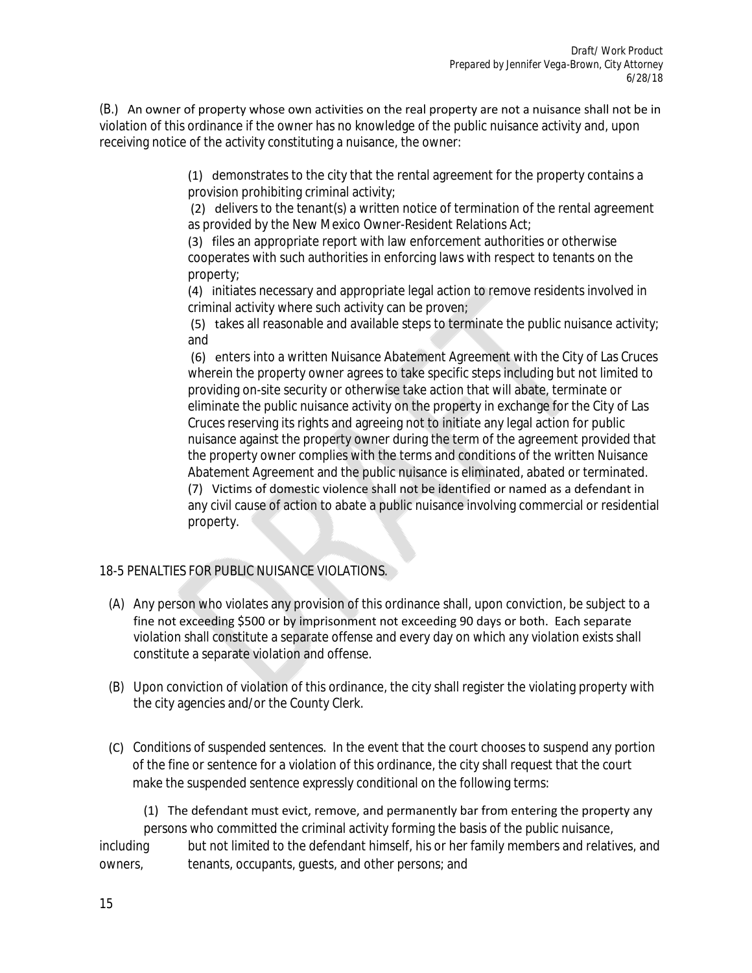(B.) An owner of property whose own activities on the real property are not a nuisance shall not be in violation of this ordinance if the owner has no knowledge of the public nuisance activity and, upon receiving notice of the activity constituting a nuisance, the owner:

> (1) demonstrates to the city that the rental agreement for the property contains a provision prohibiting criminal activity;

(2) delivers to the tenant(s) a written notice of termination of the rental agreement as provided by the New Mexico Owner-Resident Relations Act;

(3) files an appropriate report with law enforcement authorities or otherwise cooperates with such authorities in enforcing laws with respect to tenants on the property;

(4) initiates necessary and appropriate legal action to remove residents involved in criminal activity where such activity can be proven;

(5) takes all reasonable and available steps to terminate the public nuisance activity; and

 (6) enters into a written Nuisance Abatement Agreement with the City of Las Cruces wherein the property owner agrees to take specific steps including but not limited to providing on-site security or otherwise take action that will abate, terminate or eliminate the public nuisance activity on the property in exchange for the City of Las Cruces reserving its rights and agreeing not to initiate any legal action for public nuisance against the property owner during the term of the agreement provided that the property owner complies with the terms and conditions of the written Nuisance Abatement Agreement and the public nuisance is eliminated, abated or terminated. (7) Victims of domestic violence shall not be identified or named as a defendant in any civil cause of action to abate a public nuisance involving commercial or residential property.

## 18-5 PENALTIES FOR PUBLIC NUISANCE VIOLATIONS.

- (A) Any person who violates any provision of this ordinance shall, upon conviction, be subject to a fine not exceeding \$500 or by imprisonment not exceeding 90 days or both. Each separate violation shall constitute a separate offense and every day on which any violation exists shall constitute a separate violation and offense.
- (B) Upon conviction of violation of this ordinance, the city shall register the violating property with the city agencies and/or the County Clerk.
- (C) *Conditions of suspended sentences.* In the event that the court chooses to suspend any portion of the fine or sentence for a violation of this ordinance, the city shall request that the court make the suspended sentence expressly conditional on the following terms:

 (1) The defendant must evict, remove, and permanently bar from entering the property any persons who committed the criminal activity forming the basis of the public nuisance, including but not limited to the defendant himself, his or her family members and relatives, and owners, tenants, occupants, guests, and other persons; and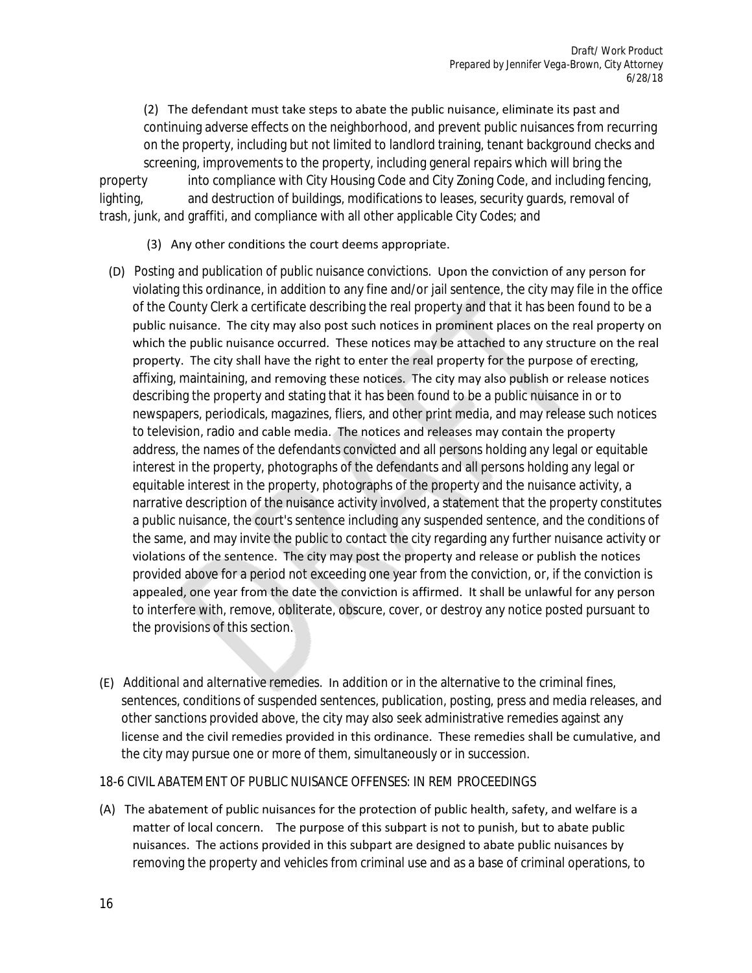(2) The defendant must take steps to abate the public nuisance, eliminate its past and continuing adverse effects on the neighborhood, and prevent public nuisances from recurring on the property, including but not limited to landlord training, tenant background checks and screening, improvements to the property, including general repairs which will bring the property into compliance with City Housing Code and City Zoning Code, and including fencing, lighting, and destruction of buildings, modifications to leases, security guards, removal of trash, junk, and graffiti, and compliance with all other applicable City Codes; and

- (3) Any other conditions the court deems appropriate.
- (D) *Posting and publication of public nuisance convictions.* Upon the conviction of any person for violating this ordinance, in addition to any fine and/or jail sentence, the city may file in the office of the County Clerk a certificate describing the real property and that it has been found to be a public nuisance. The city may also post such notices in prominent places on the real property on which the public nuisance occurred. These notices may be attached to any structure on the real property. The city shall have the right to enter the real property for the purpose of erecting, affixing, maintaining, and removing these notices. The city may also publish or release notices describing the property and stating that it has been found to be a public nuisance in or to newspapers, periodicals, magazines, fliers, and other print media, and may release such notices to television, radio and cable media. The notices and releases may contain the property address, the names of the defendants convicted and all persons holding any legal or equitable interest in the property, photographs of the defendants and all persons holding any legal or equitable interest in the property, photographs of the property and the nuisance activity, a narrative description of the nuisance activity involved, a statement that the property constitutes a public nuisance, the court's sentence including any suspended sentence, and the conditions of the same, and may invite the public to contact the city regarding any further nuisance activity or violations of the sentence. The city may post the property and release or publish the notices provided above for a period not exceeding one year from the conviction, or, if the conviction is appealed, one year from the date the conviction is affirmed. It shall be unlawful for any person to interfere with, remove, obliterate, obscure, cover, or destroy any notice posted pursuant to the provisions of this section.
- (E) *Additional and alternative remedies.* In addition or in the alternative to the criminal fines, sentences, conditions of suspended sentences, publication, posting, press and media releases, and other sanctions provided above, the city may also seek administrative remedies against any license and the civil remedies provided in this ordinance. These remedies shall be cumulative, and the city may pursue one or more of them, simultaneously or in succession.
- 18-6 CIVIL ABATEMENT OF PUBLIC NUISANCE OFFENSES: IN REM PROCEEDINGS
- (A) The abatement of public nuisances for the protection of public health, safety, and welfare is a matter of local concern. The purpose of this subpart is not to punish, but to abate public nuisances. The actions provided in this subpart are designed to abate public nuisances by removing the property and vehicles from criminal use and as a base of criminal operations, to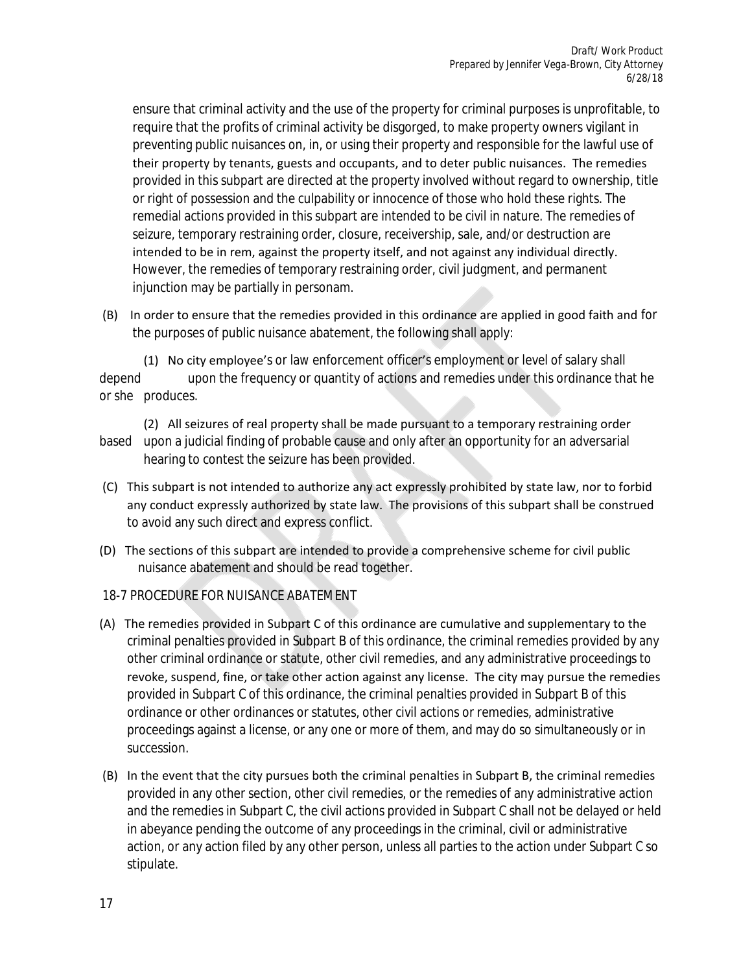ensure that criminal activity and the use of the property for criminal purposes is unprofitable, to require that the profits of criminal activity be disgorged, to make property owners vigilant in preventing public nuisances on, in, or using their property and responsible for the lawful use of their property by tenants, guests and occupants, and to deter public nuisances. The remedies provided in this subpart are directed at the property involved without regard to ownership, title or right of possession and the culpability or innocence of those who hold these rights. The remedial actions provided in this subpart are intended to be civil in nature. The remedies of seizure, temporary restraining order, closure, receivership, sale, and/or destruction are intended to be in rem, against the property itself, and not against any individual directly. However, the remedies of temporary restraining order, civil judgment, and permanent injunction may be partially in personam.

 (B) In order to ensure that the remedies provided in this ordinance are applied in good faith and for the purposes of public nuisance abatement, the following shall apply:

 (1) No city employee's or law enforcement officer's employment or level of salary shall depend upon the frequency or quantity of actions and remedies under this ordinance that he or she produces.

 (2) All seizures of real property shall be made pursuant to a temporary restraining order based upon a judicial finding of probable cause and only after an opportunity for an adversarial hearing to contest the seizure has been provided.

- (C) This subpart is not intended to authorize any act expressly prohibited by state law, nor to forbid any conduct expressly authorized by state law. The provisions of this subpart shall be construed to avoid any such direct and express conflict.
- (D) The sections of this subpart are intended to provide a comprehensive scheme for civil public nuisance abatement and should be read together.
- 18-7 PROCEDURE FOR NUISANCE ABATEMENT
- (A) The remedies provided in Subpart C of this ordinance are cumulative and supplementary to the criminal penalties provided in Subpart B of this ordinance, the criminal remedies provided by any other criminal ordinance or statute, other civil remedies, and any administrative proceedings to revoke, suspend, fine, or take other action against any license. The city may pursue the remedies provided in Subpart C of this ordinance, the criminal penalties provided in Subpart B of this ordinance or other ordinances or statutes, other civil actions or remedies, administrative proceedings against a license, or any one or more of them, and may do so simultaneously or in succession.
- (B) In the event that the city pursues both the criminal penalties in Subpart B, the criminal remedies provided in any other section, other civil remedies, or the remedies of any administrative action and the remedies in Subpart C, the civil actions provided in Subpart C shall not be delayed or held in abeyance pending the outcome of any proceedings in the criminal, civil or administrative action, or any action filed by any other person, unless all parties to the action under Subpart C so stipulate.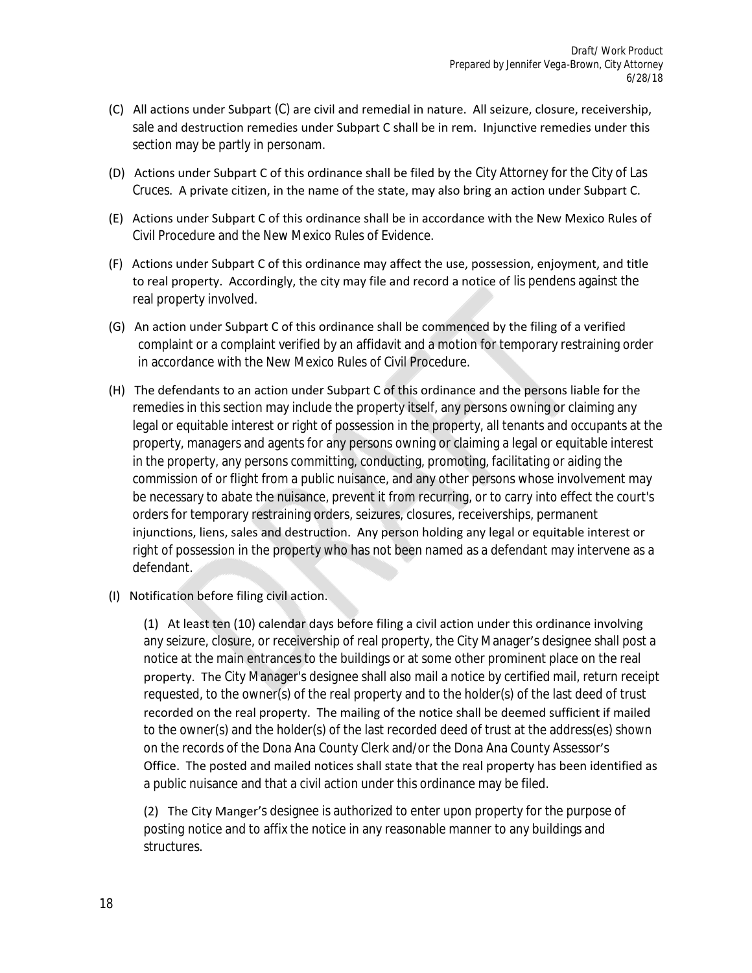- (C) All actions under Subpart (C) are civil and remedial in nature. All seizure, closure, receivership, sale and destruction remedies under Subpart C shall be in rem. Injunctive remedies under this section may be partly in personam.
- (D) Actions under Subpart C of this ordinance shall be filed by the City Attorney for the City of Las Cruces. A private citizen, in the name of the state, may also bring an action under Subpart C.
- (E) Actions under Subpart C of this ordinance shall be in accordance with the New Mexico Rules of Civil Procedure and the New Mexico Rules of Evidence.
- (F) Actions under Subpart C of this ordinance may affect the use, possession, enjoyment, and title to real property. Accordingly, the city may file and record a notice of lis pendens against the real property involved.
- (G) An action under Subpart C of this ordinance shall be commenced by the filing of a verified complaint or a complaint verified by an affidavit and a motion for temporary restraining order in accordance with the New Mexico Rules of Civil Procedure.
- (H) The defendants to an action under Subpart C of this ordinance and the persons liable for the remedies in this section may include the property itself, any persons owning or claiming any legal or equitable interest or right of possession in the property, all tenants and occupants at the property, managers and agents for any persons owning or claiming a legal or equitable interest in the property, any persons committing, conducting, promoting, facilitating or aiding the commission of or flight from a public nuisance, and any other persons whose involvement may be necessary to abate the nuisance, prevent it from recurring, or to carry into effect the court's orders for temporary restraining orders, seizures, closures, receiverships, permanent injunctions, liens, sales and destruction. Any person holding any legal or equitable interest or right of possession in the property who has not been named as a defendant may intervene as a defendant.
- (I) Notification before filing civil action.

(1) At least ten (10) calendar days before filing a civil action under this ordinance involving any seizure, closure, or receivership of real property, the City Manager's designee shall post a notice at the main entrances to the buildings or at some other prominent place on the real property. The City Manager's designee shall also mail a notice by certified mail, return receipt requested, to the owner(s) of the real property and to the holder(s) of the last deed of trust recorded on the real property. The mailing of the notice shall be deemed sufficient if mailed to the owner(s) and the holder(s) of the last recorded deed of trust at the address(es) shown on the records of the Dona Ana County Clerk and/or the Dona Ana County Assessor's Office. The posted and mailed notices shall state that the real property has been identified as a public nuisance and that a civil action under this ordinance may be filed.

(2) The City Manger's designee is authorized to enter upon property for the purpose of posting notice and to affix the notice in any reasonable manner to any buildings and structures.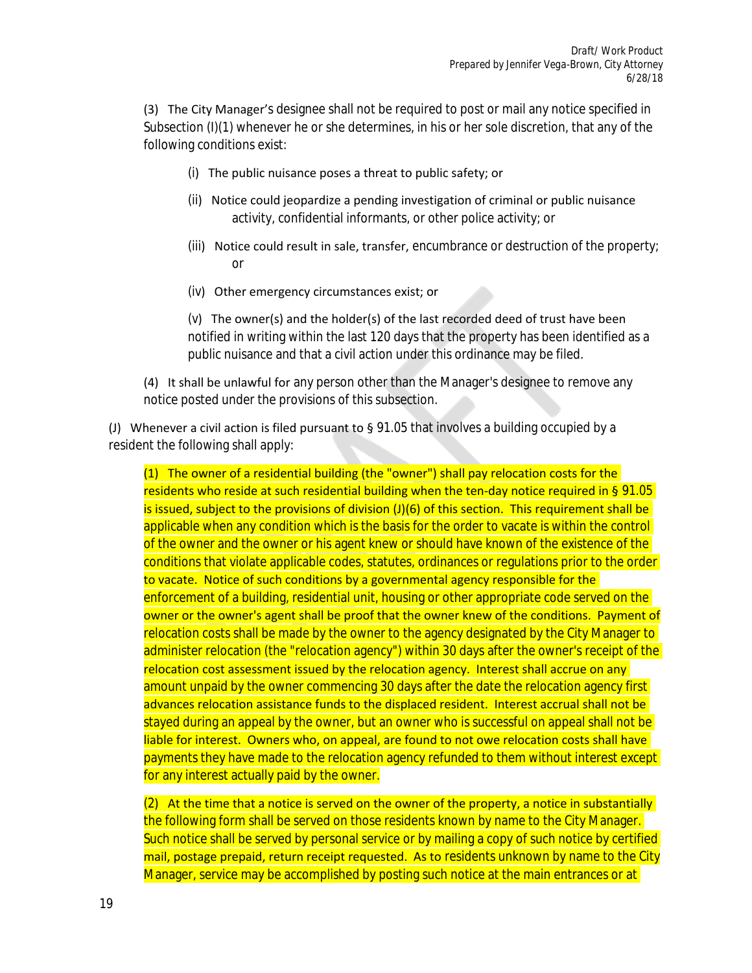(3) The City Manager's designee shall not be required to post or mail any notice specified in Subsection (I)(1) whenever he or she determines, in his or her sole discretion, that any of the following conditions exist:

- (i) The public nuisance poses a threat to public safety; or
- (ii) Notice could jeopardize a pending investigation of criminal or public nuisance activity, confidential informants, or other police activity; or
- (iii) Notice could result in sale, transfer, encumbrance or destruction of the property; or
- (iv) Other emergency circumstances exist; or

(v) The owner(s) and the holder(s) of the last recorded deed of trust have been notified in writing within the last 120 days that the property has been identified as a public nuisance and that a civil action under this ordinance may be filed.

(4) It shall be unlawful for any person other than the Manager's designee to remove any notice posted under the provisions of this subsection.

(J) Whenever a civil action is filed pursuant to  $\S$  91.05 that involves a building occupied by a resident the following shall apply:

(1) The owner of a residential building (the "owner") shall pay relocation costs for the residents who reside at such residential building when the ten-day notice required in § 91.05 is issued, subject to the provisions of division (J)(6) of this section. This requirement shall be applicable when any condition which is the basis for the order to vacate is within the control of the owner and the owner or his agent knew or should have known of the existence of the conditions that violate applicable codes, statutes, ordinances or regulations prior to the order to vacate. Notice of such conditions by a governmental agency responsible for the enforcement of a building, residential unit, housing or other appropriate code served on the owner or the owner's agent shall be proof that the owner knew of the conditions. Payment of relocation costs shall be made by the owner to the agency designated by the City Manager to administer relocation (the "relocation agency") within 30 days after the owner's receipt of the relocation cost assessment issued by the relocation agency. Interest shall accrue on any amount unpaid by the owner commencing 30 days after the date the relocation agency first advances relocation assistance funds to the displaced resident. Interest accrual shall not be stayed during an appeal by the owner, but an owner who is successful on appeal shall not be liable for interest. Owners who, on appeal, are found to not owe relocation costs shall have payments they have made to the relocation agency refunded to them without interest except for any interest actually paid by the owner.

 $(2)$  At the time that a notice is served on the owner of the property, a notice in substantially the following form shall be served on those residents known by name to the City Manager. Such notice shall be served by personal service or by mailing a copy of such notice by certified mail, postage prepaid, return receipt requested. As to residents unknown by name to the City Manager, service may be accomplished by posting such notice at the main entrances or at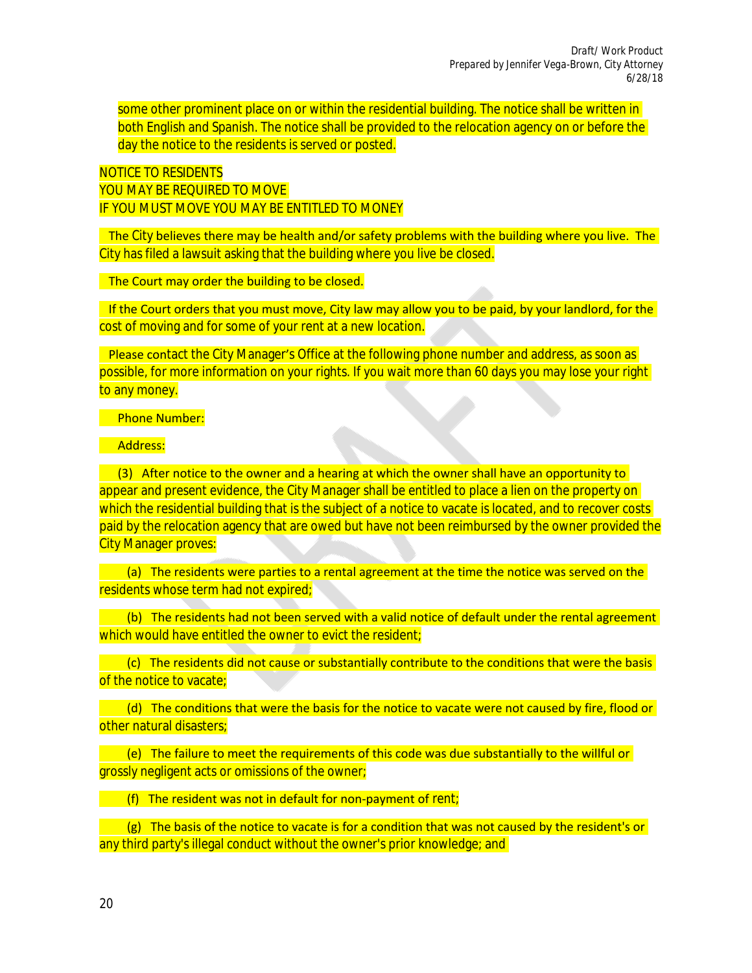*Draft/ Work Product Prepared by Jennifer Vega-Brown, City Attorney 6/28/18*

some other prominent place on or within the residential building. The notice shall be written in both English and Spanish. The notice shall be provided to the relocation agency on or before the day the notice to the residents is served or posted.

NOTICE TO RESIDENTS YOU MAY BE REQUIRED TO MOVE IF YOU MUST MOVE YOU MAY BE ENTITLED TO MONEY

 The City believes there may be health and/or safety problems with the building where you live. The City has filed a lawsuit asking that the building where you live be closed.

The Court may order the building to be closed.

 If the Court orders that you must move, City law may allow you to be paid, by your landlord, for the cost of moving and for some of your rent at a new location.

 Please contact the City Manager's Office at the following phone number and address, as soon as possible, for more information on your rights. If you wait more than 60 days you may lose your right to any money.

#### Phone Number:

Address:

(3) After notice to the owner and a hearing at which the owner shall have an opportunity to appear and present evidence, the City Manager shall be entitled to place a lien on the property on which the residential building that is the subject of a notice to vacate is located, and to recover costs paid by the relocation agency that are owed but have not been reimbursed by the owner provided the City Manager proves:

 (a) The residents were parties to a rental agreement at the time the notice was served on the residents whose term had not expired;

 (b) The residents had not been served with a valid notice of default under the rental agreement which would have entitled the owner to evict the resident;

 (c) The residents did not cause or substantially contribute to the conditions that were the basis of the notice to vacate;

 (d) The conditions that were the basis for the notice to vacate were not caused by fire, flood or other natural disasters;

 (e) The failure to meet the requirements of this code was due substantially to the willful or grossly negligent acts or omissions of the owner;

(f) The resident was not in default for non-payment of rent;

 $(g)$  The basis of the notice to vacate is for a condition that was not caused by the resident's or any third party's illegal conduct without the owner's prior knowledge; and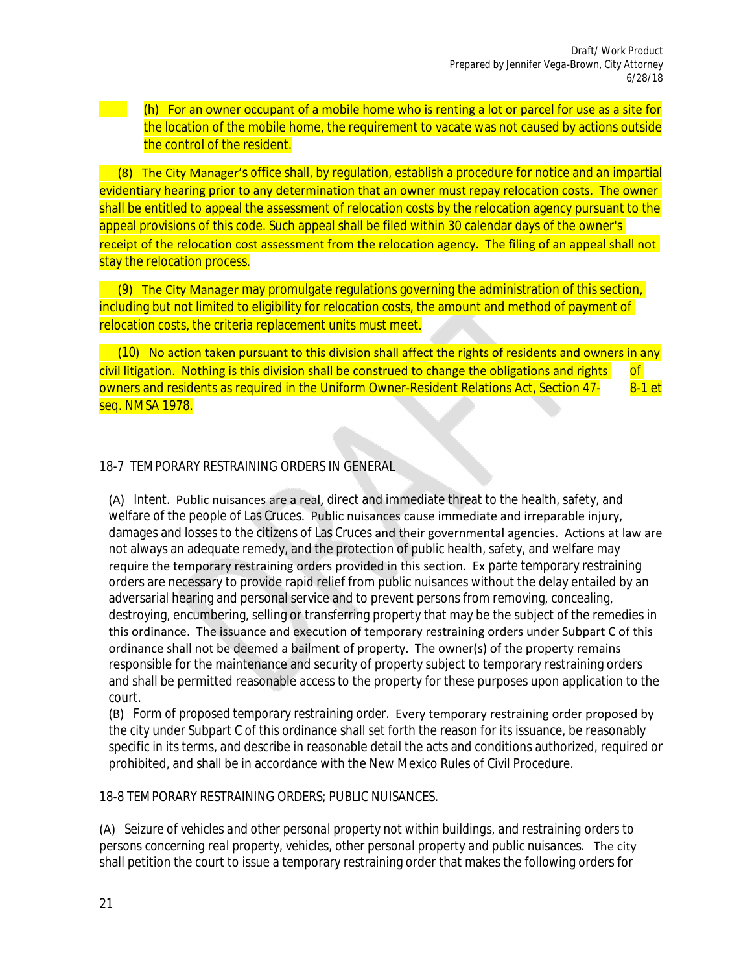(h) For an owner occupant of a mobile home who is renting a lot or parcel for use as a site for the location of the mobile home, the requirement to vacate was not caused by actions outside the control of the resident.

 (8) The City Manager's office shall, by regulation, establish a procedure for notice and an impartial evidentiary hearing prior to any determination that an owner must repay relocation costs. The owner shall be entitled to appeal the assessment of relocation costs by the relocation agency pursuant to the appeal provisions of this code. Such appeal shall be filed within 30 calendar days of the owner's receipt of the relocation cost assessment from the relocation agency. The filing of an appeal shall not stay the relocation process.

 (9) The City Manager may promulgate regulations governing the administration of this section, including but not limited to eligibility for relocation costs, the amount and method of payment of relocation costs, the criteria replacement units must meet.

 (10) No action taken pursuant to this division shall affect the rights of residents and owners in any  $\frac{1}{2}$  civil litigation. Nothing is this division shall be construed to change the obligations and rights  $\frac{1}{2}$  of owners and residents as required in the Uniform Owner-Resident Relations Act, Section 47- 8-1 et seq. NMSA 1978.

## 18-7 TEMPORARY RESTRAINING ORDERS IN GENERAL

(A) *Intent.* Public nuisances are a real, direct and immediate threat to the health, safety, and welfare of the people of Las Cruces. Public nuisances cause immediate and irreparable injury, damages and losses to the citizens of Las Cruces and their governmental agencies. Actions at law are not always an adequate remedy, and the protection of public health, safety, and welfare may require the temporary restraining orders provided in this section. Ex parte temporary restraining orders are necessary to provide rapid relief from public nuisances without the delay entailed by an adversarial hearing and personal service and to prevent persons from removing, concealing, destroying, encumbering, selling or transferring property that may be the subject of the remedies in this ordinance. The issuance and execution of temporary restraining orders under Subpart C of this ordinance shall not be deemed a bailment of property. The owner(s) of the property remains responsible for the maintenance and security of property subject to temporary restraining orders and shall be permitted reasonable access to the property for these purposes upon application to the court.

(B) *Form of proposed temporary restraining order.* Every temporary restraining order proposed by the city under Subpart C of this ordinance shall set forth the reason for its issuance, be reasonably specific in its terms, and describe in reasonable detail the acts and conditions authorized, required or prohibited, and shall be in accordance with the New Mexico Rules of Civil Procedure.

#### 18-8 TEMPORARY RESTRAINING ORDERS; PUBLIC NUISANCES.

(A) *Seizure of vehicles and other personal property not within buildings, and restraining orders to persons concerning real property, vehicles, other personal property and public nuisances.*  The city shall petition the court to issue a temporary restraining order that makes the following orders for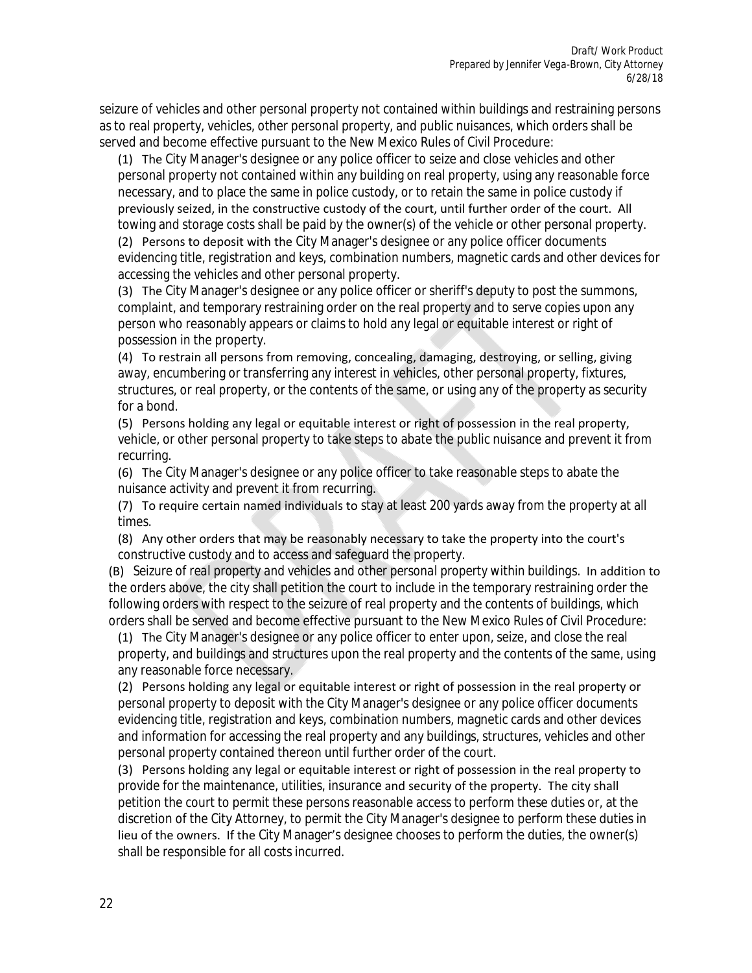seizure of vehicles and other personal property not contained within buildings and restraining persons as to real property, vehicles, other personal property, and public nuisances, which orders shall be served and become effective pursuant to the New Mexico Rules of Civil Procedure:

(1) The City Manager's designee or any police officer to seize and close vehicles and other personal property not contained within any building on real property, using any reasonable force necessary, and to place the same in police custody, or to retain the same in police custody if previously seized, in the constructive custody of the court, until further order of the court. All towing and storage costs shall be paid by the owner(s) of the vehicle or other personal property.

(2) Persons to deposit with the City Manager's designee or any police officer documents evidencing title, registration and keys, combination numbers, magnetic cards and other devices for accessing the vehicles and other personal property.

(3) The City Manager's designee or any police officer or sheriff's deputy to post the summons, complaint, and temporary restraining order on the real property and to serve copies upon any person who reasonably appears or claims to hold any legal or equitable interest or right of possession in the property.

(4) To restrain all persons from removing, concealing, damaging, destroying, or selling, giving away, encumbering or transferring any interest in vehicles, other personal property, fixtures, structures, or real property, or the contents of the same, or using any of the property as security for a bond.

(5) Persons holding any legal or equitable interest or right of possession in the real property, vehicle, or other personal property to take steps to abate the public nuisance and prevent it from recurring.

(6) The City Manager's designee or any police officer to take reasonable steps to abate the nuisance activity and prevent it from recurring.

(7) To require certain named individuals to stay at least 200 yards away from the property at all times.

(8) Any other orders that may be reasonably necessary to take the property into the court's constructive custody and to access and safeguard the property.

(B) *Seizure of real property and vehicles and other personal property within buildings.* In addition to the orders above, the city shall petition the court to include in the temporary restraining order the following orders with respect to the seizure of real property and the contents of buildings, which orders shall be served and become effective pursuant to the New Mexico Rules of Civil Procedure:

(1) The City Manager's designee or any police officer to enter upon, seize, and close the real property, and buildings and structures upon the real property and the contents of the same, using any reasonable force necessary.

(2) Persons holding any legal or equitable interest or right of possession in the real property or personal property to deposit with the City Manager's designee or any police officer documents evidencing title, registration and keys, combination numbers, magnetic cards and other devices and information for accessing the real property and any buildings, structures, vehicles and other personal property contained thereon until further order of the court.

(3) Persons holding any legal or equitable interest or right of possession in the real property to provide for the maintenance, utilities, insurance and security of the property. The city shall petition the court to permit these persons reasonable access to perform these duties or, at the discretion of the City Attorney, to permit the City Manager's designee to perform these duties in lieu of the owners. If the City Manager's designee chooses to perform the duties, the owner(s) shall be responsible for all costs incurred.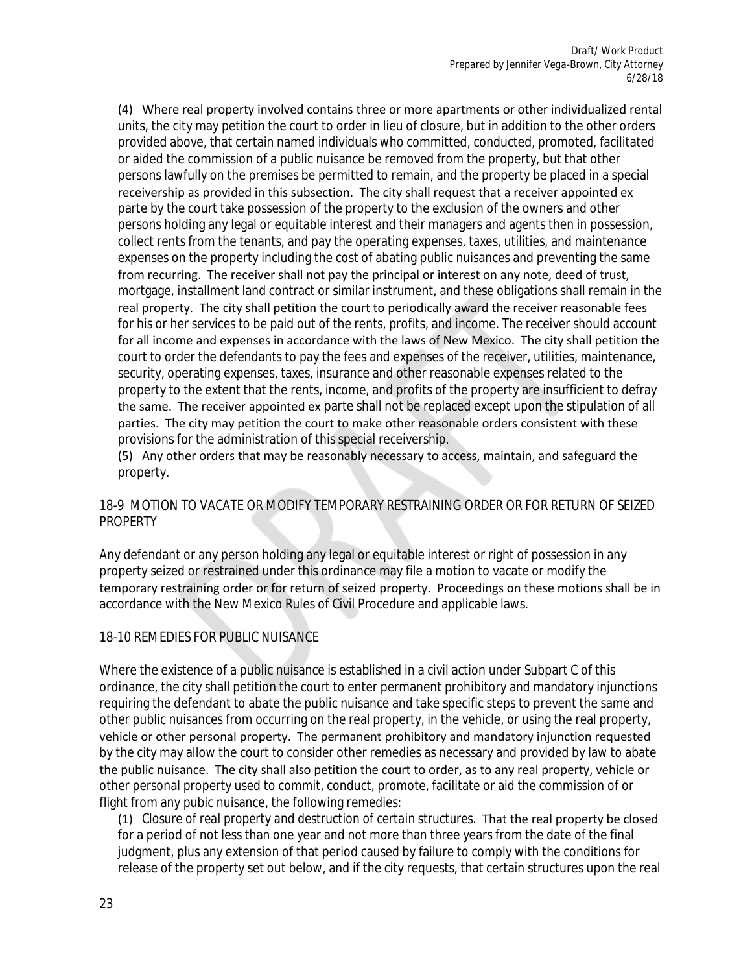(4) Where real property involved contains three or more apartments or other individualized rental units, the city may petition the court to order in lieu of closure, but in addition to the other orders provided above, that certain named individuals who committed, conducted, promoted, facilitated or aided the commission of a public nuisance be removed from the property, but that other persons lawfully on the premises be permitted to remain, and the property be placed in a special receivership as provided in this subsection. The city shall request that a receiver appointed ex parte by the court take possession of the property to the exclusion of the owners and other persons holding any legal or equitable interest and their managers and agents then in possession, collect rents from the tenants, and pay the operating expenses, taxes, utilities, and maintenance expenses on the property including the cost of abating public nuisances and preventing the same from recurring. The receiver shall not pay the principal or interest on any note, deed of trust, mortgage, installment land contract or similar instrument, and these obligations shall remain in the real property. The city shall petition the court to periodically award the receiver reasonable fees for his or her services to be paid out of the rents, profits, and income. The receiver should account for all income and expenses in accordance with the laws of New Mexico. The city shall petition the court to order the defendants to pay the fees and expenses of the receiver, utilities, maintenance, security, operating expenses, taxes, insurance and other reasonable expenses related to the property to the extent that the rents, income, and profits of the property are insufficient to defray the same. The receiver appointed ex parte shall not be replaced except upon the stipulation of all parties. The city may petition the court to make other reasonable orders consistent with these provisions for the administration of this special receivership.

(5) Any other orders that may be reasonably necessary to access, maintain, and safeguard the property.

#### 18-9 MOTION TO VACATE OR MODIFY TEMPORARY RESTRAINING ORDER OR FOR RETURN OF SEIZED PROPERTY

Any defendant or any person holding any legal or equitable interest or right of possession in any property seized or restrained under this ordinance may file a motion to vacate or modify the temporary restraining order or for return of seized property. Proceedings on these motions shall be in accordance with the New Mexico Rules of Civil Procedure and applicable laws.

## 18-10 REMEDIES FOR PUBLIC NUISANCE

Where the existence of a public nuisance is established in a civil action under Subpart C of this ordinance, the city shall petition the court to enter permanent prohibitory and mandatory injunctions requiring the defendant to abate the public nuisance and take specific steps to prevent the same and other public nuisances from occurring on the real property, in the vehicle, or using the real property, vehicle or other personal property. The permanent prohibitory and mandatory injunction requested by the city may allow the court to consider other remedies as necessary and provided by law to abate the public nuisance. The city shall also petition the court to order, as to any real property, vehicle or other personal property used to commit, conduct, promote, facilitate or aid the commission of or flight from any pubic nuisance, the following remedies:

(1) *Closure of real property and destruction of certain structures.* That the real property be closed for a period of not less than one year and not more than three years from the date of the final judgment, plus any extension of that period caused by failure to comply with the conditions for release of the property set out below, and if the city requests, that certain structures upon the real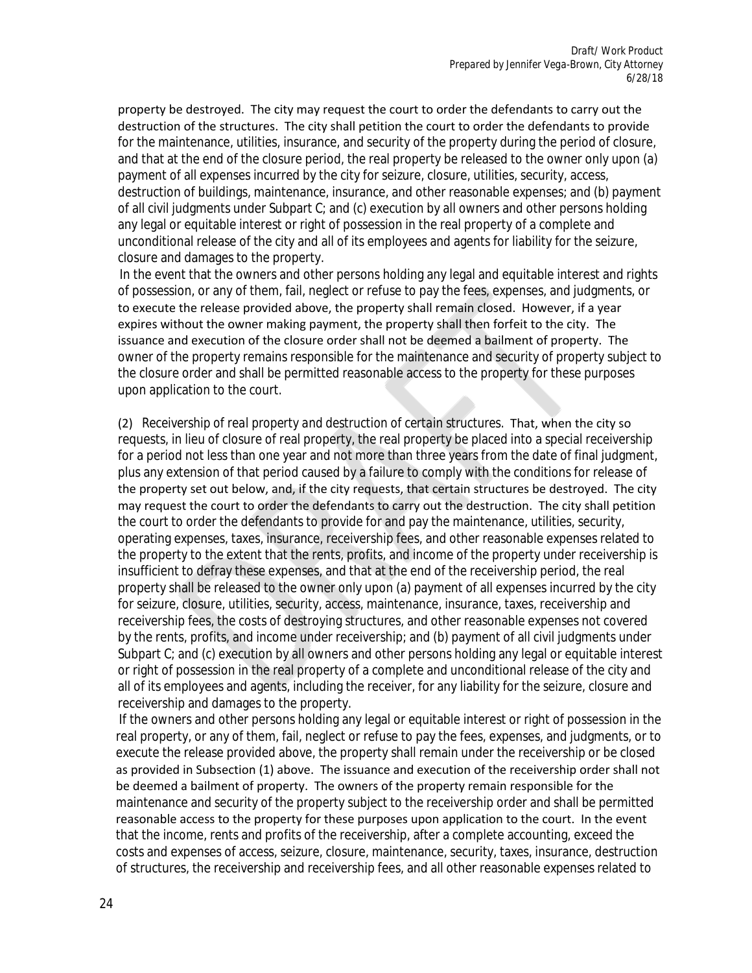property be destroyed. The city may request the court to order the defendants to carry out the destruction of the structures. The city shall petition the court to order the defendants to provide for the maintenance, utilities, insurance, and security of the property during the period of closure, and that at the end of the closure period, the real property be released to the owner only upon (a) payment of all expenses incurred by the city for seizure, closure, utilities, security, access, destruction of buildings, maintenance, insurance, and other reasonable expenses; and (b) payment of all civil judgments under Subpart C; and (c) execution by all owners and other persons holding any legal or equitable interest or right of possession in the real property of a complete and unconditional release of the city and all of its employees and agents for liability for the seizure, closure and damages to the property.

In the event that the owners and other persons holding any legal and equitable interest and rights of possession, or any of them, fail, neglect or refuse to pay the fees, expenses, and judgments, or to execute the release provided above, the property shall remain closed. However, if a year expires without the owner making payment, the property shall then forfeit to the city. The issuance and execution of the closure order shall not be deemed a bailment of property. The owner of the property remains responsible for the maintenance and security of property subject to the closure order and shall be permitted reasonable access to the property for these purposes upon application to the court.

(2) *Receivership of real property and destruction of certain structures.* That, when the city so requests, in lieu of closure of real property, the real property be placed into a special receivership for a period not less than one year and not more than three years from the date of final judgment, plus any extension of that period caused by a failure to comply with the conditions for release of the property set out below, and, if the city requests, that certain structures be destroyed. The city may request the court to order the defendants to carry out the destruction. The city shall petition the court to order the defendants to provide for and pay the maintenance, utilities, security, operating expenses, taxes, insurance, receivership fees, and other reasonable expenses related to the property to the extent that the rents, profits, and income of the property under receivership is insufficient to defray these expenses, and that at the end of the receivership period, the real property shall be released to the owner only upon (a) payment of all expenses incurred by the city for seizure, closure, utilities, security, access, maintenance, insurance, taxes, receivership and receivership fees, the costs of destroying structures, and other reasonable expenses not covered by the rents, profits, and income under receivership; and (b) payment of all civil judgments under Subpart C; and (c) execution by all owners and other persons holding any legal or equitable interest or right of possession in the real property of a complete and unconditional release of the city and all of its employees and agents, including the receiver, for any liability for the seizure, closure and receivership and damages to the property.

If the owners and other persons holding any legal or equitable interest or right of possession in the real property, or any of them, fail, neglect or refuse to pay the fees, expenses, and judgments, or to execute the release provided above, the property shall remain under the receivership or be closed as provided in Subsection (1) above. The issuance and execution of the receivership order shall not be deemed a bailment of property. The owners of the property remain responsible for the maintenance and security of the property subject to the receivership order and shall be permitted reasonable access to the property for these purposes upon application to the court. In the event that the income, rents and profits of the receivership, after a complete accounting, exceed the costs and expenses of access, seizure, closure, maintenance, security, taxes, insurance, destruction of structures, the receivership and receivership fees, and all other reasonable expenses related to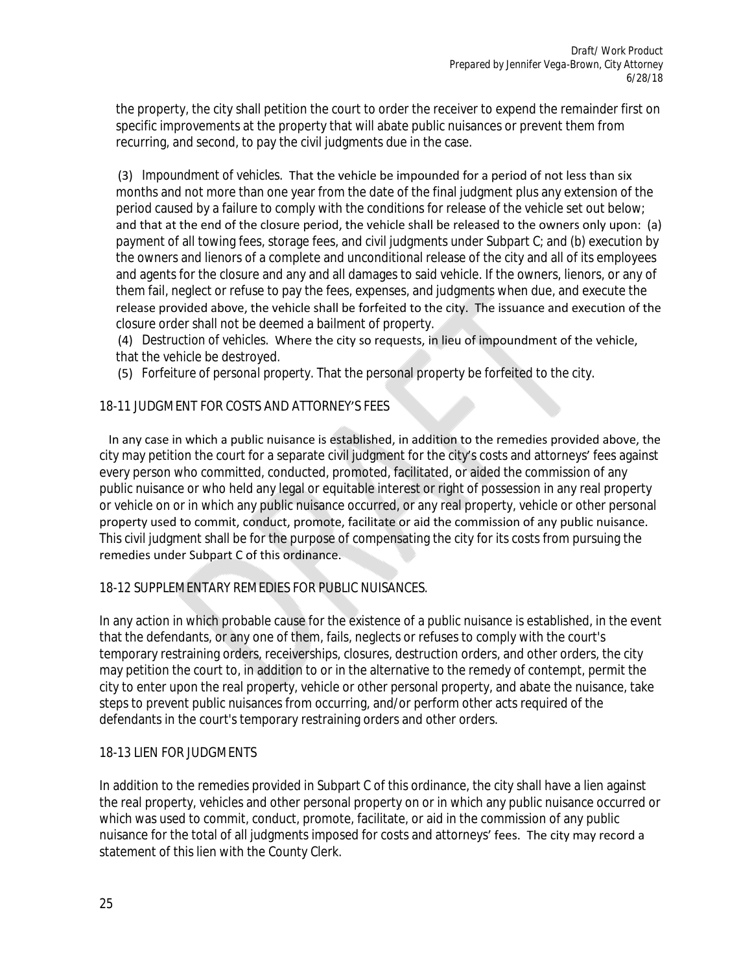the property, the city shall petition the court to order the receiver to expend the remainder first on specific improvements at the property that will abate public nuisances or prevent them from recurring, and second, to pay the civil judgments due in the case.

(3) *Impoundment of vehicles.* That the vehicle be impounded for a period of not less than six months and not more than one year from the date of the final judgment plus any extension of the period caused by a failure to comply with the conditions for release of the vehicle set out below; and that at the end of the closure period, the vehicle shall be released to the owners only upon: (a) payment of all towing fees, storage fees, and civil judgments under Subpart C; and (b) execution by the owners and lienors of a complete and unconditional release of the city and all of its employees and agents for the closure and any and all damages to said vehicle. If the owners, lienors, or any of them fail, neglect or refuse to pay the fees, expenses, and judgments when due, and execute the release provided above, the vehicle shall be forfeited to the city. The issuance and execution of the closure order shall not be deemed a bailment of property.

(4) *Destruction of vehicles.* Where the city so requests, in lieu of impoundment of the vehicle, that the vehicle be destroyed.

(5) *Forfeiture of personal property.* That the personal property be forfeited to the city.

## 18-11 JUDGMENT FOR COSTS AND ATTORNEY'S FEES

 In any case in which a public nuisance is established, in addition to the remedies provided above, the city may petition the court for a separate civil judgment for the city's costs and attorneys' fees against every person who committed, conducted, promoted, facilitated, or aided the commission of any public nuisance or who held any legal or equitable interest or right of possession in any real property or vehicle on or in which any public nuisance occurred, or any real property, vehicle or other personal property used to commit, conduct, promote, facilitate or aid the commission of any public nuisance. This civil judgment shall be for the purpose of compensating the city for its costs from pursuing the remedies under Subpart C of this ordinance.

#### 18-12 SUPPLEMENTARY REMEDIES FOR PUBLIC NUISANCES.

In any action in which probable cause for the existence of a public nuisance is established, in the event that the defendants, or any one of them, fails, neglects or refuses to comply with the court's temporary restraining orders, receiverships, closures, destruction orders, and other orders, the city may petition the court to, in addition to or in the alternative to the remedy of contempt, permit the city to enter upon the real property, vehicle or other personal property, and abate the nuisance, take steps to prevent public nuisances from occurring, and/or perform other acts required of the defendants in the court's temporary restraining orders and other orders.

#### 18-13 LIEN FOR JUDGMENTS

In addition to the remedies provided in Subpart C of this ordinance, the city shall have a lien against the real property, vehicles and other personal property on or in which any public nuisance occurred or which was used to commit, conduct, promote, facilitate, or aid in the commission of any public nuisance for the total of all judgments imposed for costs and attorneys' fees. The city may record a statement of this lien with the County Clerk.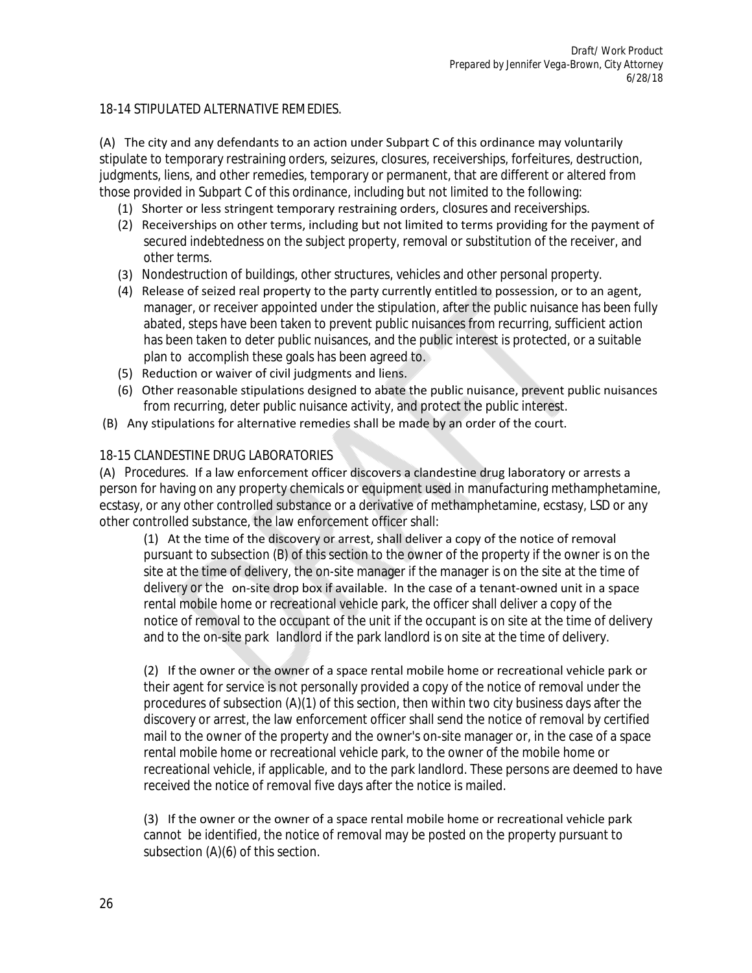#### 18-14 STIPULATED ALTERNATIVE REMEDIES.

(A) The city and any defendants to an action under Subpart C of this ordinance may voluntarily stipulate to temporary restraining orders, seizures, closures, receiverships, forfeitures, destruction, judgments, liens, and other remedies, temporary or permanent, that are different or altered from those provided in Subpart C of this ordinance, including but not limited to the following:

- (1) Shorter or less stringent temporary restraining orders, closures and receiverships.
- (2) Receiverships on other terms, including but not limited to terms providing for the payment of secured indebtedness on the subject property, removal or substitution of the receiver, and other terms.
- (3) Nondestruction of buildings, other structures, vehicles and other personal property.
- (4) Release of seized real property to the party currently entitled to possession, or to an agent, manager, or receiver appointed under the stipulation, after the public nuisance has been fully abated, steps have been taken to prevent public nuisances from recurring, sufficient action has been taken to deter public nuisances, and the public interest is protected, or a suitable plan to accomplish these goals has been agreed to.
- (5) Reduction or waiver of civil judgments and liens.
- (6) Other reasonable stipulations designed to abate the public nuisance, prevent public nuisances from recurring, deter public nuisance activity, and protect the public interest.
- (B) Any stipulations for alternative remedies shall be made by an order of the court.

#### 18-15 CLANDESTINE DRUG LABORATORIES

(A) *Procedures.* If a law enforcement officer discovers a clandestine drug laboratory or arrests a person for having on any property chemicals or equipment used in manufacturing methamphetamine, ecstasy, or any other controlled substance or a derivative of methamphetamine, ecstasy, LSD or any other controlled substance, the law enforcement officer shall:

(1) At the time of the discovery or arrest, shall deliver a copy of the notice of removal pursuant to subsection (B) of this section to the owner of the property if the owner is on the site at the time of delivery, the on-site manager if the manager is on the site at the time of delivery or the on-site drop box if available. In the case of a tenant-owned unit in a space rental mobile home or recreational vehicle park, the officer shall deliver a copy of the notice of removal to the occupant of the unit if the occupant is on site at the time of delivery and to the on-site park landlord if the park landlord is on site at the time of delivery.

(2) If the owner or the owner of a space rental mobile home or recreational vehicle park or their agent for service is not personally provided a copy of the notice of removal under the procedures of subsection (A)(1) of this section, then within two city business days after the discovery or arrest, the law enforcement officer shall send the notice of removal by certified mail to the owner of the property and the owner's on-site manager or, in the case of a space rental mobile home or recreational vehicle park, to the owner of the mobile home or recreational vehicle, if applicable, and to the park landlord. These persons are deemed to have received the notice of removal five days after the notice is mailed.

(3) If the owner or the owner of a space rental mobile home or recreational vehicle park cannot be identified, the notice of removal may be posted on the property pursuant to subsection (A)(6) of this section.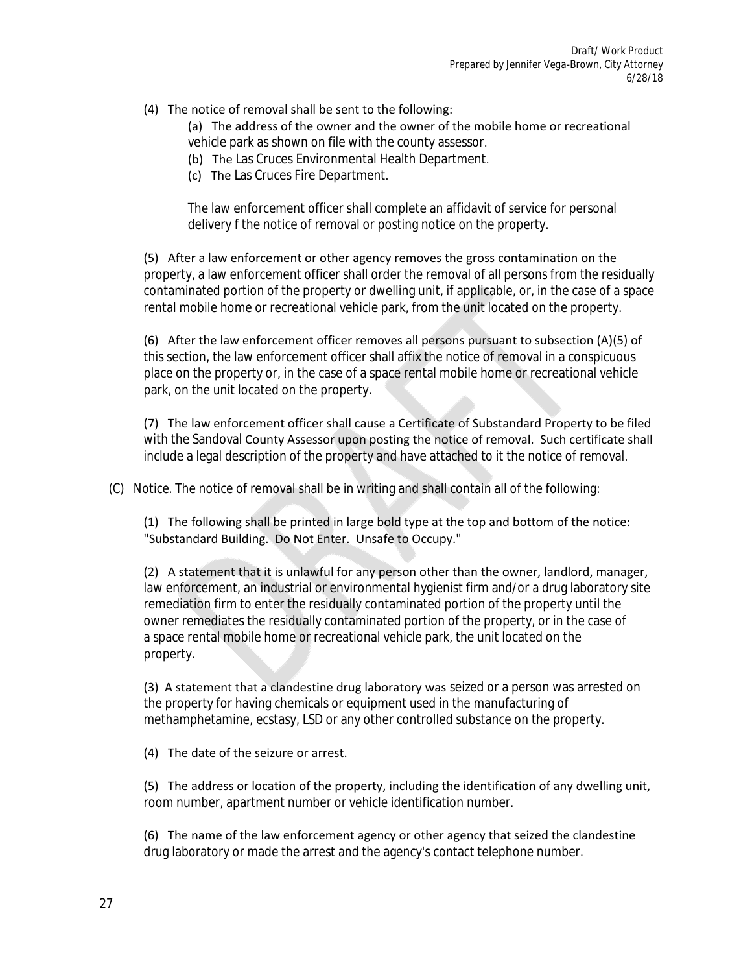#### (4) The notice of removal shall be sent to the following:

(a) The address of the owner and the owner of the mobile home or recreational vehicle park as shown on file with the county assessor.

- (b) The Las Cruces Environmental Health Department.
- (c) The Las Cruces Fire Department.

The law enforcement officer shall complete an affidavit of service for personal delivery f the notice of removal or posting notice on the property.

(5) After a law enforcement or other agency removes the gross contamination on the property, a law enforcement officer shall order the removal of all persons from the residually contaminated portion of the property or dwelling unit, if applicable, or, in the case of a space rental mobile home or recreational vehicle park, from the unit located on the property.

(6) After the law enforcement officer removes all persons pursuant to subsection (A)(5) of this section, the law enforcement officer shall affix the notice of removal in a conspicuous place on the property or, in the case of a space rental mobile home or recreational vehicle park, on the unit located on the property.

(7) The law enforcement officer shall cause a Certificate of Substandard Property to be filed with the Sandoval County Assessor upon posting the notice of removal. Such certificate shall include a legal description of the property and have attached to it the notice of removal.

(C) *Notice.* The notice of removal shall be in writing and shall contain all of the following:

(1) The following shall be printed in large bold type at the top and bottom of the notice: "Substandard Building. Do Not Enter. Unsafe to Occupy."

(2) A statement that it is unlawful for any person other than the owner, landlord, manager, law enforcement, an industrial or environmental hygienist firm and/or a drug laboratory site remediation firm to enter the residually contaminated portion of the property until the owner remediates the residually contaminated portion of the property, or in the case of a space rental mobile home or recreational vehicle park, the unit located on the property.

(3) A statement that a clandestine drug laboratory was seized or a person was arrested on the property for having chemicals or equipment used in the manufacturing of methamphetamine, ecstasy, LSD or any other controlled substance on the property.

(4) The date of the seizure or arrest.

(5) The address or location of the property, including the identification of any dwelling unit, room number, apartment number or vehicle identification number.

(6) The name of the law enforcement agency or other agency that seized the clandestine drug laboratory or made the arrest and the agency's contact telephone number.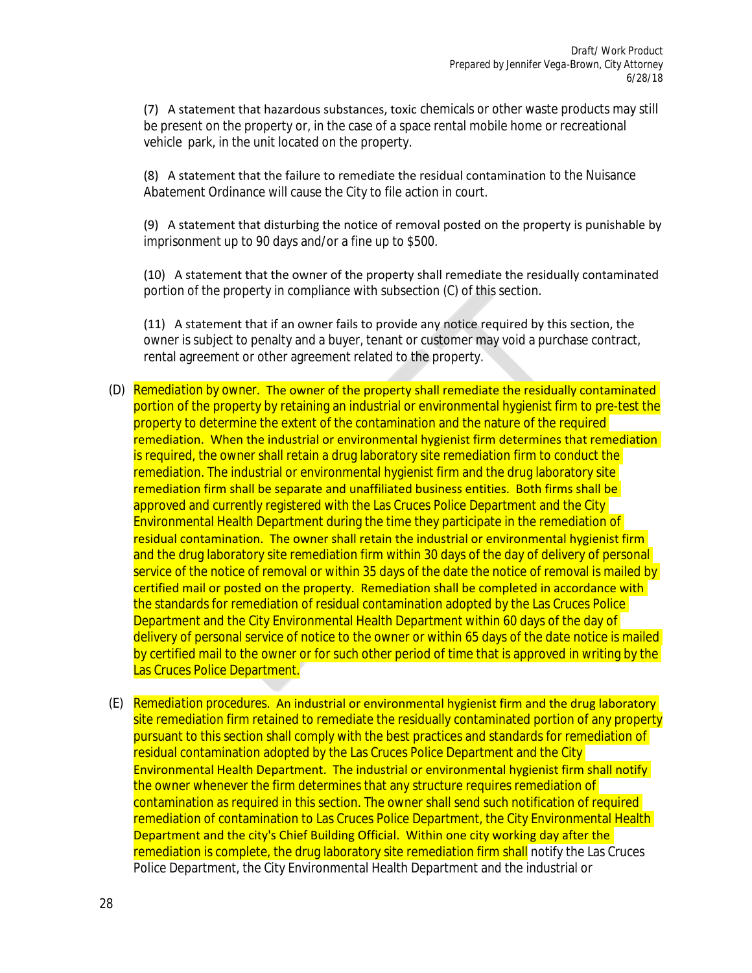(7) A statement that hazardous substances, toxic chemicals or other waste products may still be present on the property or, in the case of a space rental mobile home or recreational vehicle park, in the unit located on the property.

(8) A statement that the failure to remediate the residual contamination to the Nuisance Abatement Ordinance will cause the City to file action in court.

(9) A statement that disturbing the notice of removal posted on the property is punishable by imprisonment up to 90 days and/or a fine up to \$500.

(10) A statement that the owner of the property shall remediate the residually contaminated portion of the property in compliance with subsection (C) of this section.

(11) A statement that if an owner fails to provide any notice required by this section, the owner is subject to penalty and a buyer, tenant or customer may void a purchase contract, rental agreement or other agreement related to the property.

- (D) *Remediation by owner*. The owner of the property shall remediate the residually contaminated portion of the property by retaining an industrial or environmental hygienist firm to pre-test the property to determine the extent of the contamination and the nature of the required remediation. When the industrial or environmental hygienist firm determines that remediation is required, the owner shall retain a drug laboratory site remediation firm to conduct the remediation. The industrial or environmental hygienist firm and the drug laboratory site remediation firm shall be separate and unaffiliated business entities. Both firms shall be approved and currently registered with the Las Cruces Police Department and the City Environmental Health Department during the time they participate in the remediation of residual contamination. The owner shall retain the industrial or environmental hygienist firm and the drug laboratory site remediation firm within 30 days of the day of delivery of personal service of the notice of removal or within 35 days of the date the notice of removal is mailed by certified mail or posted on the property. Remediation shall be completed in accordance with the standards for remediation of residual contamination adopted by the Las Cruces Police Department and the City Environmental Health Department within 60 days of the day of delivery of personal service of notice to the owner or within 65 days of the date notice is mailed by certified mail to the owner or for such other period of time that is approved in writing by the Las Cruces Police Department.
- (E) *Remediation procedures.* An industrial or environmental hygienist firm and the drug laboratory site remediation firm retained to remediate the residually contaminated portion of any property pursuant to this section shall comply with the best practices and standards for remediation of residual contamination adopted by the Las Cruces Police Department and the City Environmental Health Department. The industrial or environmental hygienist firm shall notify the owner whenever the firm determines that any structure requires remediation of contamination as required in this section. The owner shall send such notification of required remediation of contamination to Las Cruces Police Department, the City Environmental Health Department and the city's Chief Building Official. Within one city working day after the remediation is complete, the drug laboratory site remediation firm shall notify the Las Cruces Police Department, the City Environmental Health Department and the industrial or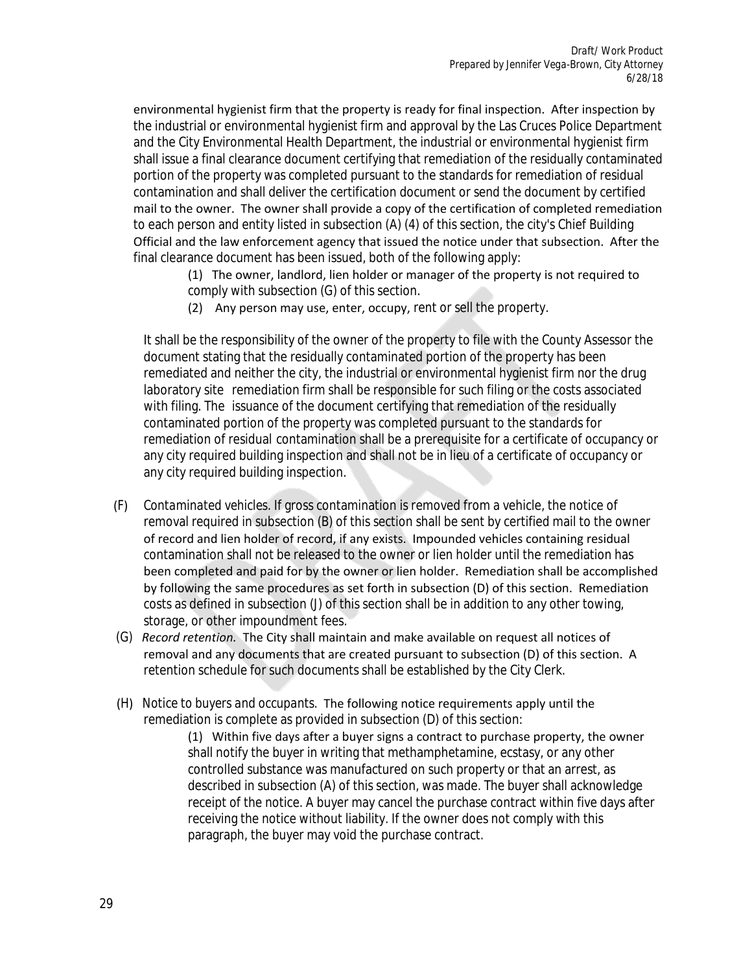environmental hygienist firm that the property is ready for final inspection. After inspection by the industrial or environmental hygienist firm and approval by the Las Cruces Police Department and the City Environmental Health Department, the industrial or environmental hygienist firm shall issue a final clearance document certifying that remediation of the residually contaminated portion of the property was completed pursuant to the standards for remediation of residual contamination and shall deliver the certification document or send the document by certified mail to the owner. The owner shall provide a copy of the certification of completed remediation to each person and entity listed in subsection (A) (4) of this section, the city's Chief Building Official and the law enforcement agency that issued the notice under that subsection. After the final clearance document has been issued, both of the following apply:

(1) The owner, landlord, lien holder or manager of the property is not required to comply with subsection (G) of this section.

(2) Any person may use, enter, occupy, rent or sell the property.

It shall be the responsibility of the owner of the property to file with the County Assessor the document stating that the residually contaminated portion of the property has been remediated and neither the city, the industrial or environmental hygienist firm nor the drug laboratory site remediation firm shall be responsible for such filing or the costs associated with filing. The issuance of the document certifying that remediation of the residually contaminated portion of the property was completed pursuant to the standards for remediation of residual contamination shall be a prerequisite for a certificate of occupancy or any city required building inspection and shall not be in lieu of a certificate of occupancy or any city required building inspection.

- (F) *Contaminated vehicles.* If gross contamination is removed from a vehicle, the notice of removal required in subsection (B) of this section shall be sent by certified mail to the owner of record and lien holder of record, if any exists. Impounded vehicles containing residual contamination shall not be released to the owner or lien holder until the remediation has been completed and paid for by the owner or lien holder. Remediation shall be accomplished by following the same procedures as set forth in subsection (D) of this section. Remediation costs as defined in subsection (J) of this section shall be in addition to any other towing, storage, or other impoundment fees.
- (G) *Record retention.* The City shall maintain and make available on request all notices of removal and any documents that are created pursuant to subsection (D) of this section. A retention schedule for such documents shall be established by the City Clerk.
- (H) *Notice to buyers and occupants.* The following notice requirements apply until the remediation is complete as provided in subsection (D) of this section:

(1) Within five days after a buyer signs a contract to purchase property, the owner shall notify the buyer in writing that methamphetamine, ecstasy, or any other controlled substance was manufactured on such property or that an arrest, as described in subsection (A) of this section, was made. The buyer shall acknowledge receipt of the notice. A buyer may cancel the purchase contract within five days after receiving the notice without liability. If the owner does not comply with this paragraph, the buyer may void the purchase contract.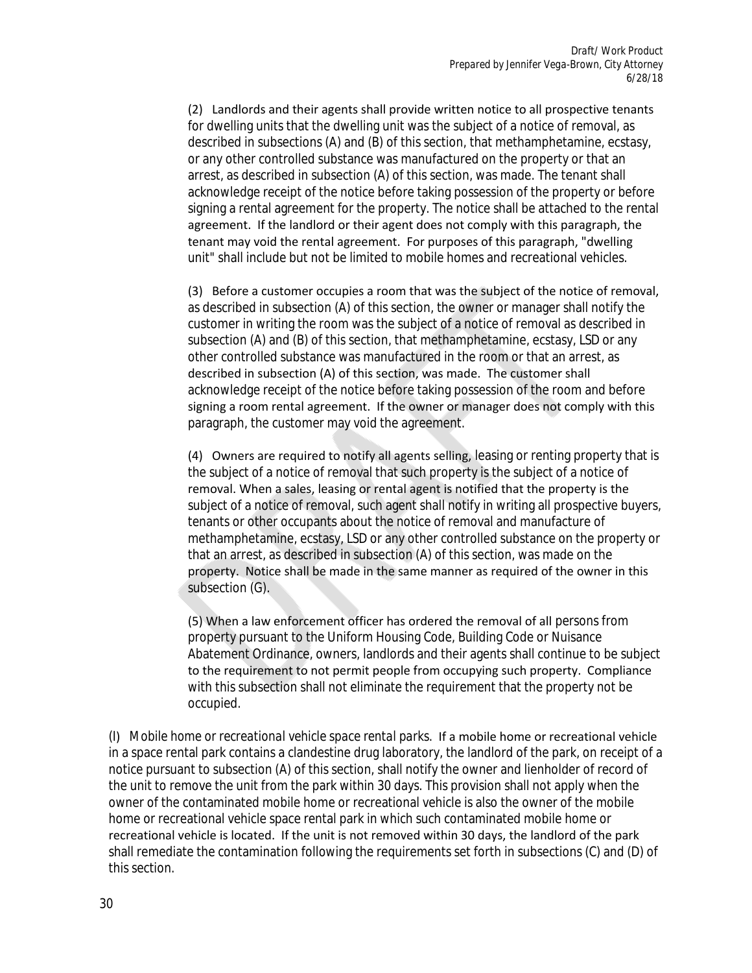(2) Landlords and their agents shall provide written notice to all prospective tenants for dwelling units that the dwelling unit was the subject of a notice of removal, as described in subsections (A) and (B) of this section, that methamphetamine, ecstasy, or any other controlled substance was manufactured on the property or that an arrest, as described in subsection (A) of this section, was made. The tenant shall acknowledge receipt of the notice before taking possession of the property or before signing a rental agreement for the property. The notice shall be attached to the rental agreement. If the landlord or their agent does not comply with this paragraph, the tenant may void the rental agreement. For purposes of this paragraph, "dwelling unit" shall include but not be limited to mobile homes and recreational vehicles.

(3) Before a customer occupies a room that was the subject of the notice of removal, as described in subsection (A) of this section, the owner or manager shall notify the customer in writing the room was the subject of a notice of removal as described in subsection (A) and (B) of this section, that methamphetamine, ecstasy, LSD or any other controlled substance was manufactured in the room or that an arrest, as described in subsection (A) of this section, was made. The customer shall acknowledge receipt of the notice before taking possession of the room and before signing a room rental agreement. If the owner or manager does not comply with this paragraph, the customer may void the agreement.

(4) Owners are required to notify all agents selling, leasing or renting property that is the subject of a notice of removal that such property is the subject of a notice of removal. When a sales, leasing or rental agent is notified that the property is the subject of a notice of removal, such agent shall notify in writing all prospective buyers, tenants or other occupants about the notice of removal and manufacture of methamphetamine, ecstasy, LSD or any other controlled substance on the property or that an arrest, as described in subsection (A) of this section, was made on the property. Notice shall be made in the same manner as required of the owner in this subsection (G).

(5) When a law enforcement officer has ordered the removal of all persons from property pursuant to the Uniform Housing Code, Building Code or Nuisance Abatement Ordinance, owners, landlords and their agents shall continue to be subject to the requirement to not permit people from occupying such property. Compliance with this subsection shall not eliminate the requirement that the property not be occupied.

(I) *Mobile home or recreational vehicle space rental parks.* If a mobile home or recreational vehicle in a space rental park contains a clandestine drug laboratory, the landlord of the park, on receipt of a notice pursuant to subsection (A) of this section, shall notify the owner and lienholder of record of the unit to remove the unit from the park within 30 days. This provision shall not apply when the owner of the contaminated mobile home or recreational vehicle is also the owner of the mobile home or recreational vehicle space rental park in which such contaminated mobile home or recreational vehicle is located. If the unit is not removed within 30 days, the landlord of the park shall remediate the contamination following the requirements set forth in subsections (C) and (D) of this section.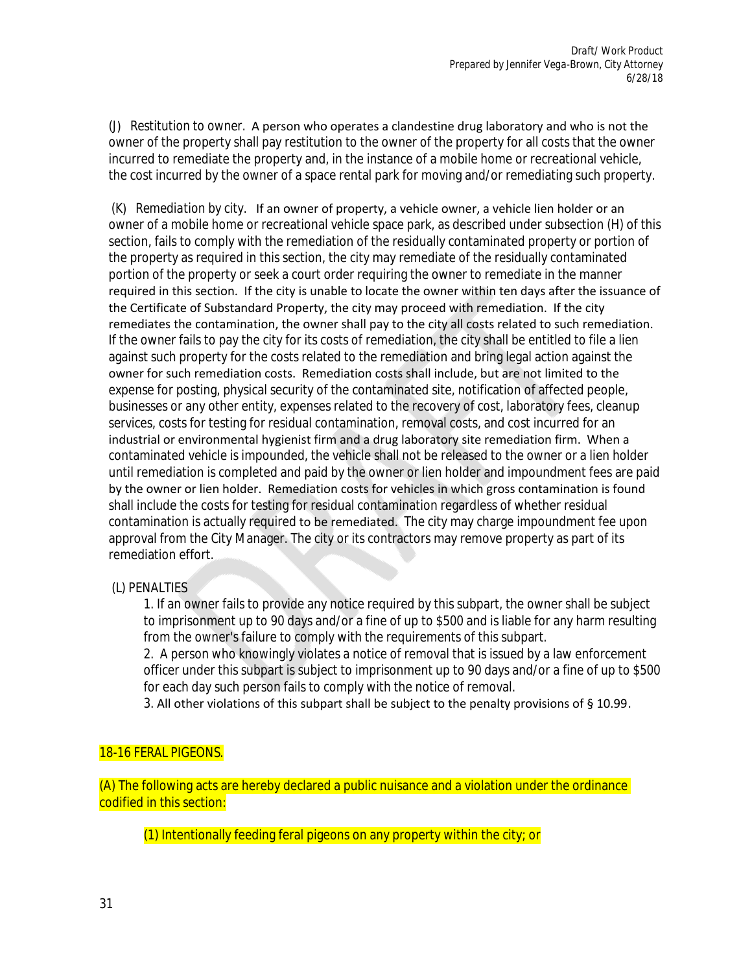(J) *Restitution to owner.* A person who operates a clandestine drug laboratory and who is not the owner of the property shall pay restitution to the owner of the property for all costs that the owner incurred to remediate the property and, in the instance of a mobile home or recreational vehicle, the cost incurred by the owner of a space rental park for moving and/or remediating such property.

(K) *Remediation by city.*  If an owner of property, a vehicle owner, a vehicle lien holder or an owner of a mobile home or recreational vehicle space park, as described under subsection (H) of this section, fails to comply with the remediation of the residually contaminated property or portion of the property as required in this section, the city may remediate of the residually contaminated portion of the property or seek a court order requiring the owner to remediate in the manner required in this section. If the city is unable to locate the owner within ten days after the issuance of the Certificate of Substandard Property, the city may proceed with remediation. If the city remediates the contamination, the owner shall pay to the city all costs related to such remediation. If the owner fails to pay the city for its costs of remediation, the city shall be entitled to file a lien against such property for the costs related to the remediation and bring legal action against the owner for such remediation costs. Remediation costs shall include, but are not limited to the expense for posting, physical security of the contaminated site, notification of affected people, businesses or any other entity, expenses related to the recovery of cost, laboratory fees, cleanup services, costs for testing for residual contamination, removal costs, and cost incurred for an industrial or environmental hygienist firm and a drug laboratory site remediation firm. When a contaminated vehicle is impounded, the vehicle shall not be released to the owner or a lien holder until remediation is completed and paid by the owner or lien holder and impoundment fees are paid by the owner or lien holder. Remediation costs for vehicles in which gross contamination is found shall include the costs for testing for residual contamination regardless of whether residual contamination is actually required to be remediated. The city may charge impoundment fee upon approval from the City Manager. The city or its contractors may remove property as part of its remediation effort.

#### (L) PENALTIES

1. If an owner fails to provide any notice required by this subpart, the owner shall be subject to imprisonment up to 90 days and/or a fine of up to \$500 and is liable for any harm resulting from the owner's failure to comply with the requirements of this subpart.

2. A person who knowingly violates a notice of removal that is issued by a law enforcement officer under this subpart is subject to imprisonment up to 90 days and/or a fine of up to \$500 for each day such person fails to comply with the notice of removal.

3. All other violations of this subpart shall be subject to the penalty provisions of § 10.99.

## 18-16 FERAL PIGEONS.

(A) The following acts are hereby declared a public nuisance and a violation under the ordinance codified in this section:

(1) Intentionally feeding feral pigeons on any property within the city; or